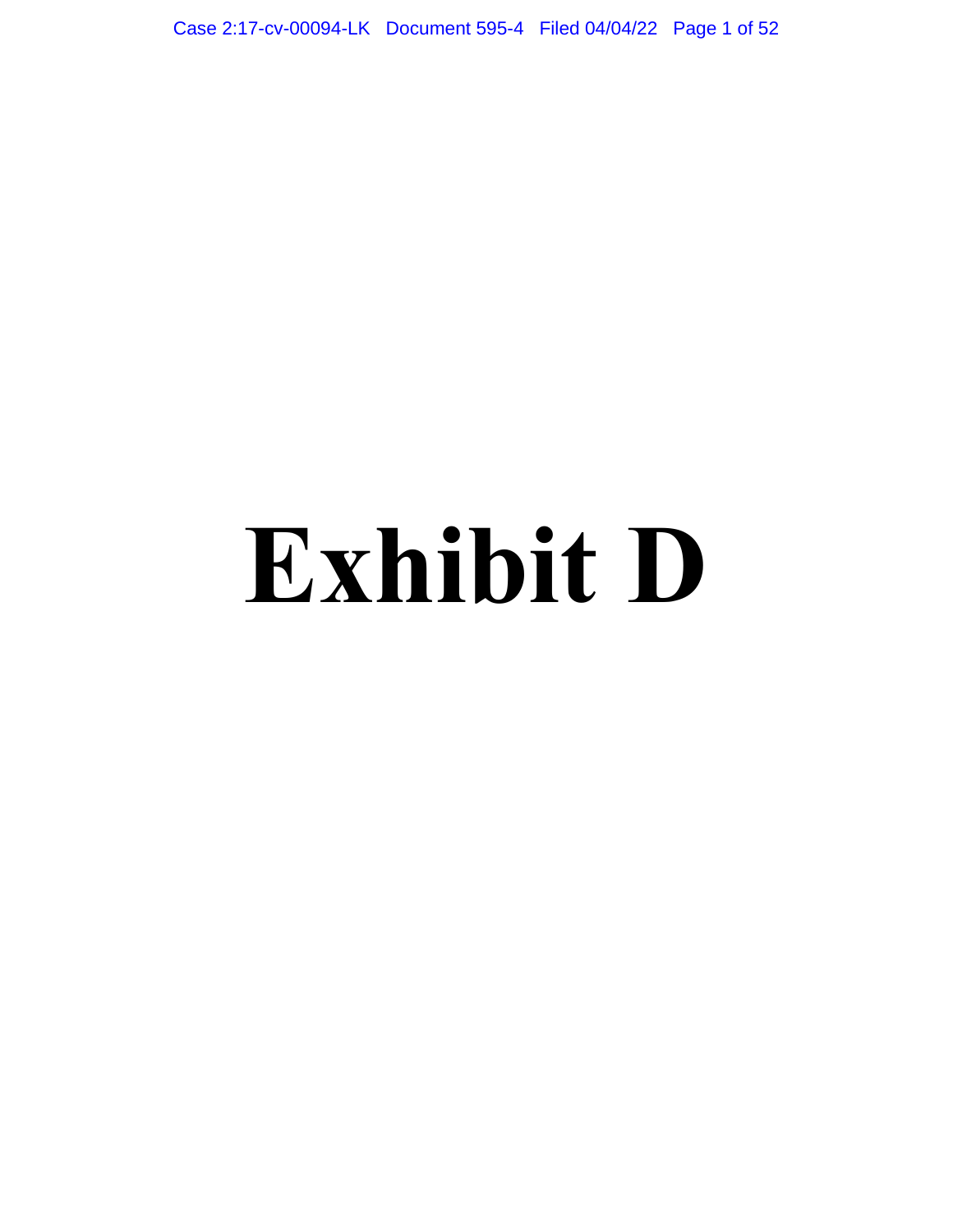Case 2:17-cv-00094-LK Document 595-4 Filed 04/04/22 Page 1 of 52

# **Exhibit D**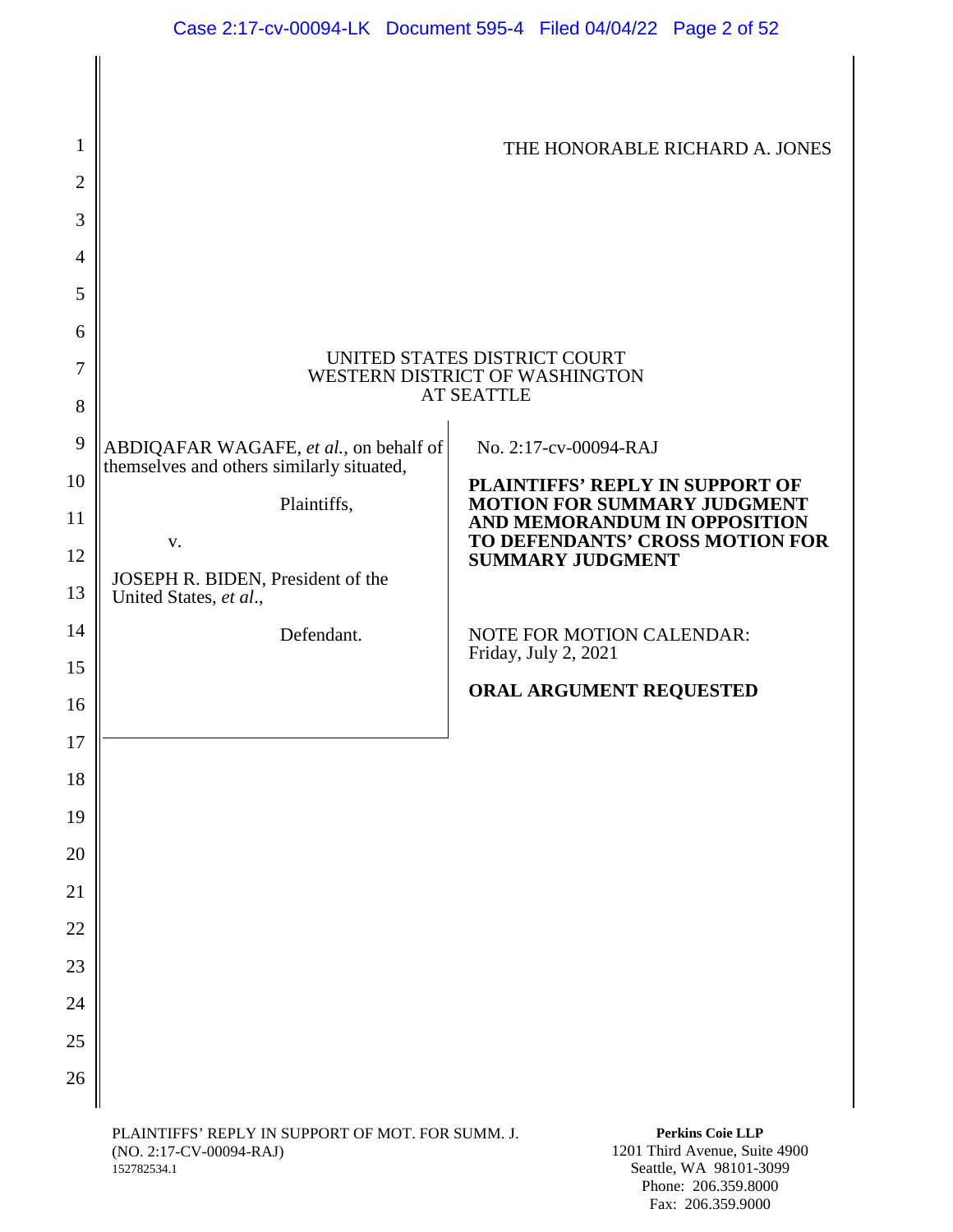| 1              |                                                             | THE HONORABLE RICHARD A. JONES                                     |
|----------------|-------------------------------------------------------------|--------------------------------------------------------------------|
| $\overline{2}$ |                                                             |                                                                    |
| 3              |                                                             |                                                                    |
| $\overline{4}$ |                                                             |                                                                    |
| 5              |                                                             |                                                                    |
| 6              |                                                             |                                                                    |
| 7              |                                                             | UNITED STATES DISTRICT COURT<br>WESTERN DISTRICT OF WASHINGTON     |
| 8              |                                                             | <b>AT SEATTLE</b>                                                  |
| 9              | ABDIQAFAR WAGAFE, et al., on behalf of                      | No. 2:17-cv-00094-RAJ                                              |
| 10             | themselves and others similarly situated,                   | PLAINTIFFS' REPLY IN SUPPORT OF                                    |
| 11             | Plaintiffs,                                                 | <b>MOTION FOR SUMMARY JUDGMENT</b><br>AND MEMORANDUM IN OPPOSITION |
| 12             | V.                                                          | TO DEFENDANTS' CROSS MOTION FOR<br><b>SUMMARY JUDGMENT</b>         |
| 13             | JOSEPH R. BIDEN, President of the<br>United States, et al., |                                                                    |
| 14             | Defendant.                                                  | NOTE FOR MOTION CALENDAR:                                          |
| 15             |                                                             | Friday, July 2, 2021                                               |
| 16             |                                                             | ORAL ARGUMENT REQUESTED                                            |
| 17             |                                                             |                                                                    |
| 18             |                                                             |                                                                    |
| 19             |                                                             |                                                                    |
| 20             |                                                             |                                                                    |
| 21             |                                                             |                                                                    |
| 22             |                                                             |                                                                    |
| 23             |                                                             |                                                                    |
| 24             |                                                             |                                                                    |
| 25             |                                                             |                                                                    |
| 26             |                                                             |                                                                    |
|                | DI AINTIEES' REDI Y IN SUPPORT OF MOT FOR SUMM I            | Perkins Coje LLP                                                   |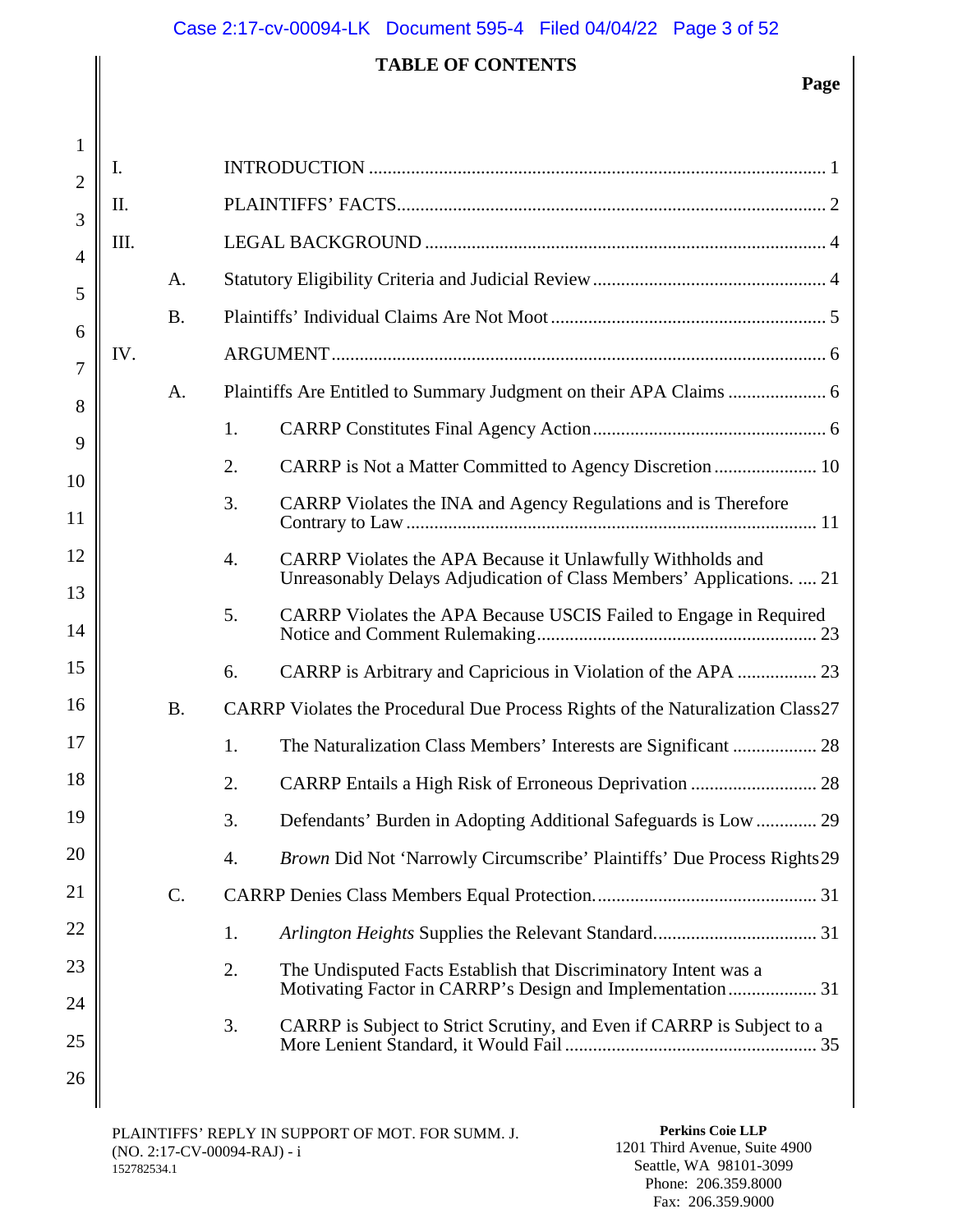#### Case 2:17-cv-00094-LK Document 595-4 Filed 04/04/22 Page 3 of 52

#### **TABLE OF CONTENTS**

| $\mathbf{1}$   |      |           |                                                                                                                                          |  |  |
|----------------|------|-----------|------------------------------------------------------------------------------------------------------------------------------------------|--|--|
| $\overline{2}$ | I.   |           |                                                                                                                                          |  |  |
| 3              | Π.   |           |                                                                                                                                          |  |  |
| $\overline{4}$ | III. |           |                                                                                                                                          |  |  |
| 5              |      | A.        |                                                                                                                                          |  |  |
| 6              |      | <b>B.</b> |                                                                                                                                          |  |  |
| 7              | IV.  |           |                                                                                                                                          |  |  |
| 8              |      | A.        |                                                                                                                                          |  |  |
| 9              |      |           | 1.                                                                                                                                       |  |  |
| 10             |      |           | 2.                                                                                                                                       |  |  |
| 11             |      |           | 3.<br>CARRP Violates the INA and Agency Regulations and is Therefore                                                                     |  |  |
| 12<br>13       |      |           | CARRP Violates the APA Because it Unlawfully Withholds and<br>4.<br>Unreasonably Delays Adjudication of Class Members' Applications.  21 |  |  |
| 14             |      |           | CARRP Violates the APA Because USCIS Failed to Engage in Required<br>5.                                                                  |  |  |
| 15             |      |           | 6.                                                                                                                                       |  |  |
| 16             |      | <b>B.</b> | CARRP Violates the Procedural Due Process Rights of the Naturalization Class27                                                           |  |  |
| 17             |      |           | 1.<br>The Naturalization Class Members' Interests are Significant  28                                                                    |  |  |
| 18             |      |           | 2.                                                                                                                                       |  |  |
| 19             |      |           | 3.<br>Defendants' Burden in Adopting Additional Safeguards is Low  29                                                                    |  |  |
| 20             |      |           | Brown Did Not 'Narrowly Circumscribe' Plaintiffs' Due Process Rights 29<br>4.                                                            |  |  |
| 21             |      | C.        |                                                                                                                                          |  |  |
| 22             |      |           | 1.                                                                                                                                       |  |  |
| 23             |      |           | 2.<br>The Undisputed Facts Establish that Discriminatory Intent was a                                                                    |  |  |
| 24<br>25       |      |           | CARRP is Subject to Strict Scrutiny, and Even if CARRP is Subject to a<br>3.                                                             |  |  |
| 26             |      |           |                                                                                                                                          |  |  |
|                |      |           |                                                                                                                                          |  |  |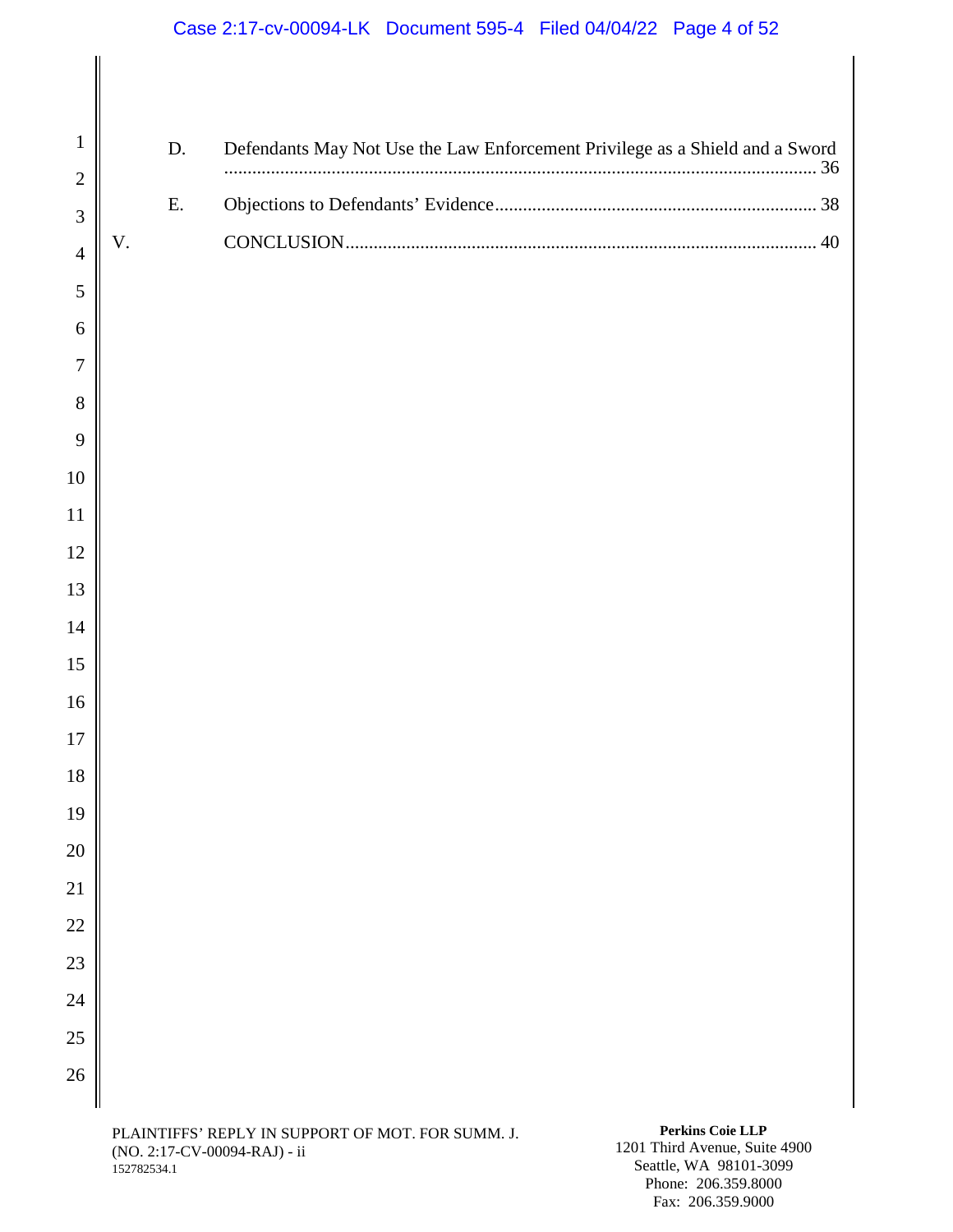#### Case 2:17-cv-00094-LK Document 595-4 Filed 04/04/22 Page 4 of 52

 $\parallel$ 

|            | $\sqrt{2}$     |
|------------|----------------|
| ${\bf E}.$ | $\mathfrak{Z}$ |
| V.         | $\overline{4}$ |
|            | $\sqrt{5}$     |
|            | 6              |
|            | $\tau$         |
|            | $8\,$          |
|            | 9              |
|            | $10\,$         |
|            | $11\,$         |
|            | 12             |
|            | 13             |
|            | 14             |
|            | 15             |
|            | 16             |
|            | $17\,$         |
|            | 18             |
|            | 19             |
|            | $20\,$         |
|            | $21\,$         |
|            | $22\,$         |
|            | 23             |
|            | $24\,$         |
|            | $25\,$         |
|            | 26             |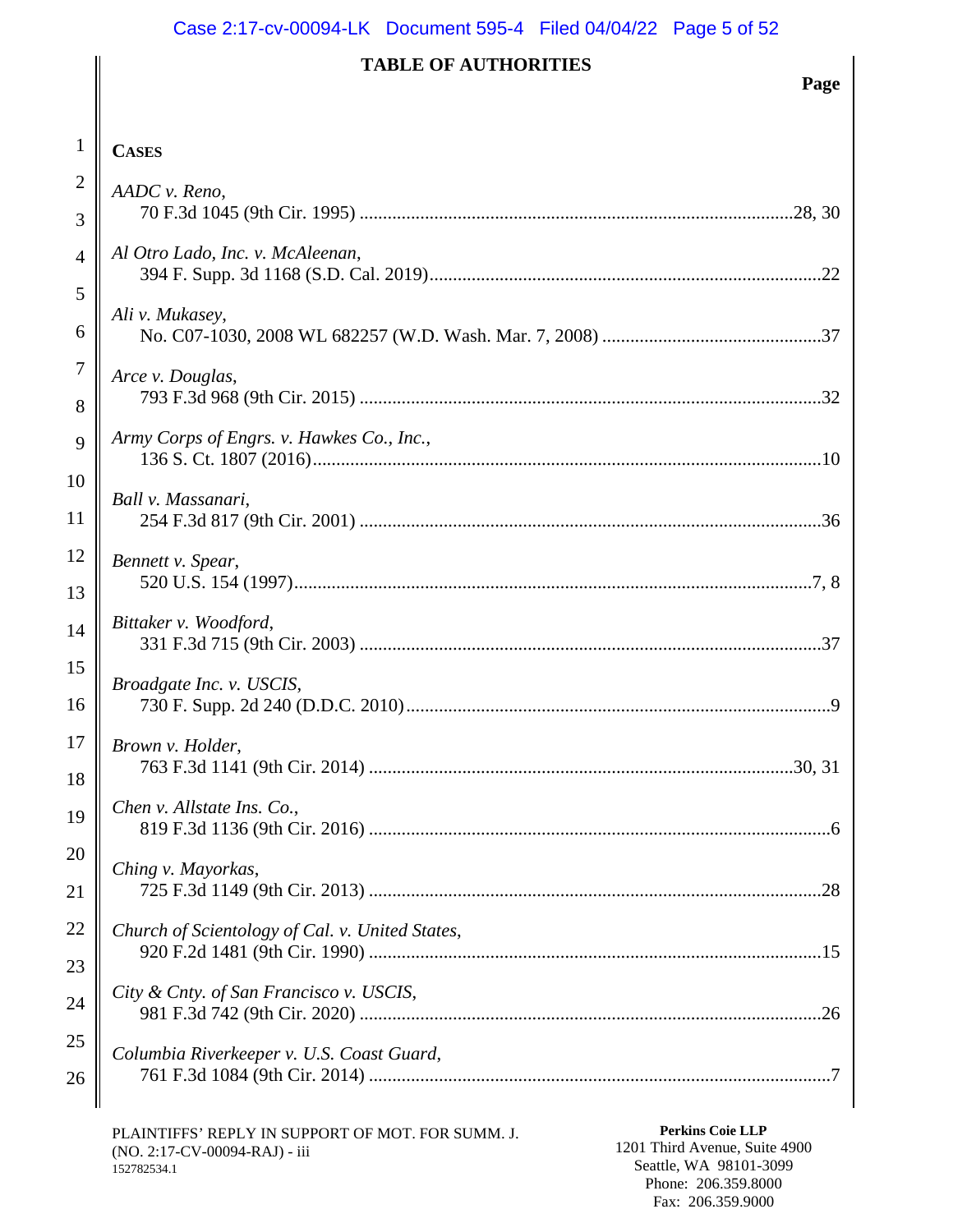#### Case 2:17-cv-00094-LK Document 595-4 Filed 04/04/22 Page 5 of 52

#### **TABLE OF AUTHORITIES**

II

| $\mathbf{1}$   | <b>CASES</b>                                    |
|----------------|-------------------------------------------------|
| $\overline{2}$ | AADC v. Reno,                                   |
| 3              |                                                 |
| $\overline{4}$ | Al Otro Lado, Inc. v. McAleenan,                |
| 5              |                                                 |
| 6              | Ali v. Mukasey,                                 |
| $\overline{7}$ | Arce v. Douglas,                                |
| 8              |                                                 |
| 9              | Army Corps of Engrs. v. Hawkes Co., Inc.,       |
| 10             | Ball v. Massanari,                              |
| 11             |                                                 |
| 12             | Bennett v. Spear,                               |
| 13             |                                                 |
| 14             | Bittaker v. Woodford,                           |
| 15             | Broadgate Inc. v. USCIS,                        |
| 16             |                                                 |
| 17             | Brown v. Holder,                                |
| 18             |                                                 |
| 19             | Chen v. Allstate Ins. Co.,                      |
| 20             | Ching v. Mayorkas,                              |
| 21             |                                                 |
| 22             | Church of Scientology of Cal. v. United States, |
| 23             | City & Cnty. of San Francisco v. USCIS,         |
| 24             |                                                 |
| 25             | Columbia Riverkeeper v. U.S. Coast Guard,       |
| 26             |                                                 |
|                |                                                 |

| PLAINTIFFS' REPLY IN SUPPORT OF MOT. FOR SUMM. J. |
|---------------------------------------------------|
| $(NO. 2:17-CV-00094-RAJ) - iii$                   |
| 152782534.1                                       |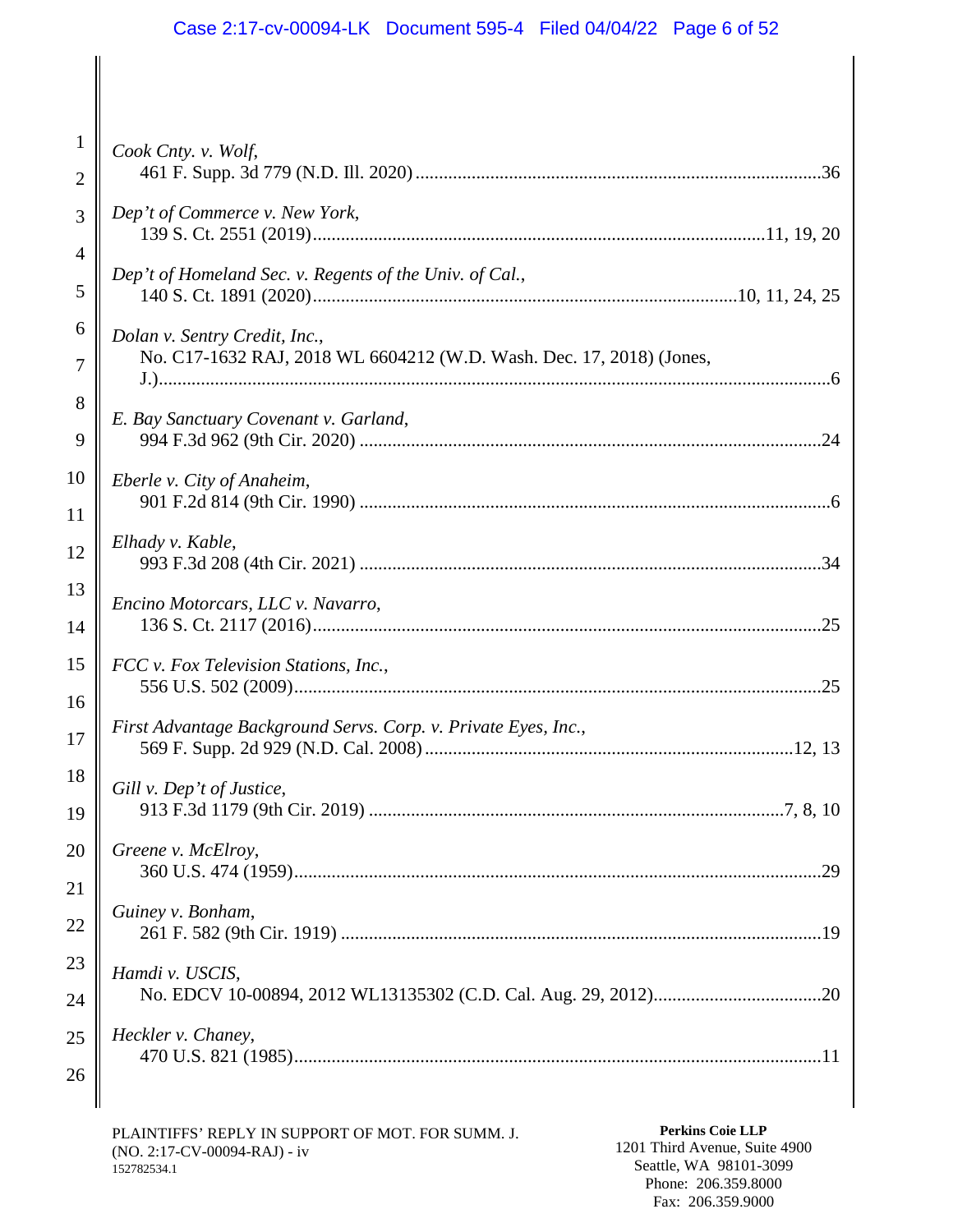## Case 2:17-cv-00094-LK Document 595-4 Filed 04/04/22 Page 6 of 52

| $\mathbf{1}$   |                                                                          |
|----------------|--------------------------------------------------------------------------|
| $\overline{2}$ | Cook Cnty. v. Wolf,                                                      |
| 3              | Dep't of Commerce v. New York,                                           |
| $\overline{4}$ |                                                                          |
| 5              | Dep't of Homeland Sec. v. Regents of the Univ. of Cal.,                  |
| 6              | Dolan v. Sentry Credit, Inc.,                                            |
| $\overline{7}$ | No. C17-1632 RAJ, 2018 WL 6604212 (W.D. Wash. Dec. 17, 2018) (Jones,     |
| 8              | E. Bay Sanctuary Covenant v. Garland,                                    |
| 9              |                                                                          |
| 10             | Eberle v. City of Anaheim,                                               |
| 11             |                                                                          |
| 12             | Elhady v. Kable,                                                         |
| 13             | Encino Motorcars, LLC v. Navarro,                                        |
| 14             |                                                                          |
| 15             | FCC v. Fox Television Stations, Inc.,                                    |
| 16             |                                                                          |
| 17             | First Advantage Background Servs. Corp. v. Private Eyes, Inc.,<br>12, 13 |
| 18             | Gill v. Dep't of Justice,                                                |
| 19             |                                                                          |
| 20             | Greene v. McElroy,                                                       |
| 21             |                                                                          |
| 22             | Guiney v. Bonham,                                                        |
| 23             | Hamdi v. USCIS,                                                          |
| 24             |                                                                          |
| 25             | Heckler v. Chaney,                                                       |
| 26             |                                                                          |
|                |                                                                          |

| PLAINTIFFS' REPLY IN SUPPORT OF MOT. FOR SUMM. J. | <b>Perkins Coie LLP</b>       |
|---------------------------------------------------|-------------------------------|
| $(NO. 2:17-CV-00094-RAJ) - iv$                    | 1201 Third Avenue. Suite 4900 |
| 152782534.1                                       | Seattle, WA 98101-3099        |
|                                                   | Phone: 206.359.8000           |

Fax: 206.359.9000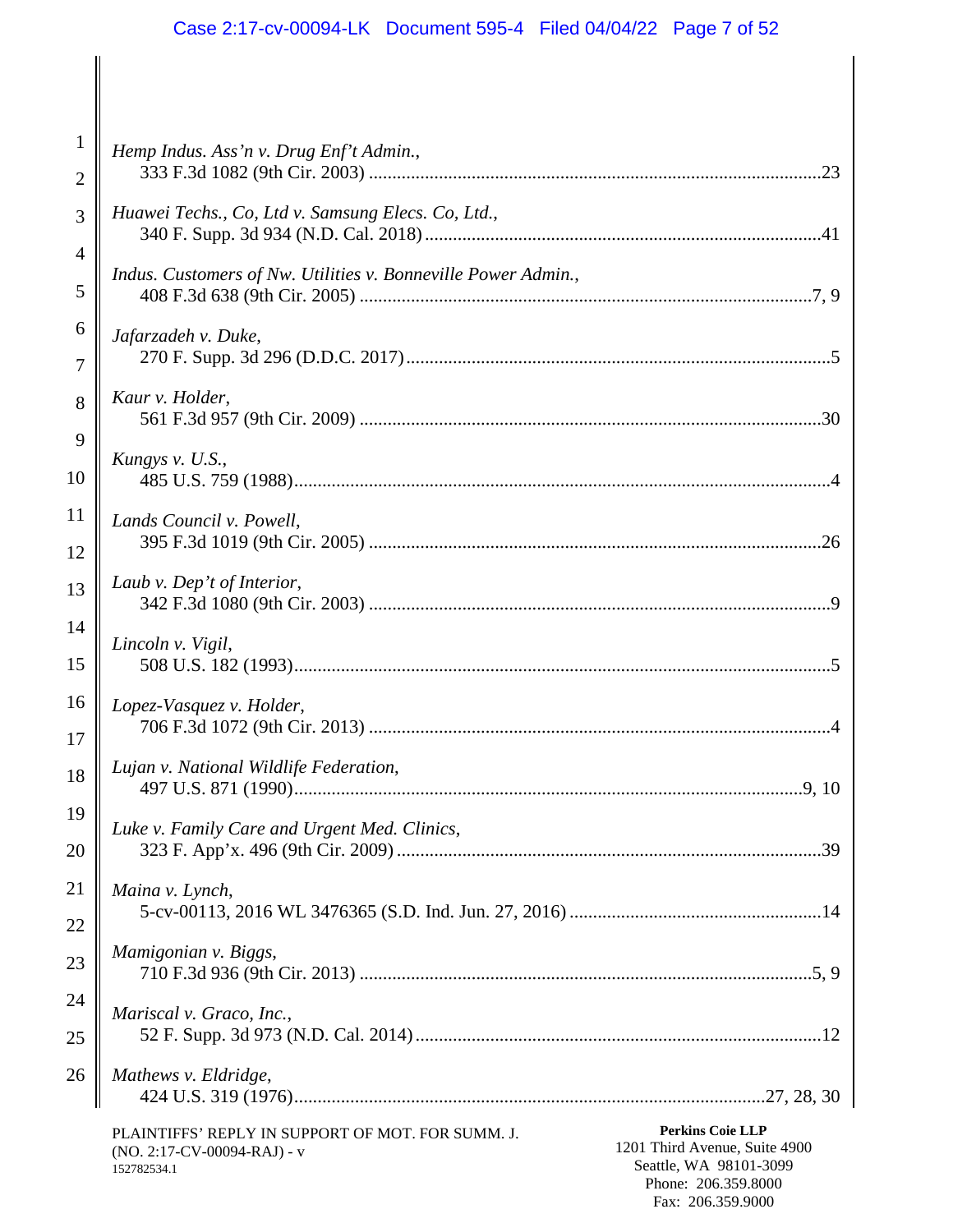## Case 2:17-cv-00094-LK Document 595-4 Filed 04/04/22 Page 7 of 52

| $\mathbf{1}$ | Hemp Indus. Ass'n v. Drug Enf't Admin.,                                                                                                                                                                                    |
|--------------|----------------------------------------------------------------------------------------------------------------------------------------------------------------------------------------------------------------------------|
| 2            |                                                                                                                                                                                                                            |
| 3            | Huawei Techs., Co, Ltd v. Samsung Elecs. Co, Ltd.,                                                                                                                                                                         |
| 4            | Indus. Customers of Nw. Utilities v. Bonneville Power Admin.,                                                                                                                                                              |
| 5            |                                                                                                                                                                                                                            |
| 6<br>7       | Jafarzadeh v. Duke,                                                                                                                                                                                                        |
| 8            | Kaur v. Holder,                                                                                                                                                                                                            |
| 9<br>10      | Kungys v. U.S.,                                                                                                                                                                                                            |
| 11           | Lands Council v. Powell,                                                                                                                                                                                                   |
| 12           |                                                                                                                                                                                                                            |
| 13           | Laub v. Dep't of Interior,                                                                                                                                                                                                 |
| 14           | Lincoln v. Vigil,                                                                                                                                                                                                          |
| 15           |                                                                                                                                                                                                                            |
| 16           | Lopez-Vasquez v. Holder,                                                                                                                                                                                                   |
| 17           |                                                                                                                                                                                                                            |
| 18           | Lujan v. National Wildlife Federation,                                                                                                                                                                                     |
| 19           | Luke v. Family Care and Urgent Med. Clinics,                                                                                                                                                                               |
| 20           |                                                                                                                                                                                                                            |
| 21           | Maina v. Lynch,                                                                                                                                                                                                            |
| 22           |                                                                                                                                                                                                                            |
| 23           | Mamigonian v. Biggs,                                                                                                                                                                                                       |
| 24           | Mariscal v. Graco, Inc.,                                                                                                                                                                                                   |
| 25           |                                                                                                                                                                                                                            |
| 26           | Mathews v. Eldridge,                                                                                                                                                                                                       |
|              | Perkins Coie LLP<br>PLAINTIFFS' REPLY IN SUPPORT OF MOT. FOR SUMM. J.<br>1201 Third Avenue, Suite 4900<br>(NO. 2:17-CV-00094-RAJ) - v<br>Seattle, WA 98101-3099<br>152782534.1<br>Phone: 206.359.8000<br>Fax: 206.359.9000 |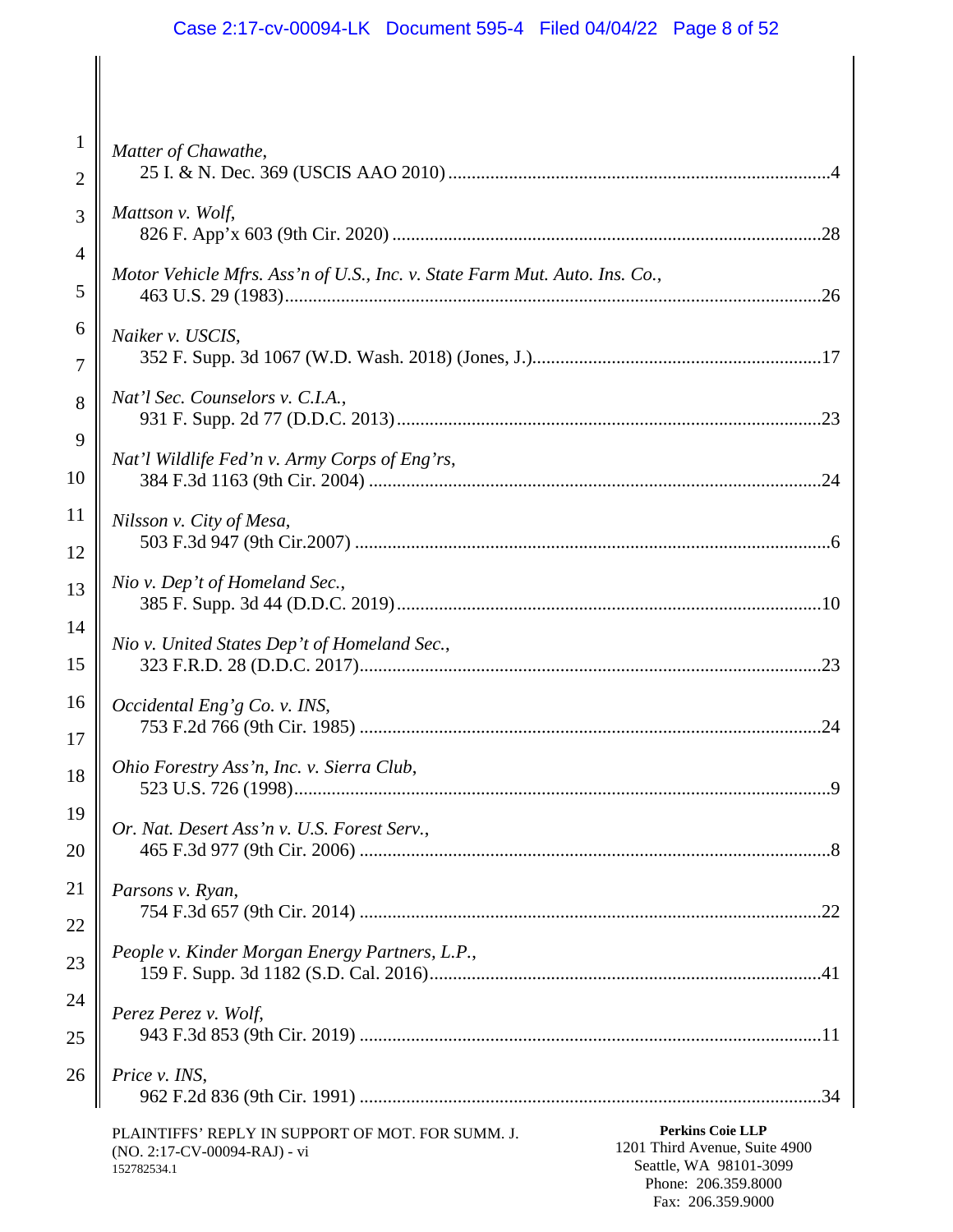## Case 2:17-cv-00094-LK Document 595-4 Filed 04/04/22 Page 8 of 52

| $\mathbf{1}$   |                                                                                                                                                                                                                                    |
|----------------|------------------------------------------------------------------------------------------------------------------------------------------------------------------------------------------------------------------------------------|
| $\overline{2}$ | Matter of Chawathe,                                                                                                                                                                                                                |
| 3              | Mattson v. Wolf,                                                                                                                                                                                                                   |
| $\overline{4}$ |                                                                                                                                                                                                                                    |
| 5              | Motor Vehicle Mfrs. Ass'n of U.S., Inc. v. State Farm Mut. Auto. Ins. Co.,                                                                                                                                                         |
| 6              | Naiker v. USCIS,                                                                                                                                                                                                                   |
| 7              |                                                                                                                                                                                                                                    |
| 8              | Nat'l Sec. Counselors v. C.I.A.,                                                                                                                                                                                                   |
| 9<br>10        | Nat'l Wildlife Fed'n v. Army Corps of Eng'rs,                                                                                                                                                                                      |
| 11             | Nilsson v. City of Mesa,                                                                                                                                                                                                           |
| 12             |                                                                                                                                                                                                                                    |
| 13             | Nio v. Dep't of Homeland Sec.,                                                                                                                                                                                                     |
| 14             | Nio v. United States Dep't of Homeland Sec.,                                                                                                                                                                                       |
| 15             |                                                                                                                                                                                                                                    |
| 16             | Occidental Eng'g Co. v. INS,                                                                                                                                                                                                       |
| 17             |                                                                                                                                                                                                                                    |
| 18             | Ohio Forestry Ass'n, Inc. v. Sierra Club,                                                                                                                                                                                          |
| 19             | Or. Nat. Desert Ass'n v. U.S. Forest Serv.,                                                                                                                                                                                        |
| 20             |                                                                                                                                                                                                                                    |
| 21             | Parsons v. Ryan,                                                                                                                                                                                                                   |
| 22             |                                                                                                                                                                                                                                    |
| 23             | People v. Kinder Morgan Energy Partners, L.P.,                                                                                                                                                                                     |
| 24             | Perez Perez v. Wolf,                                                                                                                                                                                                               |
| 25             |                                                                                                                                                                                                                                    |
| 26             | Price v. INS,                                                                                                                                                                                                                      |
|                | <b>Perkins Coie LLP</b><br>PLAINTIFFS' REPLY IN SUPPORT OF MOT. FOR SUMM. J.<br>1201 Third Avenue, Suite 4900<br>(NO. 2:17-CV-00094-RAJ) - vi<br>Seattle, WA 98101-3099<br>152782534.1<br>Phone: 206.359.8000<br>Fax: 206.359.9000 |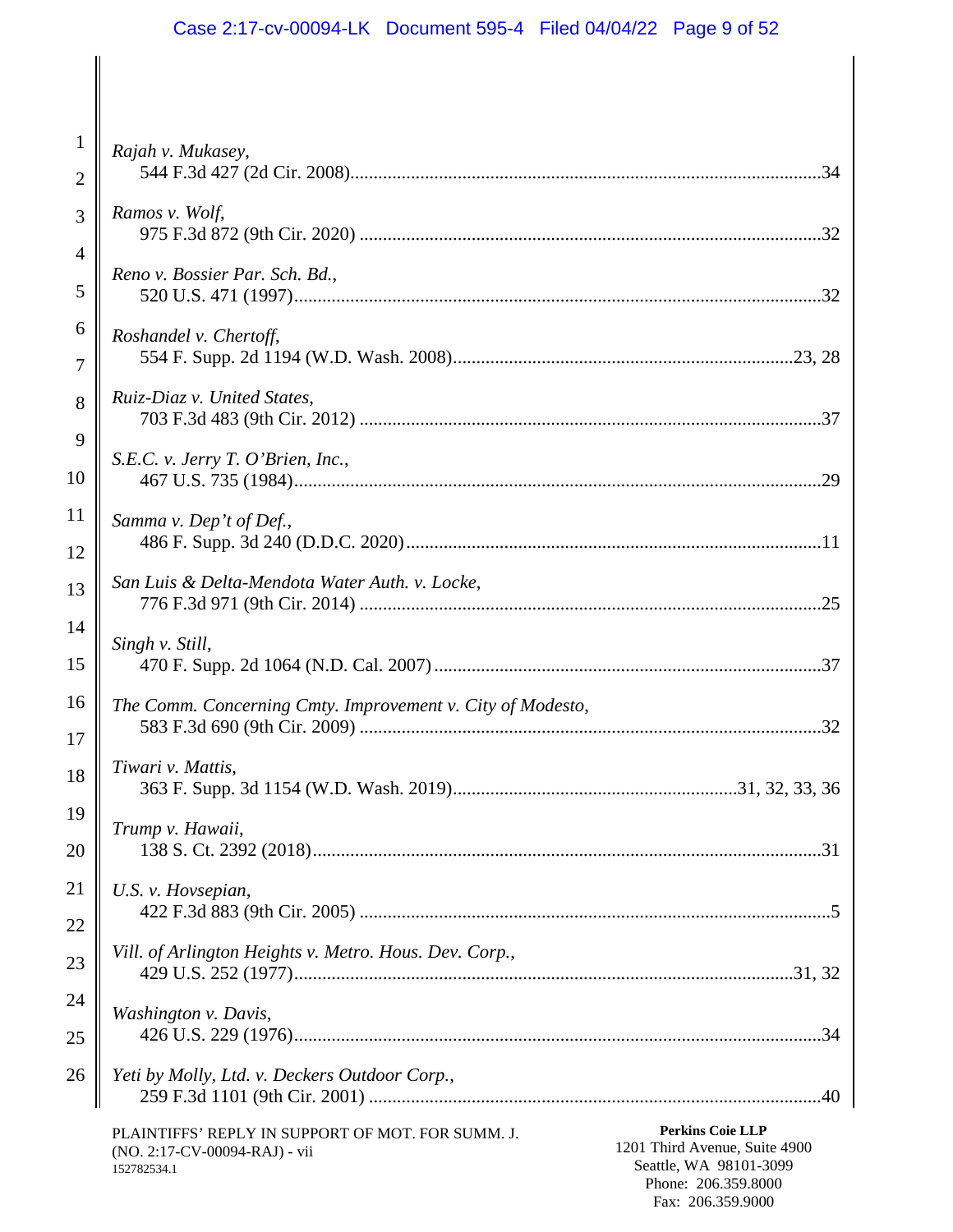## Case 2:17-cv-00094-LK Document 595-4 Filed 04/04/22 Page 9 of 52

| $\mathbf{1}$   | Rajah v. Mukasey,                                                                                                                                                                                                            |
|----------------|------------------------------------------------------------------------------------------------------------------------------------------------------------------------------------------------------------------------------|
| $\overline{2}$ |                                                                                                                                                                                                                              |
| 3              | Ramos v. Wolf,                                                                                                                                                                                                               |
| 4              |                                                                                                                                                                                                                              |
| 5              | Reno v. Bossier Par. Sch. Bd.,                                                                                                                                                                                               |
| 6              | Roshandel v. Chertoff,                                                                                                                                                                                                       |
| 7              |                                                                                                                                                                                                                              |
| 8<br>9         | Ruiz-Diaz v. United States,                                                                                                                                                                                                  |
| 10             | S.E.C. v. Jerry T. O'Brien, Inc.,                                                                                                                                                                                            |
| 11             | Samma v. Dep't of Def.,                                                                                                                                                                                                      |
| 12             |                                                                                                                                                                                                                              |
| 13             | San Luis & Delta-Mendota Water Auth. v. Locke,                                                                                                                                                                               |
| 14             | Singh v. Still,                                                                                                                                                                                                              |
| 15             |                                                                                                                                                                                                                              |
| 16             | The Comm. Concerning Cmty. Improvement v. City of Modesto,                                                                                                                                                                   |
| 17             | Tiwari v. Mattis,                                                                                                                                                                                                            |
| 18             |                                                                                                                                                                                                                              |
| 19<br>20       | Trump v. Hawaii,                                                                                                                                                                                                             |
| 21             | U.S. v. Hovsepian,                                                                                                                                                                                                           |
| 22             |                                                                                                                                                                                                                              |
| 23             | Vill. of Arlington Heights v. Metro. Hous. Dev. Corp.,                                                                                                                                                                       |
| 24             |                                                                                                                                                                                                                              |
| 25             | Washington v. Davis,                                                                                                                                                                                                         |
| 26             | Yeti by Molly, Ltd. v. Deckers Outdoor Corp.,                                                                                                                                                                                |
|                | Perkins Coie LLP<br>PLAINTIFFS' REPLY IN SUPPORT OF MOT. FOR SUMM. J.<br>1201 Third Avenue, Suite 4900<br>(NO. 2:17-CV-00094-RAJ) - vii<br>Seattle, WA 98101-3099<br>152782534.1<br>Phone: 206.359.8000<br>Fax: 206.359.9000 |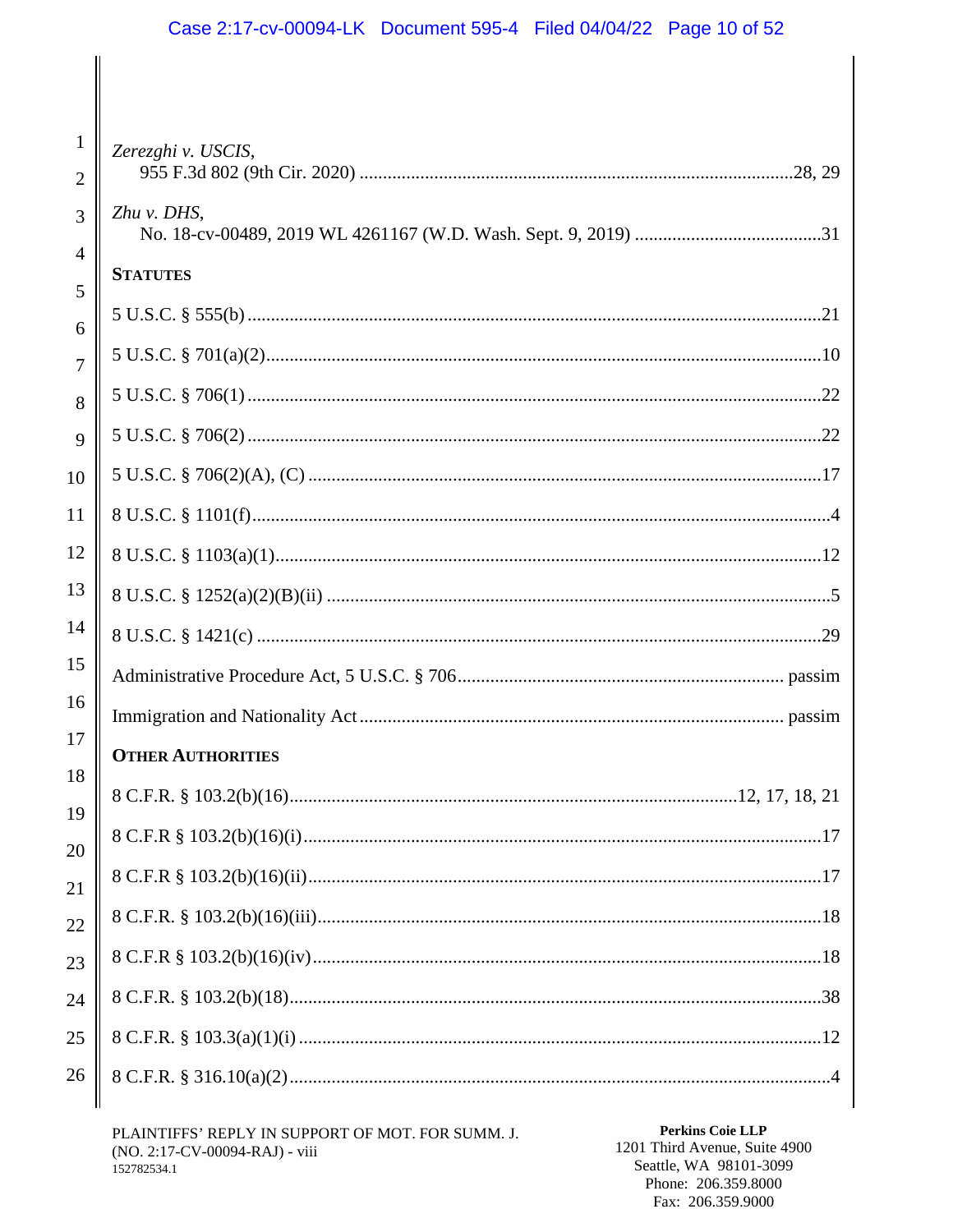#### Case 2:17-cv-00094-LK Document 595-4 Filed 04/04/22 Page 10 of 52

| $\mathbf{1}$        | Zerezghi v. USCIS,             |
|---------------------|--------------------------------|
| $\overline{2}$      |                                |
| 3<br>$\overline{4}$ | Zhu v. DHS,<br><b>STATUTES</b> |
| 5                   |                                |
| 6                   |                                |
| $\overline{7}$      |                                |
| 8                   |                                |
| 9<br>10             |                                |
| 11                  |                                |
| 12                  |                                |
| 13                  |                                |
| 14                  |                                |
| 15                  |                                |
| 16                  |                                |
| 17                  | <b>OTHER AUTHORITIES</b>       |
| 18                  |                                |
| 19<br>20            |                                |
| 21                  |                                |
| 22                  |                                |
| 23                  |                                |
| 24                  |                                |
| 25                  |                                |
| 26                  |                                |

| PLAINTIFFS' REPLY IN SUPPORT OF MOT. FOR SUMM. J. | <b>Perkins Coie LLP</b>       |
|---------------------------------------------------|-------------------------------|
| $(NO. 2:17-CV-00094-RAJ) - viii$                  | 1201 Third Avenue, Suite 4900 |
| 152782534.1                                       | Seattle, WA 98101-3099        |
|                                                   | Phone: 206.359.8000           |
|                                                   | Fax: 206.359.9000             |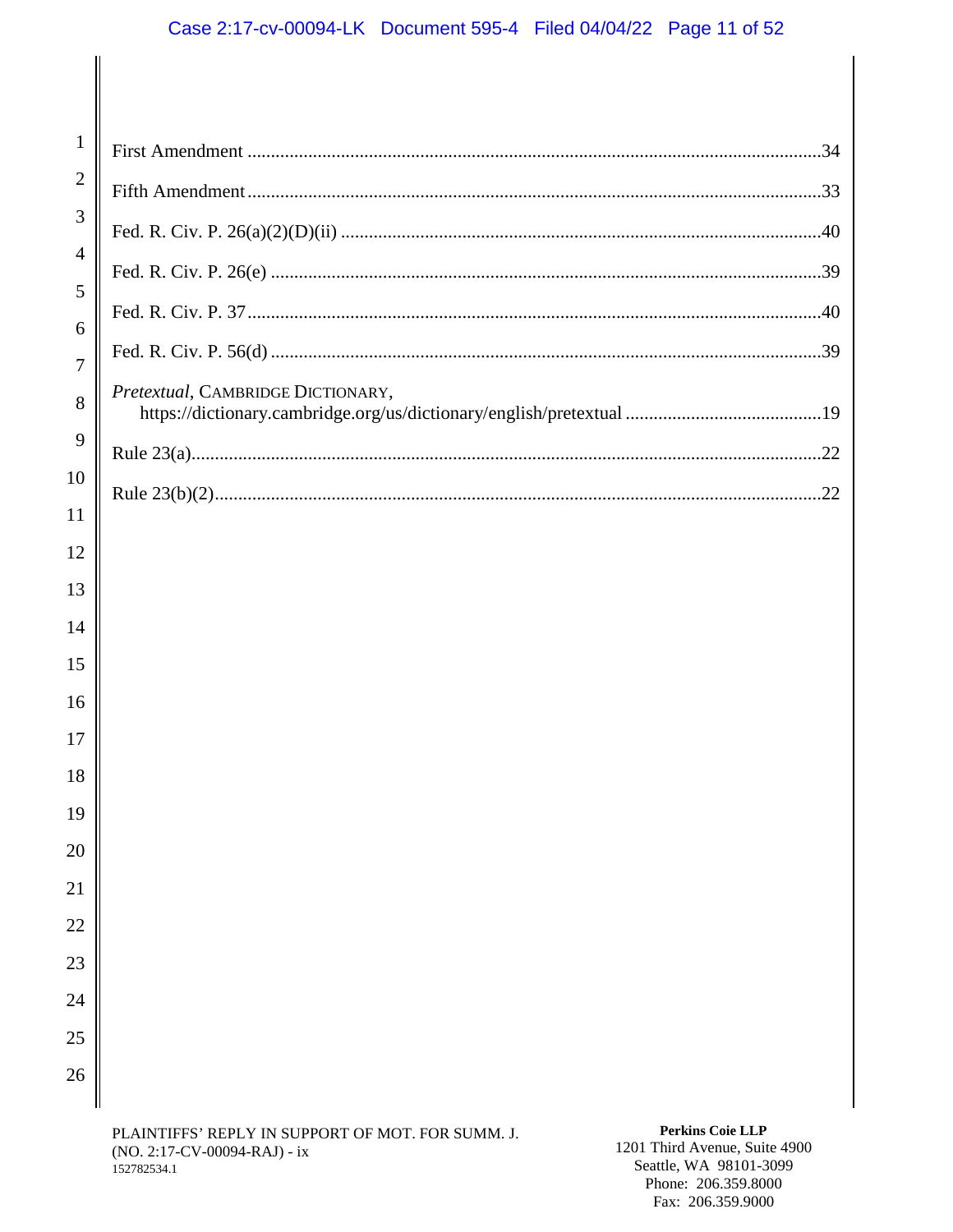#### Case 2:17-cv-00094-LK Document 595-4 Filed 04/04/22 Page 11 of 52

∥

| $\mathbf{1}$   |                                   |
|----------------|-----------------------------------|
| $\overline{2}$ |                                   |
| 3              |                                   |
| $\overline{4}$ |                                   |
| 5              |                                   |
| 6              |                                   |
| $\overline{7}$ | Pretextual, CAMBRIDGE DICTIONARY, |
| 8              |                                   |
| 9              |                                   |
| 10             |                                   |
| 11             |                                   |
| 12             |                                   |
| 13             |                                   |
| 14             |                                   |
| 15             |                                   |
| 16             |                                   |
| 17             |                                   |
| 18             |                                   |
| 19             |                                   |
| 20             |                                   |
| 21             |                                   |
| $22\,$         |                                   |
| 23             |                                   |
| 24             |                                   |
| 25             |                                   |
| 26             |                                   |
|                |                                   |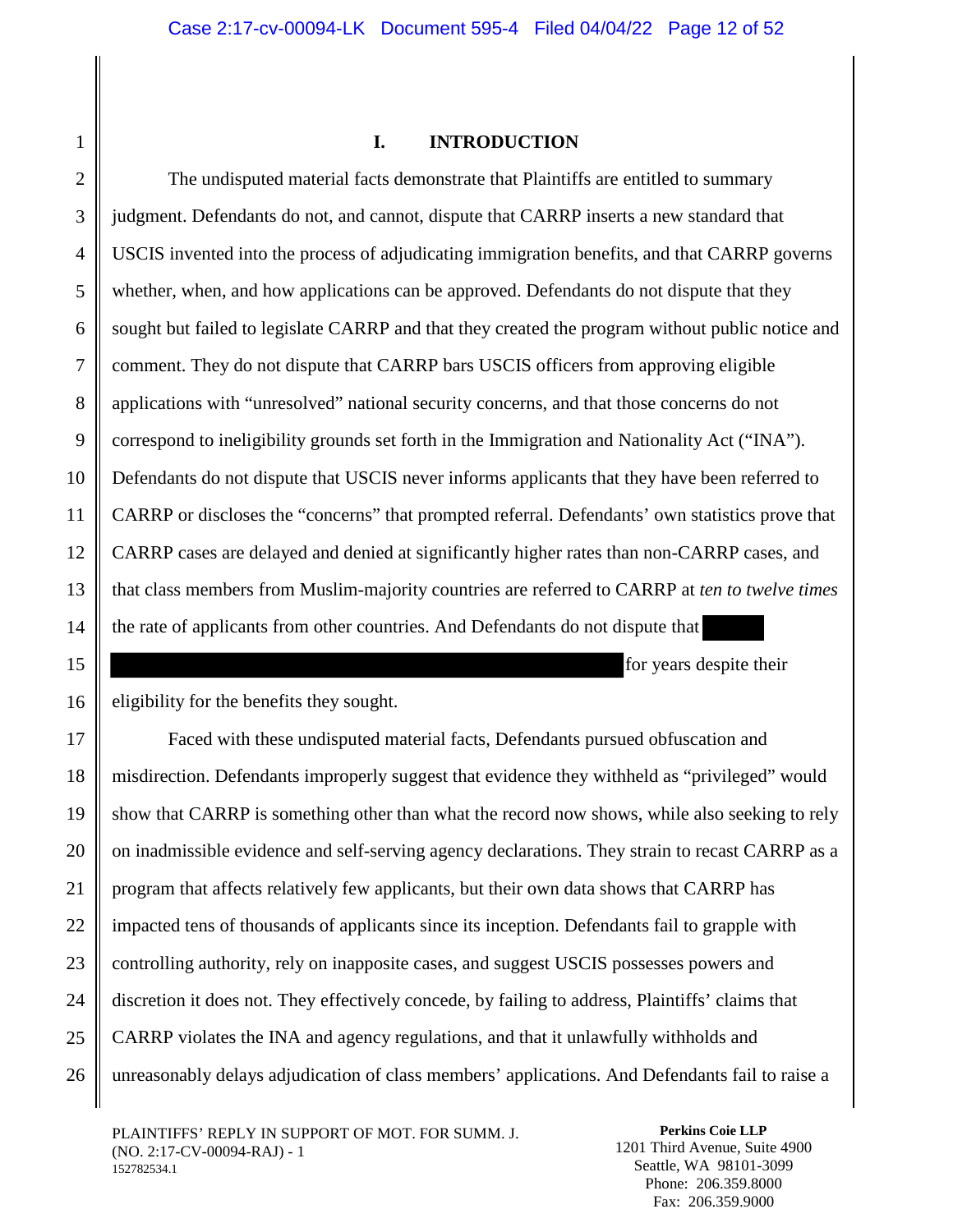26

#### **I. INTRODUCTION**

The undisputed material facts demonstrate that Plaintiffs are entitled to summary judgment. Defendants do not, and cannot, dispute that CARRP inserts a new standard that USCIS invented into the process of adjudicating immigration benefits, and that CARRP governs whether, when, and how applications can be approved. Defendants do not dispute that they sought but failed to legislate CARRP and that they created the program without public notice and comment. They do not dispute that CARRP bars USCIS officers from approving eligible applications with "unresolved" national security concerns, and that those concerns do not correspond to ineligibility grounds set forth in the Immigration and Nationality Act ("INA"). Defendants do not dispute that USCIS never informs applicants that they have been referred to CARRP or discloses the "concerns" that prompted referral. Defendants' own statistics prove that CARRP cases are delayed and denied at significantly higher rates than non-CARRP cases, and that class members from Muslim-majority countries are referred to CARRP at *ten to twelve times* the rate of applicants from other countries. And Defendants do not dispute that

for years despite their

eligibility for the benefits they sought.

Faced with these undisputed material facts, Defendants pursued obfuscation and misdirection. Defendants improperly suggest that evidence they withheld as "privileged" would show that CARRP is something other than what the record now shows, while also seeking to rely on inadmissible evidence and self-serving agency declarations. They strain to recast CARRP as a program that affects relatively few applicants, but their own data shows that CARRP has impacted tens of thousands of applicants since its inception. Defendants fail to grapple with controlling authority, rely on inapposite cases, and suggest USCIS possesses powers and discretion it does not. They effectively concede, by failing to address, Plaintiffs' claims that CARRP violates the INA and agency regulations, and that it unlawfully withholds and unreasonably delays adjudication of class members' applications. And Defendants fail to raise a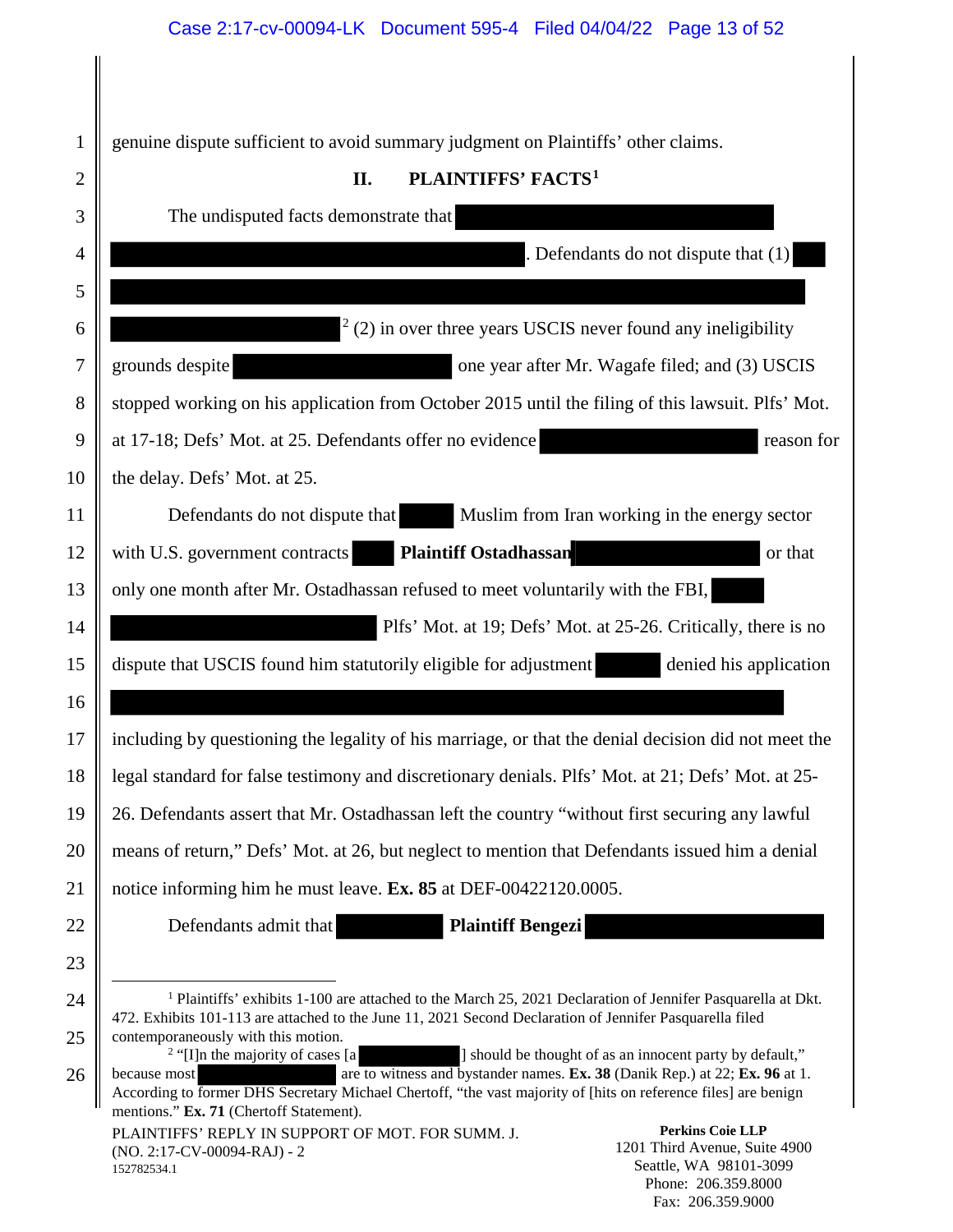#### Case 2:17-cv-00094-LK Document 595-4 Filed 04/04/22 Page 13 of 52

| $\mathbf{1}$   | genuine dispute sufficient to avoid summary judgment on Plaintiffs' other claims.                                                                                                                                                                        |
|----------------|----------------------------------------------------------------------------------------------------------------------------------------------------------------------------------------------------------------------------------------------------------|
| $\overline{2}$ | II.<br><b>PLAINTIFFS' FACTS1</b>                                                                                                                                                                                                                         |
| 3              | The undisputed facts demonstrate that                                                                                                                                                                                                                    |
| 4              | Defendants do not dispute that $(1)$                                                                                                                                                                                                                     |
| 5              |                                                                                                                                                                                                                                                          |
| 6              | $2$ (2) in over three years USCIS never found any ineligibility                                                                                                                                                                                          |
| 7              | grounds despite<br>one year after Mr. Wagafe filed; and (3) USCIS                                                                                                                                                                                        |
| 8              | stopped working on his application from October 2015 until the filing of this lawsuit. Plfs' Mot.                                                                                                                                                        |
| 9              | at 17-18; Defs' Mot. at 25. Defendants offer no evidence<br>reason for                                                                                                                                                                                   |
| 10             | the delay. Defs' Mot. at 25.                                                                                                                                                                                                                             |
| 11             | Defendants do not dispute that<br>Muslim from Iran working in the energy sector                                                                                                                                                                          |
| 12             | <b>Plaintiff Ostadhassan</b><br>with U.S. government contracts<br>or that                                                                                                                                                                                |
| 13             | only one month after Mr. Ostadhassan refused to meet voluntarily with the FBI,                                                                                                                                                                           |
| 14             | Plfs' Mot. at 19; Defs' Mot. at 25-26. Critically, there is no                                                                                                                                                                                           |
| 15             | dispute that USCIS found him statutorily eligible for adjustment<br>denied his application                                                                                                                                                               |
| 16             |                                                                                                                                                                                                                                                          |
| 17             | including by questioning the legality of his marriage, or that the denial decision did not meet the                                                                                                                                                      |
| 18             | legal standard for false testimony and discretionary denials. Plfs' Mot. at 21; Defs' Mot. at 25-                                                                                                                                                        |
| 19             | 26. Defendants assert that Mr. Ostadhassan left the country "without first securing any lawful                                                                                                                                                           |
| 20             | means of return," Defs' Mot. at 26, but neglect to mention that Defendants issued him a denial                                                                                                                                                           |
| 21             | notice informing him he must leave. Ex. 85 at DEF-00422120.0005.                                                                                                                                                                                         |
| 22             | <b>Plaintiff Bengezi</b><br>Defendants admit that                                                                                                                                                                                                        |
| 23             |                                                                                                                                                                                                                                                          |
| 24             | <sup>1</sup> Plaintiffs' exhibits 1-100 are attached to the March 25, 2021 Declaration of Jennifer Pasquarella at Dkt.<br>472. Exhibits 101-113 are attached to the June 11, 2021 Second Declaration of Jennifer Pasquarella filed                       |
| 25             | contemporaneously with this motion.<br><sup>2</sup> "[I]n the majority of cases [a]<br>] should be thought of as an innocent party by default,"                                                                                                          |
| 26             | are to witness and bystander names. Ex. 38 (Danik Rep.) at 22; Ex. 96 at 1.<br>because most<br>According to former DHS Secretary Michael Chertoff, "the vast majority of [hits on reference files] are benign<br>mentions." Ex. 71 (Chertoff Statement). |
|                | Perkins Coie LLP<br>PLAINTIFFS' REPLY IN SUPPORT OF MOT. FOR SUMM. J.<br>1201 Third Avenue, Suite 4900<br>$(NO. 2:17-CV-00094-RAJ) - 2$<br>Seattle, WA 98101-3099<br>152782534.1                                                                         |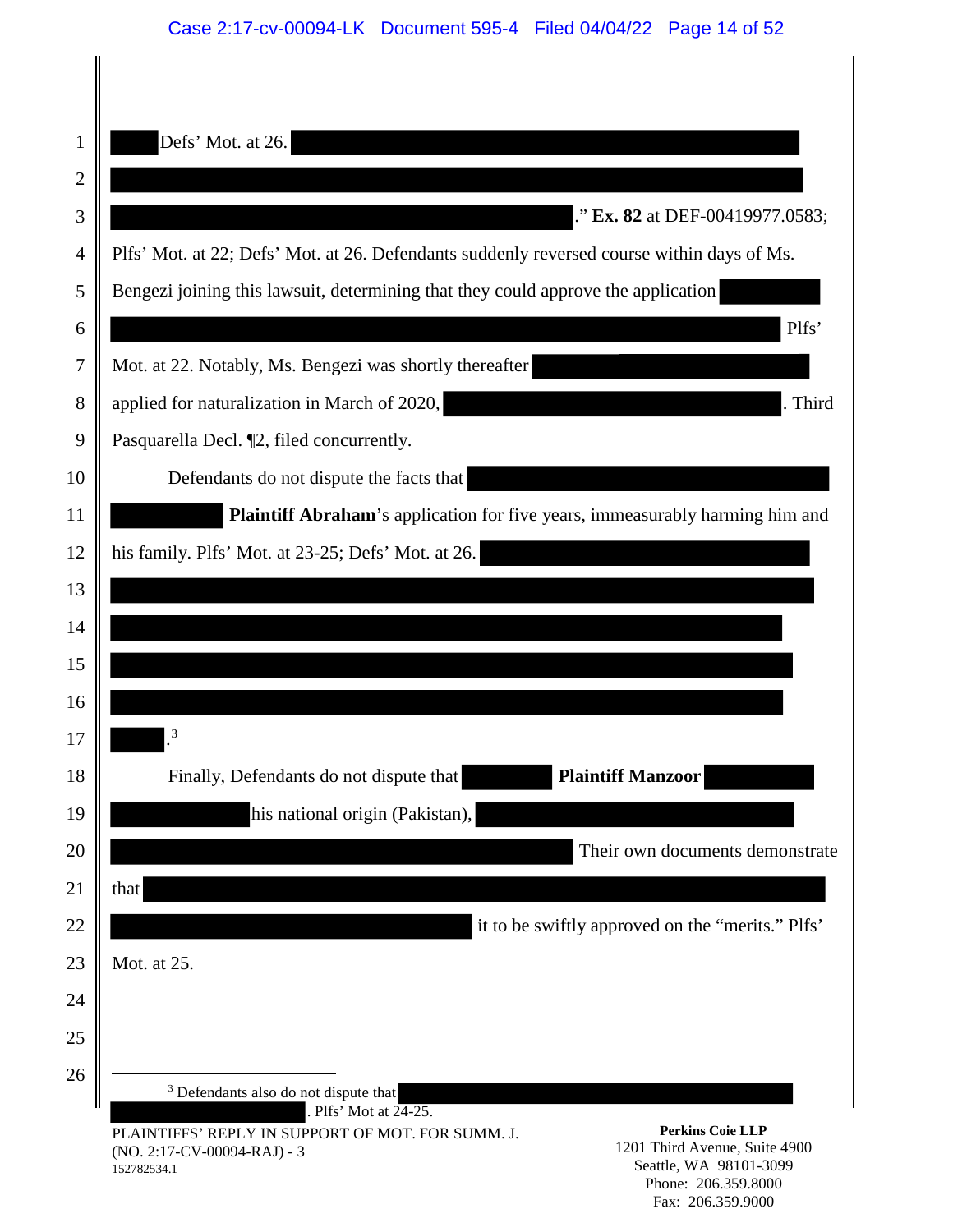#### Case 2:17-cv-00094-LK Document 595-4 Filed 04/04/22 Page 14 of 52

| $\mathbf{1}$   | Defs' Mot. at 26.                                                                                                                                                                                            |
|----------------|--------------------------------------------------------------------------------------------------------------------------------------------------------------------------------------------------------------|
| 2              |                                                                                                                                                                                                              |
| 3              | ." Ex. 82 at DEF-00419977.0583;                                                                                                                                                                              |
| $\overline{4}$ | Plfs' Mot. at 22; Defs' Mot. at 26. Defendants suddenly reversed course within days of Ms.                                                                                                                   |
| 5              | Bengezi joining this lawsuit, determining that they could approve the application                                                                                                                            |
| 6              | Plfs'                                                                                                                                                                                                        |
| 7              | Mot. at 22. Notably, Ms. Bengezi was shortly thereafter                                                                                                                                                      |
| 8              | applied for naturalization in March of 2020,<br>. Third                                                                                                                                                      |
| 9              | Pasquarella Decl. [2, filed concurrently.                                                                                                                                                                    |
| 10             | Defendants do not dispute the facts that                                                                                                                                                                     |
| 11             | Plaintiff Abraham's application for five years, immeasurably harming him and                                                                                                                                 |
| 12             | his family. Plfs' Mot. at 23-25; Defs' Mot. at 26.                                                                                                                                                           |
| 13             |                                                                                                                                                                                                              |
| 14             |                                                                                                                                                                                                              |
| 15             |                                                                                                                                                                                                              |
| 16             |                                                                                                                                                                                                              |
| 17             | 3                                                                                                                                                                                                            |
| 18             | <b>Plaintiff Manzoor</b><br>Finally, Defendants do not dispute that                                                                                                                                          |
| 19             | his national origin (Pakistan),                                                                                                                                                                              |
| 20             | Their own documents demonstrate                                                                                                                                                                              |
| 21             | that                                                                                                                                                                                                         |
| 22             | it to be swiftly approved on the "merits." Plfs"                                                                                                                                                             |
| 23             | Mot. at 25.                                                                                                                                                                                                  |
| 24             |                                                                                                                                                                                                              |
| 25             |                                                                                                                                                                                                              |
| 26             | <sup>3</sup> Defendants also do not dispute that<br>Plfs' Mot at $24-25$ .                                                                                                                                   |
|                | <b>Perkins Coie LLP</b><br>PLAINTIFFS' REPLY IN SUPPORT OF MOT. FOR SUMM. J.<br>1201 Third Avenue, Suite 4900<br>(NO. 2:17-CV-00094-RAJ) - 3<br>Seattle, WA 98101-3099<br>152782534.1<br>Phone: 206.359.8000 |

Fax: 206.359.9000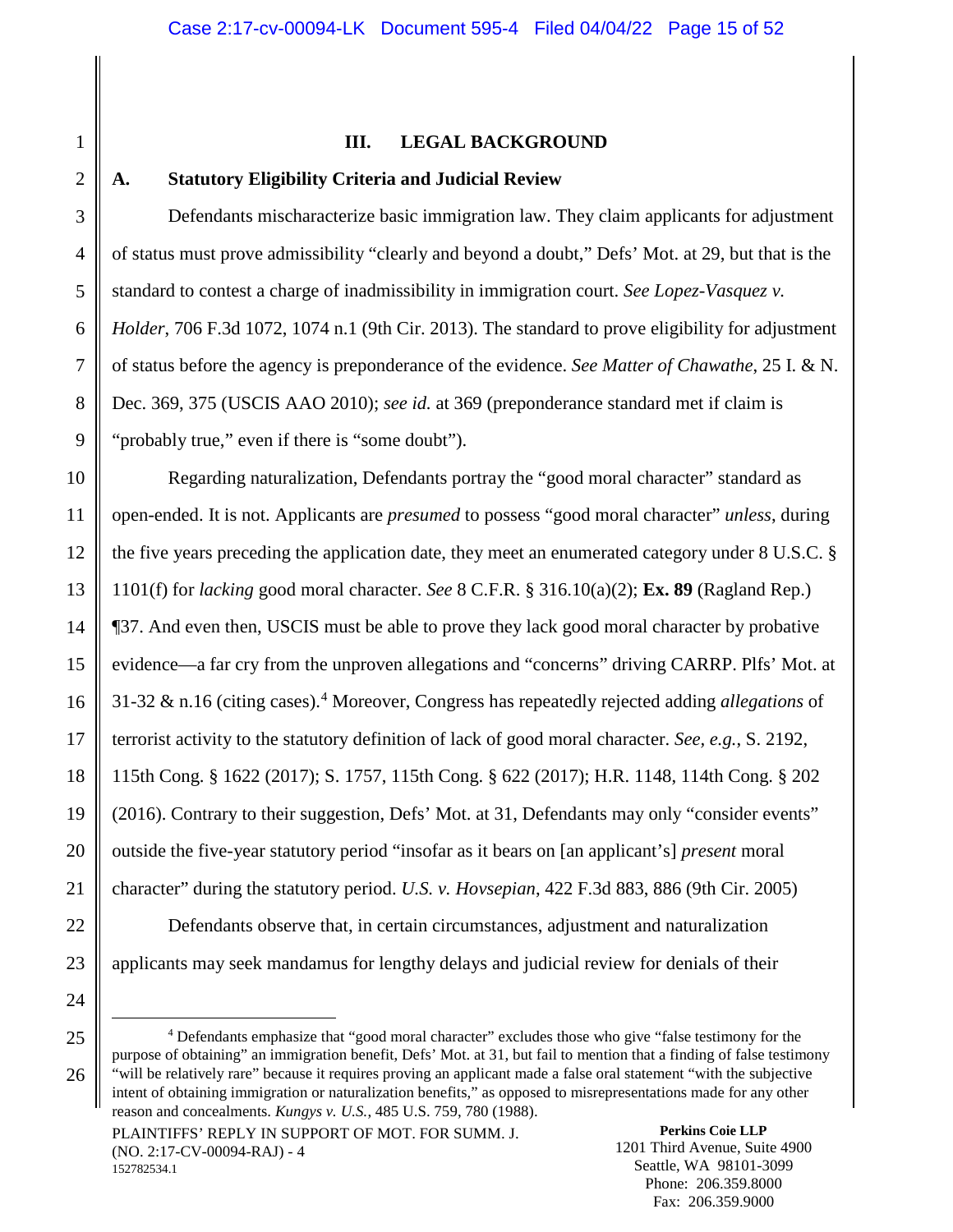## 1 2 3 4 5 6 7 8 9 10 11 12 13 14 15 16 17 18 19 20 21 22 23 24 25 26

#### **III. LEGAL BACKGROUND**

#### **A. Statutory Eligibility Criteria and Judicial Review**

Defendants mischaracterize basic immigration law. They claim applicants for adjustment of status must prove admissibility "clearly and beyond a doubt," Defs' Mot. at 29, but that is the standard to contest a charge of inadmissibility in immigration court. *See Lopez-Vasquez v. Holder*, 706 F.3d 1072, 1074 n.1 (9th Cir. 2013). The standard to prove eligibility for adjustment of status before the agency is preponderance of the evidence. *See Matter of Chawathe*, 25 I. & N. Dec. 369, 375 (USCIS AAO 2010); *see id.* at 369 (preponderance standard met if claim is "probably true," even if there is "some doubt").

Regarding naturalization, Defendants portray the "good moral character" standard as open-ended. It is not. Applicants are *presumed* to possess "good moral character" *unless*, during the five years preceding the application date, they meet an enumerated category under 8 U.S.C. § 1101(f) for *lacking* good moral character. *See* 8 C.F.R. § 316.10(a)(2); **Ex. 89** (Ragland Rep.) ¶37. And even then, USCIS must be able to prove they lack good moral character by probative evidence—a far cry from the unproven allegations and "concerns" driving CARRP. Plfs' Mot. at 31-32 & n.16 (citing cases).<sup>4</sup> Moreover, Congress has repeatedly rejected adding *allegations* of terrorist activity to the statutory definition of lack of good moral character. *See, e.g.*, S. 2192, 115th Cong. § 1622 (2017); S. 1757, 115th Cong. § 622 (2017); H.R. 1148, 114th Cong. § 202 (2016). Contrary to their suggestion, Defs' Mot. at 31, Defendants may only "consider events" outside the five-year statutory period "insofar as it bears on [an applicant's] *present* moral character" during the statutory period. *U.S. v. Hovsepian*, 422 F.3d 883, 886 (9th Cir. 2005) Defendants observe that, in certain circumstances, adjustment and naturalization

applicants may seek mandamus for lengthy delays and judicial review for denials of their

 <sup>4</sup> Defendants emphasize that "good moral character" excludes those who give "false testimony for the purpose of obtaining" an immigration benefit, Defs' Mot. at 31, but fail to mention that a finding of false testimony "will be relatively rare" because it requires proving an applicant made a false oral statement "with the subjective intent of obtaining immigration or naturalization benefits," as opposed to misrepresentations made for any other reason and concealments. *Kungys v. U.S.*, 485 U.S. 759, 780 (1988).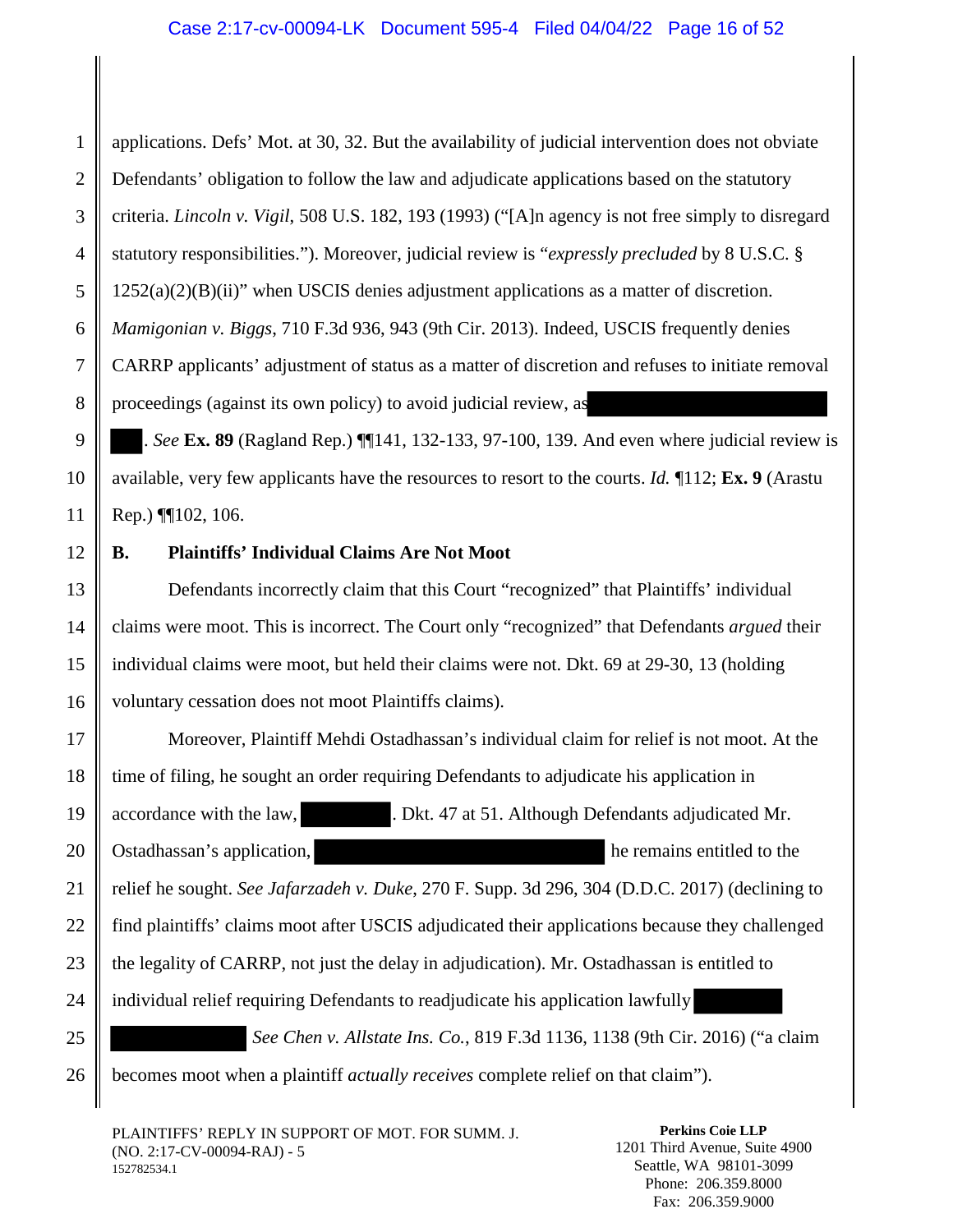applications. Defs' Mot. at 30, 32. But the availability of judicial intervention does not obviate Defendants' obligation to follow the law and adjudicate applications based on the statutory criteria. *Lincoln v. Vigil*, 508 U.S. 182, 193 (1993) ("[A]n agency is not free simply to disregard statutory responsibilities."). Moreover, judicial review is "*expressly precluded* by 8 U.S.C. §  $1252(a)(2)(B)(ii)$ " when USCIS denies adjustment applications as a matter of discretion. *Mamigonian v. Biggs*, 710 F.3d 936, 943 (9th Cir. 2013). Indeed, USCIS frequently denies CARRP applicants' adjustment of status as a matter of discretion and refuses to initiate removal proceedings (against its own policy) to avoid judicial review, as

. *See* **Ex. 89** (Ragland Rep.) ¶¶141, 132-133, 97-100, 139. And even where judicial review is available, very few applicants have the resources to resort to the courts. *Id.* ¶112; **Ex. 9** (Arastu Rep.) ¶¶102, 106.

#### **B. Plaintiffs' Individual Claims Are Not Moot**

Defendants incorrectly claim that this Court "recognized" that Plaintiffs' individual claims were moot. This is incorrect. The Court only "recognized" that Defendants *argued* their individual claims were moot, but held their claims were not. Dkt. 69 at 29-30, 13 (holding voluntary cessation does not moot Plaintiffs claims).

Moreover, Plaintiff Mehdi Ostadhassan's individual claim for relief is not moot. At the time of filing, he sought an order requiring Defendants to adjudicate his application in accordance with the law, . Dkt. 47 at 51. Although Defendants adjudicated Mr. Ostadhassan's application, he remains entitled to the relief he sought. *See Jafarzadeh v. Duke*, 270 F. Supp. 3d 296, 304 (D.D.C. 2017) (declining to find plaintiffs' claims moot after USCIS adjudicated their applications because they challenged the legality of CARRP, not just the delay in adjudication). Mr. Ostadhassan is entitled to individual relief requiring Defendants to readjudicate his application lawfully *See Chen v. Allstate Ins. Co.*, 819 F.3d 1136, 1138 (9th Cir. 2016) ("a claim becomes moot when a plaintiff *actually receives* complete relief on that claim").

PLAINTIFFS' REPLY IN SUPPORT OF MOT. FOR SUMM. J. (NO. 2:17-CV-00094-RAJ) - 5 152782534.1

**Perkins Coie LLP** 1201 Third Avenue, Suite 4900 Seattle, WA 98101-3099 Phone: 206.359.8000 Fax: 206.359.9000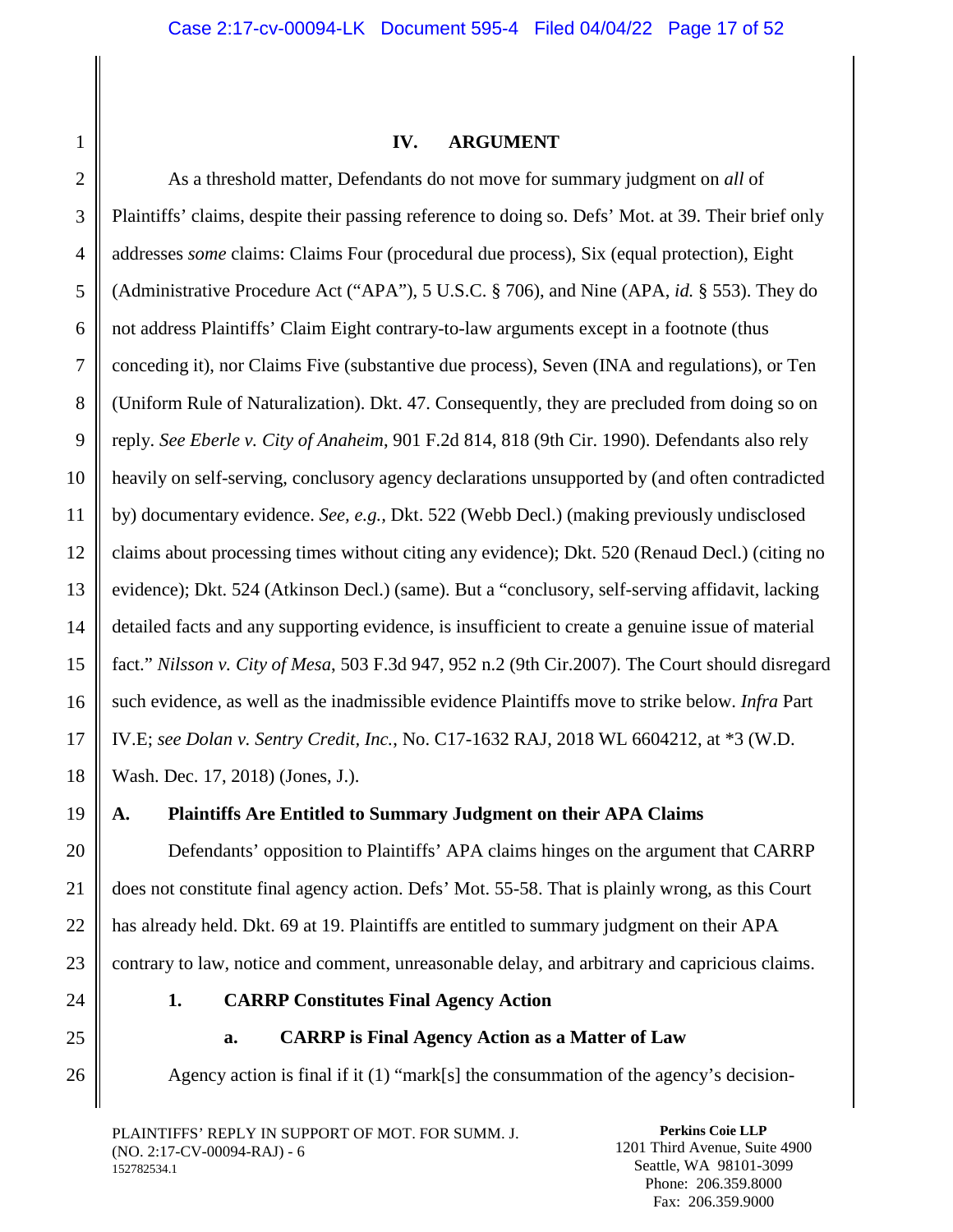#### **IV. ARGUMENT**

As a threshold matter, Defendants do not move for summary judgment on *all* of Plaintiffs' claims, despite their passing reference to doing so. Defs' Mot. at 39. Their brief only addresses *some* claims: Claims Four (procedural due process), Six (equal protection), Eight (Administrative Procedure Act ("APA"), 5 U.S.C. § 706), and Nine (APA, *id.* § 553). They do not address Plaintiffs' Claim Eight contrary-to-law arguments except in a footnote (thus conceding it), nor Claims Five (substantive due process), Seven (INA and regulations), or Ten (Uniform Rule of Naturalization). Dkt. 47. Consequently, they are precluded from doing so on reply. *See Eberle v. City of Anaheim*, 901 F.2d 814, 818 (9th Cir. 1990). Defendants also rely heavily on self-serving, conclusory agency declarations unsupported by (and often contradicted by) documentary evidence. *See, e.g.,* Dkt. 522 (Webb Decl.) (making previously undisclosed claims about processing times without citing any evidence); Dkt. 520 (Renaud Decl.) (citing no evidence); Dkt. 524 (Atkinson Decl.) (same). But a "conclusory, self-serving affidavit, lacking detailed facts and any supporting evidence, is insufficient to create a genuine issue of material fact." *Nilsson v. City of Mesa*, 503 F.3d 947, 952 n.2 (9th Cir.2007). The Court should disregard such evidence, as well as the inadmissible evidence Plaintiffs move to strike below. *Infra* Part IV.E; *see Dolan v. Sentry Credit, Inc.*, No. C17-1632 RAJ, 2018 WL 6604212, at \*3 (W.D. Wash. Dec. 17, 2018) (Jones, J.).

#### **A. Plaintiffs Are Entitled to Summary Judgment on their APA Claims**

Defendants' opposition to Plaintiffs' APA claims hinges on the argument that CARRP does not constitute final agency action. Defs' Mot. 55-58. That is plainly wrong, as this Court has already held. Dkt. 69 at 19. Plaintiffs are entitled to summary judgment on their APA contrary to law, notice and comment, unreasonable delay, and arbitrary and capricious claims.

#### **1. CARRP Constitutes Final Agency Action**

#### **a. CARRP is Final Agency Action as a Matter of Law**

Agency action is final if it (1) "mark[s] the consummation of the agency's decision-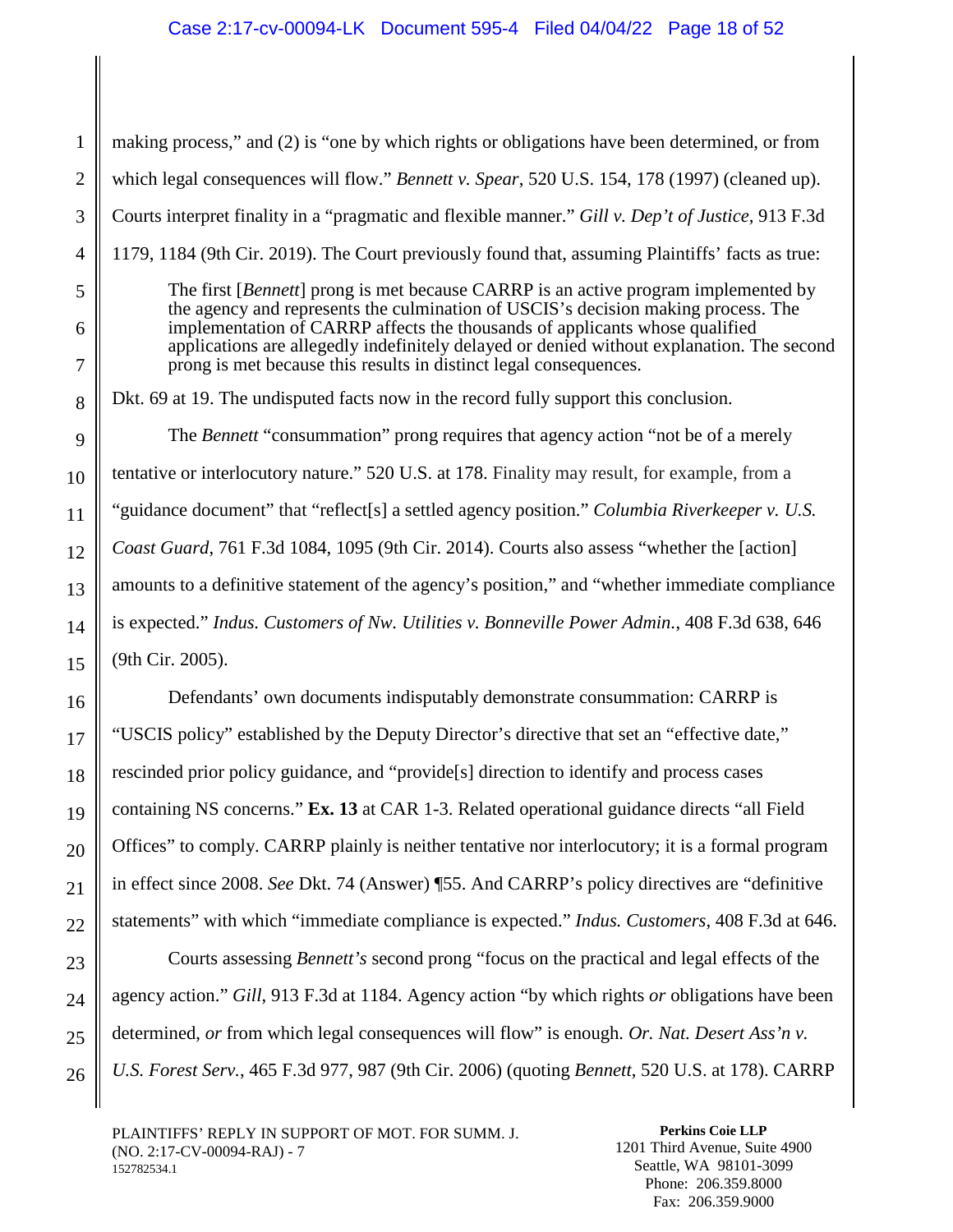#### Case 2:17-cv-00094-LK Document 595-4 Filed 04/04/22 Page 18 of 52

1

2

3

4

5

6

7

8

9

10

11

12

13

14

15

16

17

18

19

20

21

22

23

24

25

26

making process," and (2) is "one by which rights or obligations have been determined, or from which legal consequences will flow." *Bennett v. Spear*, 520 U.S. 154, 178 (1997) (cleaned up). Courts interpret finality in a "pragmatic and flexible manner." *Gill v. Dep't of Justice*, 913 F.3d 1179, 1184 (9th Cir. 2019). The Court previously found that, assuming Plaintiffs' facts as true: The first [*Bennett*] prong is met because CARRP is an active program implemented by the agency and represents the culmination of USCIS's decision making process. The implementation of CARRP affects the thousands of applicants whose qualified applications are allegedly indefinitely delayed or denied without explanation. The second prong is met because this results in distinct legal consequences. Dkt. 69 at 19. The undisputed facts now in the record fully support this conclusion. The *Bennett* "consummation" prong requires that agency action "not be of a merely tentative or interlocutory nature." 520 U.S. at 178. Finality may result, for example, from a "guidance document" that "reflect[s] a settled agency position." *Columbia Riverkeeper v. U.S. Coast Guard*, 761 F.3d 1084, 1095 (9th Cir. 2014). Courts also assess "whether the [action] amounts to a definitive statement of the agency's position," and "whether immediate compliance is expected." *Indus. Customers of Nw. Utilities v. Bonneville Power Admin.*, 408 F.3d 638, 646 (9th Cir. 2005).

Defendants' own documents indisputably demonstrate consummation: CARRP is "USCIS policy" established by the Deputy Director's directive that set an "effective date," rescinded prior policy guidance, and "provide[s] direction to identify and process cases containing NS concerns." **Ex. 13** at CAR 1-3. Related operational guidance directs "all Field Offices" to comply. CARRP plainly is neither tentative nor interlocutory; it is a formal program in effect since 2008. *See* Dkt. 74 (Answer) ¶55. And CARRP's policy directives are "definitive statements" with which "immediate compliance is expected." *Indus. Customers*, 408 F.3d at 646.

Courts assessing *Bennett's* second prong "focus on the practical and legal effects of the agency action." *Gill*, 913 F.3d at 1184. Agency action "by which rights *or* obligations have been determined, *or* from which legal consequences will flow" is enough. *Or. Nat. Desert Ass'n v. U.S. Forest Serv.*, 465 F.3d 977, 987 (9th Cir. 2006) (quoting *Bennett*, 520 U.S. at 178). CARRP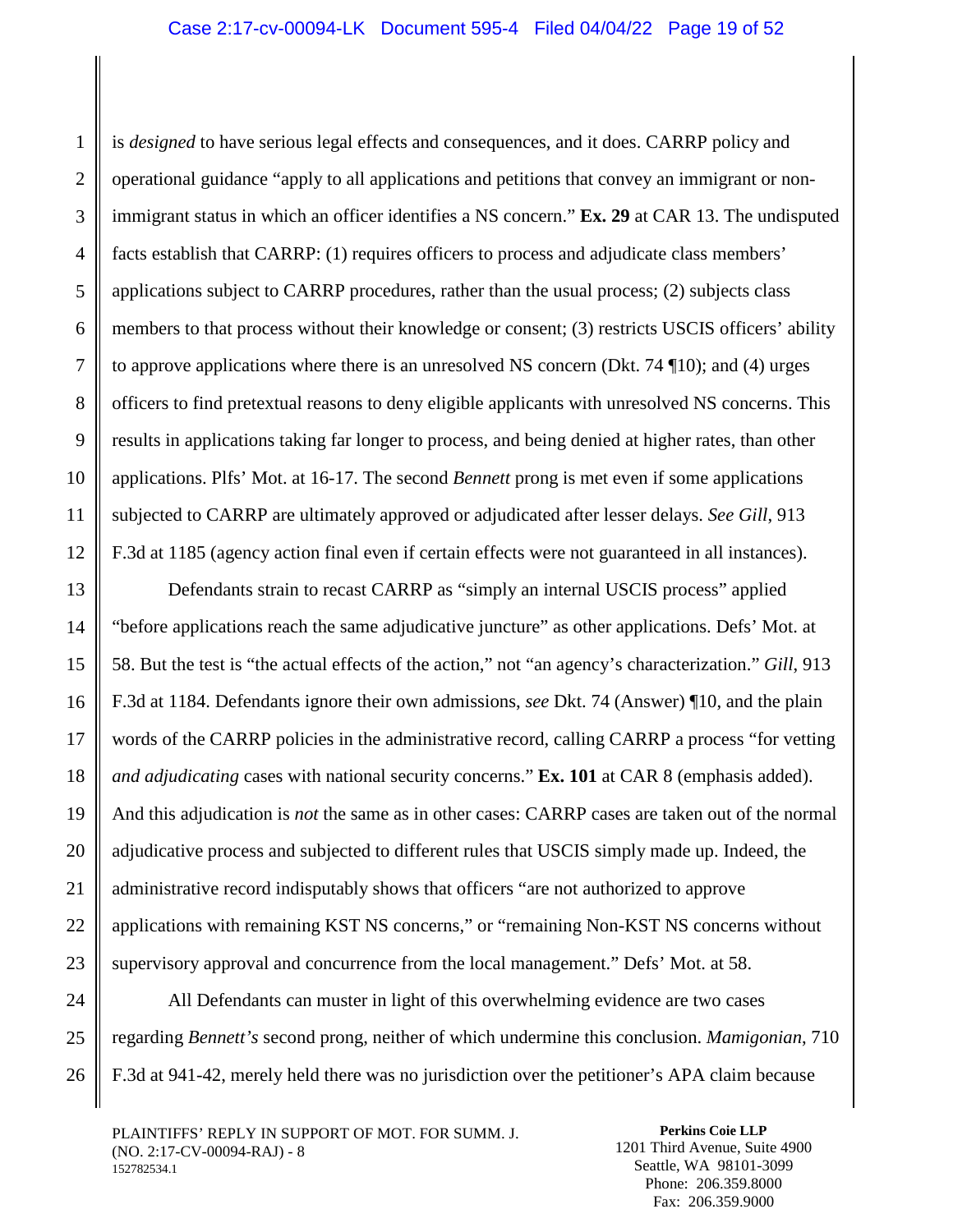is *designed* to have serious legal effects and consequences, and it does. CARRP policy and operational guidance "apply to all applications and petitions that convey an immigrant or nonimmigrant status in which an officer identifies a NS concern." **Ex. 29** at CAR 13. The undisputed facts establish that CARRP: (1) requires officers to process and adjudicate class members' applications subject to CARRP procedures, rather than the usual process; (2) subjects class members to that process without their knowledge or consent; (3) restricts USCIS officers' ability to approve applications where there is an unresolved NS concern (Dkt. 74 ¶10); and (4) urges officers to find pretextual reasons to deny eligible applicants with unresolved NS concerns. This results in applications taking far longer to process, and being denied at higher rates, than other applications. Plfs' Mot. at 16-17. The second *Bennett* prong is met even if some applications subjected to CARRP are ultimately approved or adjudicated after lesser delays. *See Gill*, 913 F.3d at 1185 (agency action final even if certain effects were not guaranteed in all instances).

Defendants strain to recast CARRP as "simply an internal USCIS process" applied "before applications reach the same adjudicative juncture" as other applications. Defs' Mot. at 58. But the test is "the actual effects of the action," not "an agency's characterization." *Gill*, 913 F.3d at 1184. Defendants ignore their own admissions, *see* Dkt. 74 (Answer) ¶10, and the plain words of the CARRP policies in the administrative record, calling CARRP a process "for vetting *and adjudicating* cases with national security concerns." **Ex. 101** at CAR 8 (emphasis added). And this adjudication is *not* the same as in other cases: CARRP cases are taken out of the normal adjudicative process and subjected to different rules that USCIS simply made up. Indeed, the administrative record indisputably shows that officers "are not authorized to approve applications with remaining KST NS concerns," or "remaining Non-KST NS concerns without supervisory approval and concurrence from the local management." Defs' Mot. at 58.

All Defendants can muster in light of this overwhelming evidence are two cases regarding *Bennett's* second prong, neither of which undermine this conclusion. *Mamigonian*, 710 F.3d at 941-42, merely held there was no jurisdiction over the petitioner's APA claim because

**Perkins Coie LLP** 1201 Third Avenue, Suite 4900 Seattle, WA 98101-3099 Phone: 206.359.8000 Fax: 206.359.9000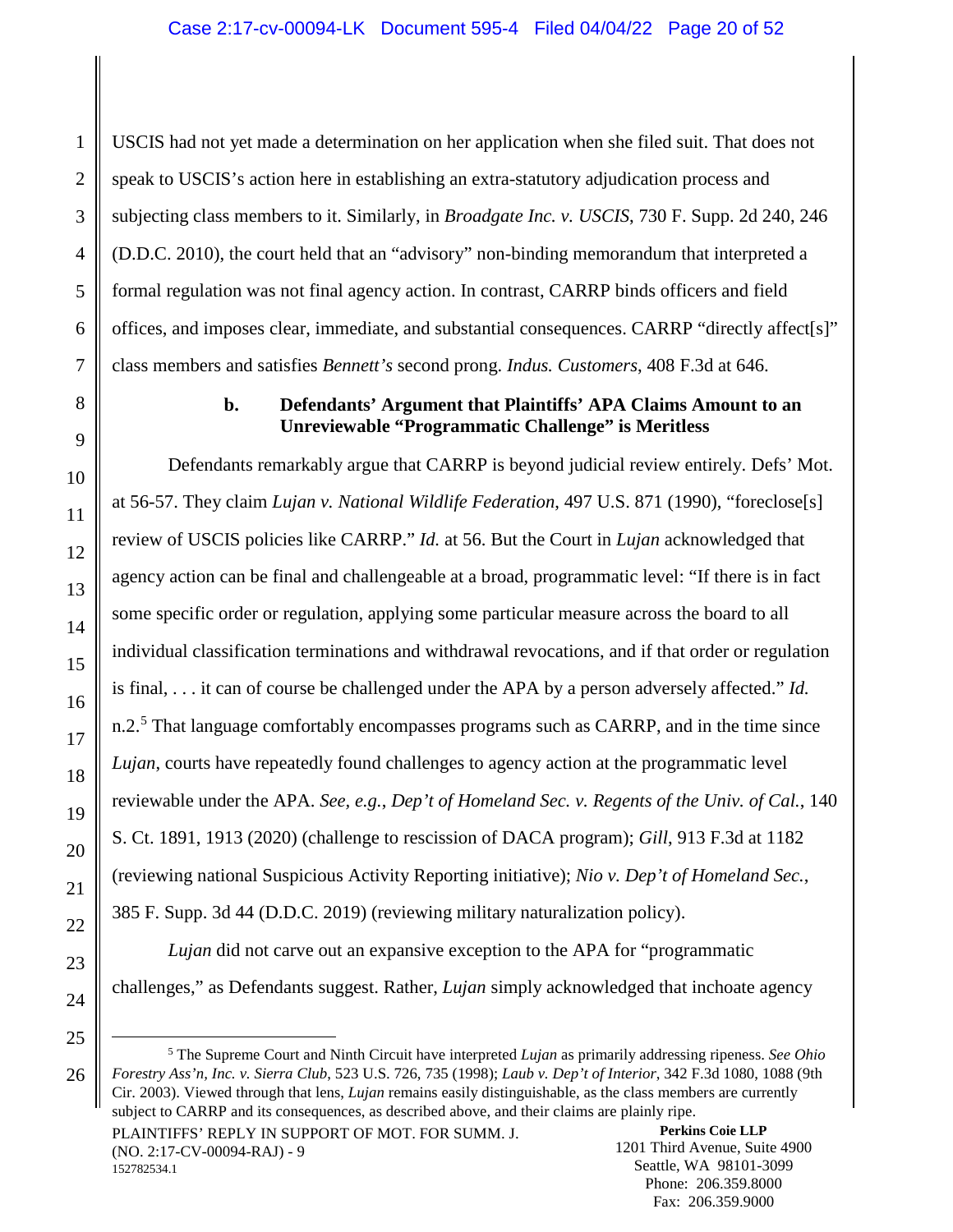USCIS had not yet made a determination on her application when she filed suit. That does not speak to USCIS's action here in establishing an extra-statutory adjudication process and subjecting class members to it. Similarly, in *Broadgate Inc. v. USCIS*, 730 F. Supp. 2d 240, 246 (D.D.C. 2010), the court held that an "advisory" non-binding memorandum that interpreted a formal regulation was not final agency action. In contrast, CARRP binds officers and field offices, and imposes clear, immediate, and substantial consequences. CARRP "directly affect[s]" class members and satisfies *Bennett's* second prong. *Indus. Customers*, 408 F.3d at 646.

#### **b. Defendants' Argument that Plaintiffs' APA Claims Amount to an Unreviewable "Programmatic Challenge" is Meritless**

Defendants remarkably argue that CARRP is beyond judicial review entirely. Defs' Mot. at 56-57. They claim *Lujan v. National Wildlife Federation*, 497 U.S. 871 (1990), "foreclose[s] review of USCIS policies like CARRP." *Id.* at 56. But the Court in *Lujan* acknowledged that agency action can be final and challengeable at a broad, programmatic level: "If there is in fact some specific order or regulation, applying some particular measure across the board to all individual classification terminations and withdrawal revocations, and if that order or regulation is final, . . . it can of course be challenged under the APA by a person adversely affected." *Id.* n.2.<sup>5</sup> That language comfortably encompasses programs such as CARRP, and in the time since *Lujan*, courts have repeatedly found challenges to agency action at the programmatic level reviewable under the APA. *See, e.g.*, *Dep't of Homeland Sec. v. Regents of the Univ. of Cal.*, 140 S. Ct. 1891, 1913 (2020) (challenge to rescission of DACA program); *Gill*, 913 F.3d at 1182 (reviewing national Suspicious Activity Reporting initiative); *Nio v. Dep't of Homeland Sec.*, 385 F. Supp. 3d 44 (D.D.C. 2019) (reviewing military naturalization policy).

*Lujan* did not carve out an expansive exception to the APA for "programmatic challenges," as Defendants suggest. Rather, *Lujan* simply acknowledged that inchoate agency

PLAINTIFFS' REPLY IN SUPPORT OF MOT. FOR SUMM. J. (NO. 2:17-CV-00094-RAJ) - 9 152782534.1

 <sup>5</sup> The Supreme Court and Ninth Circuit have interpreted *Lujan* as primarily addressing ripeness. *See Ohio Forestry Ass'n, Inc. v. Sierra Club*, 523 U.S. 726, 735 (1998); *Laub v. Dep't of Interior*, 342 F.3d 1080, 1088 (9th Cir. 2003). Viewed through that lens, *Lujan* remains easily distinguishable, as the class members are currently subject to CARRP and its consequences, as described above, and their claims are plainly ripe.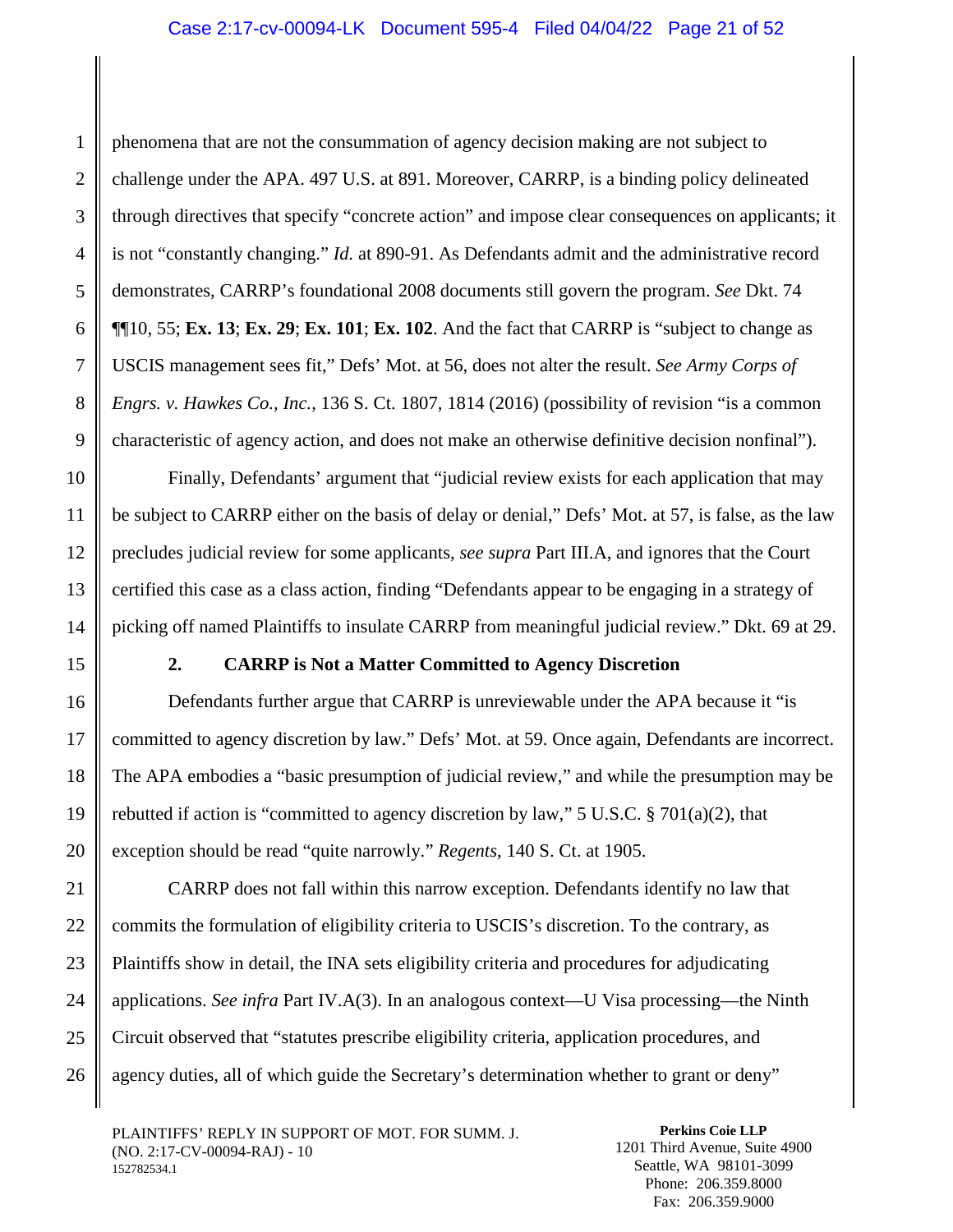phenomena that are not the consummation of agency decision making are not subject to challenge under the APA. 497 U.S. at 891. Moreover, CARRP, is a binding policy delineated through directives that specify "concrete action" and impose clear consequences on applicants; it is not "constantly changing." *Id.* at 890-91. As Defendants admit and the administrative record demonstrates, CARRP's foundational 2008 documents still govern the program. *See* Dkt. 74 ¶¶10, 55; **Ex. 13**; **Ex. 29**; **Ex. 101**; **Ex. 102**. And the fact that CARRP is "subject to change as USCIS management sees fit," Defs' Mot. at 56, does not alter the result. *See Army Corps of Engrs. v. Hawkes Co., Inc.*, 136 S. Ct. 1807, 1814 (2016) (possibility of revision "is a common characteristic of agency action, and does not make an otherwise definitive decision nonfinal").

Finally, Defendants' argument that "judicial review exists for each application that may be subject to CARRP either on the basis of delay or denial," Defs' Mot. at 57, is false, as the law precludes judicial review for some applicants, *see supra* Part III.A, and ignores that the Court certified this case as a class action, finding "Defendants appear to be engaging in a strategy of picking off named Plaintiffs to insulate CARRP from meaningful judicial review." Dkt. 69 at 29.

#### **2. CARRP is Not a Matter Committed to Agency Discretion**

Defendants further argue that CARRP is unreviewable under the APA because it "is committed to agency discretion by law." Defs' Mot. at 59. Once again, Defendants are incorrect. The APA embodies a "basic presumption of judicial review," and while the presumption may be rebutted if action is "committed to agency discretion by law," 5 U.S.C. § 701(a)(2), that exception should be read "quite narrowly." *Regents*, 140 S. Ct. at 1905.

CARRP does not fall within this narrow exception. Defendants identify no law that commits the formulation of eligibility criteria to USCIS's discretion. To the contrary, as Plaintiffs show in detail, the INA sets eligibility criteria and procedures for adjudicating applications. *See infra* Part IV.A(3). In an analogous context—U Visa processing—the Ninth Circuit observed that "statutes prescribe eligibility criteria, application procedures, and agency duties, all of which guide the Secretary's determination whether to grant or deny"

PLAINTIFFS' REPLY IN SUPPORT OF MOT. FOR SUMM. J. (NO. 2:17-CV-00094-RAJ) - 10 152782534.1

**Perkins Coie LLP** 1201 Third Avenue, Suite 4900 Seattle, WA 98101-3099 Phone: 206.359.8000 Fax: 206.359.9000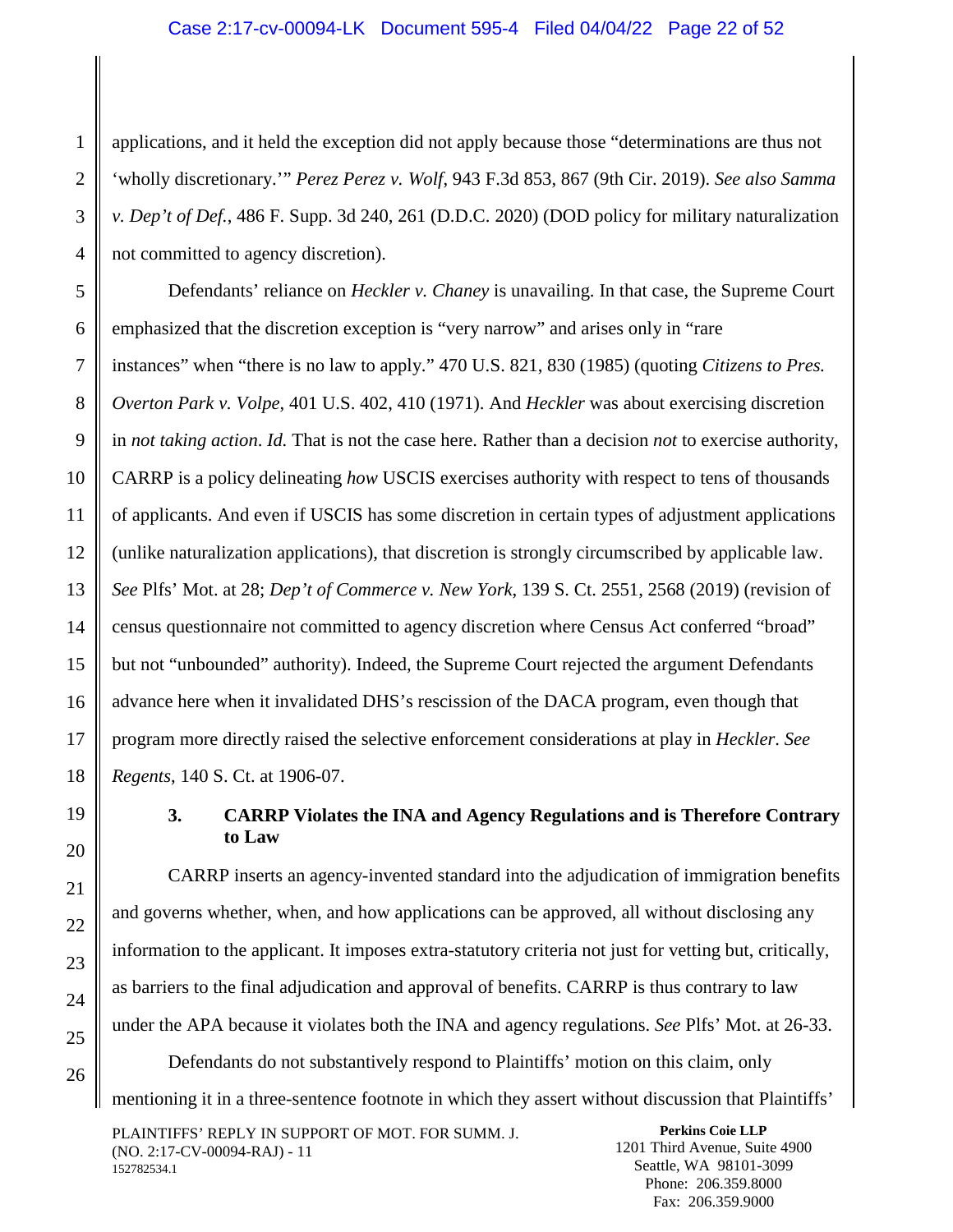applications, and it held the exception did not apply because those "determinations are thus not 'wholly discretionary.'" *Perez Perez v. Wolf*, 943 F.3d 853, 867 (9th Cir. 2019). *See also Samma v. Dep't of Def.*, 486 F. Supp. 3d 240, 261 (D.D.C. 2020) (DOD policy for military naturalization not committed to agency discretion).

Defendants' reliance on *Heckler v. Chaney* is unavailing. In that case, the Supreme Court emphasized that the discretion exception is "very narrow" and arises only in "rare instances" when "there is no law to apply." 470 U.S. 821, 830 (1985) (quoting *Citizens to Pres. Overton Park v. Volpe*, 401 U.S. 402, 410 (1971). And *Heckler* was about exercising discretion in *not taking action*. *Id.* That is not the case here. Rather than a decision *not* to exercise authority, CARRP is a policy delineating *how* USCIS exercises authority with respect to tens of thousands of applicants. And even if USCIS has some discretion in certain types of adjustment applications (unlike naturalization applications), that discretion is strongly circumscribed by applicable law. *See* Plfs' Mot. at 28; *Dep't of Commerce v. New York*, 139 S. Ct. 2551, 2568 (2019) (revision of census questionnaire not committed to agency discretion where Census Act conferred "broad" but not "unbounded" authority). Indeed, the Supreme Court rejected the argument Defendants advance here when it invalidated DHS's rescission of the DACA program, even though that program more directly raised the selective enforcement considerations at play in *Heckler*. *See Regents*, 140 S. Ct. at 1906-07.

#### **3. CARRP Violates the INA and Agency Regulations and is Therefore Contrary to Law**

CARRP inserts an agency-invented standard into the adjudication of immigration benefits and governs whether, when, and how applications can be approved, all without disclosing any information to the applicant. It imposes extra-statutory criteria not just for vetting but, critically, as barriers to the final adjudication and approval of benefits. CARRP is thus contrary to law under the APA because it violates both the INA and agency regulations. *See* Plfs' Mot. at 26-33.

Defendants do not substantively respond to Plaintiffs' motion on this claim, only mentioning it in a three-sentence footnote in which they assert without discussion that Plaintiffs'

PLAINTIFFS' REPLY IN SUPPORT OF MOT. FOR SUMM. J. (NO. 2:17-CV-00094-RAJ) - 11 152782534.1

**Perkins Coie LLP** 1201 Third Avenue, Suite 4900 Seattle, WA 98101-3099 Phone: 206.359.8000 Fax: 206.359.9000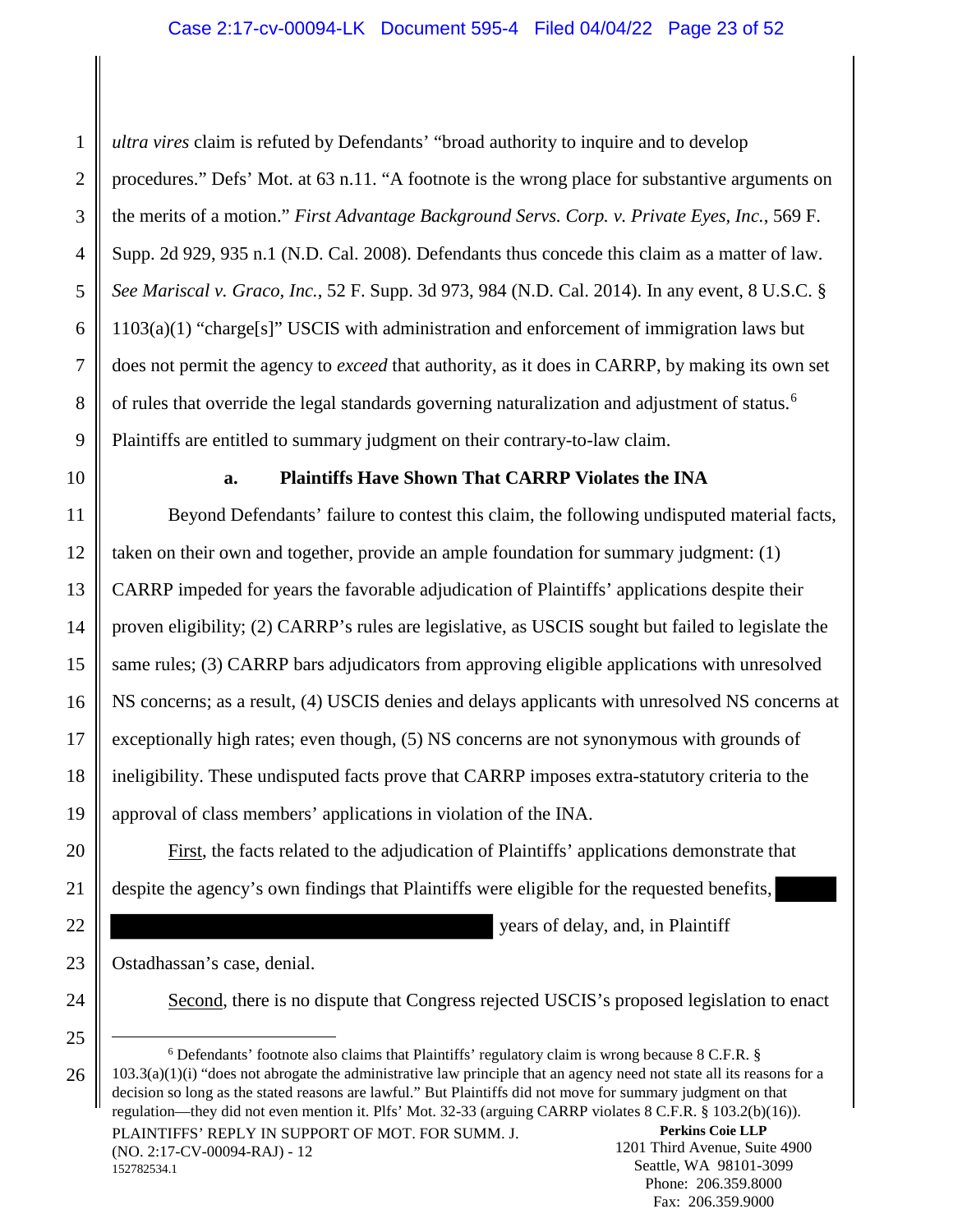*ultra vires* claim is refuted by Defendants' "broad authority to inquire and to develop procedures." Defs' Mot. at 63 n.11. "A footnote is the wrong place for substantive arguments on the merits of a motion." *First Advantage Background Servs. Corp. v. Private Eyes, Inc.*, 569 F. Supp. 2d 929, 935 n.1 (N.D. Cal. 2008). Defendants thus concede this claim as a matter of law. *See Mariscal v. Graco, Inc.*, 52 F. Supp. 3d 973, 984 (N.D. Cal. 2014). In any event, 8 U.S.C. §  $1103(a)(1)$  "charge[s]" USCIS with administration and enforcement of immigration laws but does not permit the agency to *exceed* that authority, as it does in CARRP, by making its own set of rules that override the legal standards governing naturalization and adjustment of status.<sup>6</sup> Plaintiffs are entitled to summary judgment on their contrary-to-law claim.

1

#### **a. Plaintiffs Have Shown That CARRP Violates the INA**

Beyond Defendants' failure to contest this claim, the following undisputed material facts, taken on their own and together, provide an ample foundation for summary judgment: (1) CARRP impeded for years the favorable adjudication of Plaintiffs' applications despite their proven eligibility; (2) CARRP's rules are legislative, as USCIS sought but failed to legislate the same rules; (3) CARRP bars adjudicators from approving eligible applications with unresolved NS concerns; as a result, (4) USCIS denies and delays applicants with unresolved NS concerns at exceptionally high rates; even though, (5) NS concerns are not synonymous with grounds of ineligibility. These undisputed facts prove that CARRP imposes extra-statutory criteria to the approval of class members' applications in violation of the INA.

First, the facts related to the adjudication of Plaintiffs' applications demonstrate that despite the agency's own findings that Plaintiffs were eligible for the requested benefits,

years of delay, and, in Plaintiff

Ostadhassan's case, denial.

Second, there is no dispute that Congress rejected USCIS's proposed legislation to enact

(NO. 2:17-CV-00094-RAJ) - 12 152782534.1

**Perkins Coie LLP** PLAINTIFFS' REPLY IN SUPPORT OF MOT. FOR SUMM. J. 6 Defendants' footnote also claims that Plaintiffs' regulatory claim is wrong because 8 C.F.R. §  $103.3(a)(1)(i)$  "does not abrogate the administrative law principle that an agency need not state all its reasons for a decision so long as the stated reasons are lawful." But Plaintiffs did not move for summary judgment on that regulation—they did not even mention it. Plfs' Mot. 32-33 (arguing CARRP violates 8 C.F.R. § 103.2(b)(16)).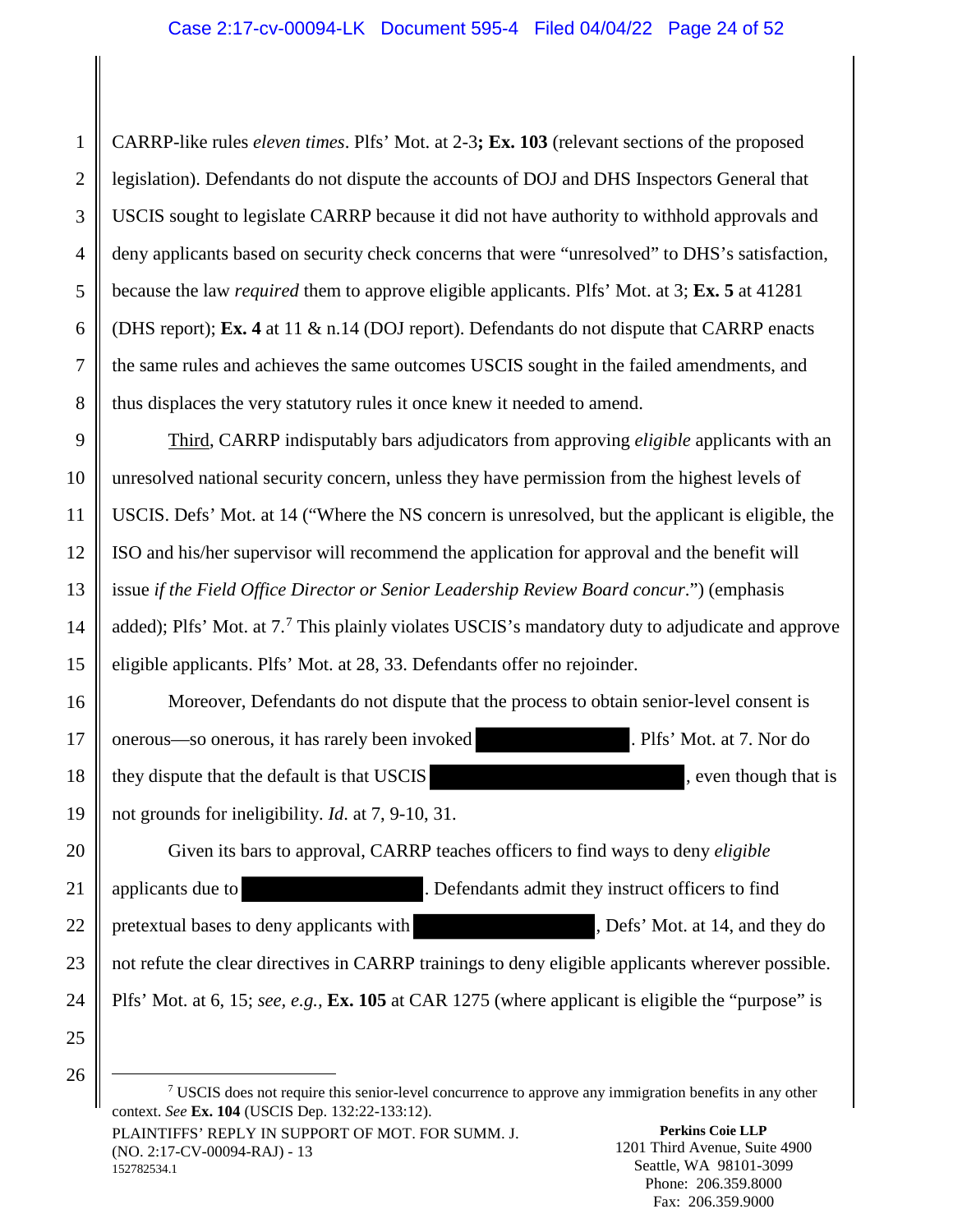CARRP-like rules *eleven times*. Plfs' Mot. at 2-3**; Ex. 103** (relevant sections of the proposed legislation). Defendants do not dispute the accounts of DOJ and DHS Inspectors General that USCIS sought to legislate CARRP because it did not have authority to withhold approvals and deny applicants based on security check concerns that were "unresolved" to DHS's satisfaction, because the law *required* them to approve eligible applicants. Plfs' Mot. at 3; **Ex. 5** at 41281 (DHS report); **Ex. 4** at 11 & n.14 (DOJ report). Defendants do not dispute that CARRP enacts the same rules and achieves the same outcomes USCIS sought in the failed amendments, and thus displaces the very statutory rules it once knew it needed to amend.

Third, CARRP indisputably bars adjudicators from approving *eligible* applicants with an unresolved national security concern, unless they have permission from the highest levels of USCIS. Defs' Mot. at 14 ("Where the NS concern is unresolved, but the applicant is eligible, the ISO and his/her supervisor will recommend the application for approval and the benefit will issue *if the Field Office Director or Senior Leadership Review Board concur*.") (emphasis added); Plfs' Mot. at 7.<sup>7</sup> This plainly violates USCIS's mandatory duty to adjudicate and approve eligible applicants. Plfs' Mot. at 28, 33. Defendants offer no rejoinder.

Moreover, Defendants do not dispute that the process to obtain senior-level consent is onerous—so onerous, it has rarely been invoked . Plfs' Mot. at 7. Nor do they dispute that the default is that USCIS , even though that is not grounds for ineligibility. *Id*. at 7, 9-10, 31.

Given its bars to approval, CARRP teaches officers to find ways to deny *eligible* applicants due to . Defendants admit they instruct officers to find pretextual bases to deny applicants with , Defs' Mot. at 14, and they do not refute the clear directives in CARRP trainings to deny eligible applicants wherever possible. Plfs' Mot. at 6, 15; *see, e.g.,* **Ex. 105** at CAR 1275 (where applicant is eligible the "purpose" is

 <sup>7</sup> USCIS does not require this senior-level concurrence to approve any immigration benefits in any other context. *See* **Ex. 104** (USCIS Dep. 132:22-133:12).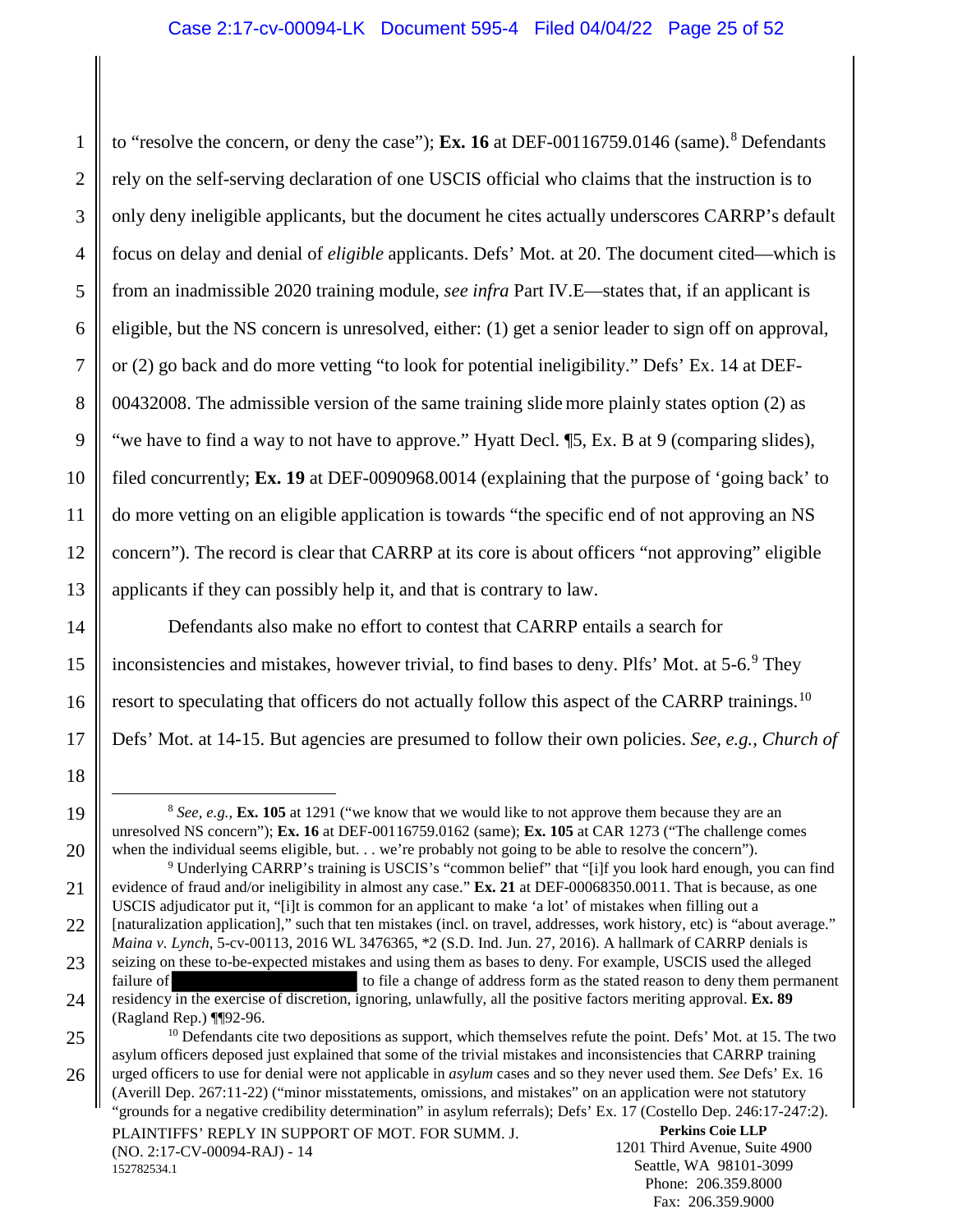to "resolve the concern, or deny the case"); **Ex. 16** at DEF-00116759.0146 (same).<sup>8</sup> Defendants rely on the self-serving declaration of one USCIS official who claims that the instruction is to only deny ineligible applicants, but the document he cites actually underscores CARRP's default focus on delay and denial of *eligible* applicants. Defs' Mot. at 20. The document cited—which is from an inadmissible 2020 training module, *see infra* Part IV.E—states that, if an applicant is eligible, but the NS concern is unresolved, either: (1) get a senior leader to sign off on approval, or (2) go back and do more vetting "to look for potential ineligibility." Defs' Ex. 14 at DEF-00432008. The admissible version of the same training slide more plainly states option (2) as "we have to find a way to not have to approve." Hyatt Decl. ¶5, Ex. B at 9 (comparing slides), filed concurrently; **Ex. 19** at DEF-0090968.0014 (explaining that the purpose of 'going back' to do more vetting on an eligible application is towards "the specific end of not approving an NS concern"). The record is clear that CARRP at its core is about officers "not approving" eligible applicants if they can possibly help it, and that is contrary to law.

Defendants also make no effort to contest that CARRP entails a search for inconsistencies and mistakes, however trivial, to find bases to deny. Plfs' Mot. at 5-6. They resort to speculating that officers do not actually follow this aspect of the CARRP trainings.<sup>10</sup> Defs' Mot. at 14-15. But agencies are presumed to follow their own policies. *See, e.g., Church of* 

(NO. 2:17-CV-00094-RAJ) - 14 152782534.1

25

26

1

 <sup>8</sup> *See, e.g.,* **Ex. 105** at 1291 ("we know that we would like to not approve them because they are an unresolved NS concern"); **Ex. 16** at DEF-00116759.0162 (same); **Ex. 105** at CAR 1273 ("The challenge comes

<sup>24</sup>  when the individual seems eligible, but. . . we're probably not going to be able to resolve the concern").<br><sup>9</sup> Underlying CARRP's training is USCIS's "common belief" that "[i]f you look hard enough, you can find evidence of fraud and/or ineligibility in almost any case." **Ex. 21** at DEF-00068350.0011. That is because, as one USCIS adjudicator put it, "[i]t is common for an applicant to make 'a lot' of mistakes when filling out a [naturalization application]," such that ten mistakes (incl. on travel, addresses, work history, etc) is "about average." *Maina v. Lynch*, 5-cv-00113, 2016 WL 3476365, \*2 (S.D. Ind. Jun. 27, 2016). A hallmark of CARRP denials is seizing on these to-be-expected mistakes and using them as bases to deny. For example, USCIS used the alleged failure of to file a change of address form as the stated reason to deny them permanent residency in the exercise of discretion, ignoring, unlawfully, all the positive factors meriting approval. **Ex. 89**

**Perkins Coie LLP** PLAINTIFFS' REPLY IN SUPPORT OF MOT. FOR SUMM. J. (Ragland Rep.)  $\P$  $92-96$ .<br><sup>10</sup> Defendants cite two depositions as support, which themselves refute the point. Defs' Mot. at 15. The two asylum officers deposed just explained that some of the trivial mistakes and inconsistencies that CARRP training urged officers to use for denial were not applicable in *asylum* cases and so they never used them. *See* Defs' Ex. 16 (Averill Dep. 267:11-22) ("minor misstatements, omissions, and mistakes" on an application were not statutory "grounds for a negative credibility determination" in asylum referrals); Defs' Ex. 17 (Costello Dep. 246:17-247:2).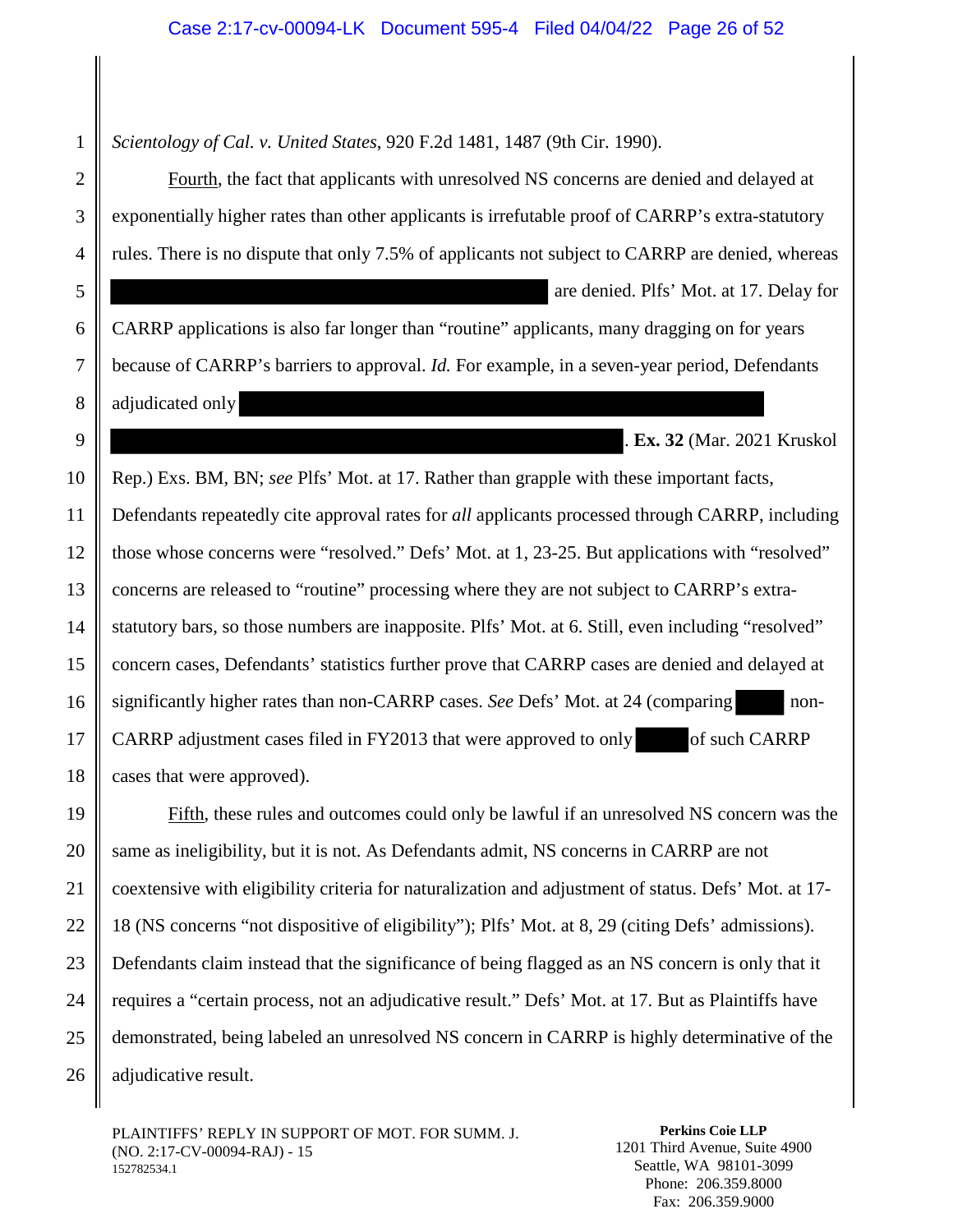*Scientology of Cal. v. United States*, 920 F.2d 1481, 1487 (9th Cir. 1990).

Fourth, the fact that applicants with unresolved NS concerns are denied and delayed at exponentially higher rates than other applicants is irrefutable proof of CARRP's extra-statutory rules. There is no dispute that only 7.5% of applicants not subject to CARRP are denied, whereas are denied. Plfs' Mot. at 17. Delay for CARRP applications is also far longer than "routine" applicants, many dragging on for years because of CARRP's barriers to approval. *Id.* For example, in a seven-year period, Defendants adjudicated only

Rep.) Exs. BM, BN; *see* Plfs' Mot. at 17. Rather than grapple with these important facts, Defendants repeatedly cite approval rates for *all* applicants processed through CARRP, including those whose concerns were "resolved." Defs' Mot. at 1, 23-25. But applications with "resolved" concerns are released to "routine" processing where they are not subject to CARRP's extrastatutory bars, so those numbers are inapposite. Plfs' Mot. at 6. Still, even including "resolved" concern cases, Defendants' statistics further prove that CARRP cases are denied and delayed at significantly higher rates than non-CARRP cases. *See* Defs' Mot. at 24 (comparing non-CARRP adjustment cases filed in FY2013 that were approved to only of such CARRP cases that were approved).

Fifth, these rules and outcomes could only be lawful if an unresolved NS concern was the same as ineligibility, but it is not. As Defendants admit, NS concerns in CARRP are not coextensive with eligibility criteria for naturalization and adjustment of status. Defs' Mot. at 17- 18 (NS concerns "not dispositive of eligibility"); Plfs' Mot. at 8, 29 (citing Defs' admissions). Defendants claim instead that the significance of being flagged as an NS concern is only that it requires a "certain process, not an adjudicative result." Defs' Mot. at 17. But as Plaintiffs have demonstrated, being labeled an unresolved NS concern in CARRP is highly determinative of the adjudicative result.

**Perkins Coie LLP** 1201 Third Avenue, Suite 4900 Seattle, WA 98101-3099 Phone: 206.359.8000 Fax: 206.359.9000

. **Ex. 32** (Mar. 2021 Kruskol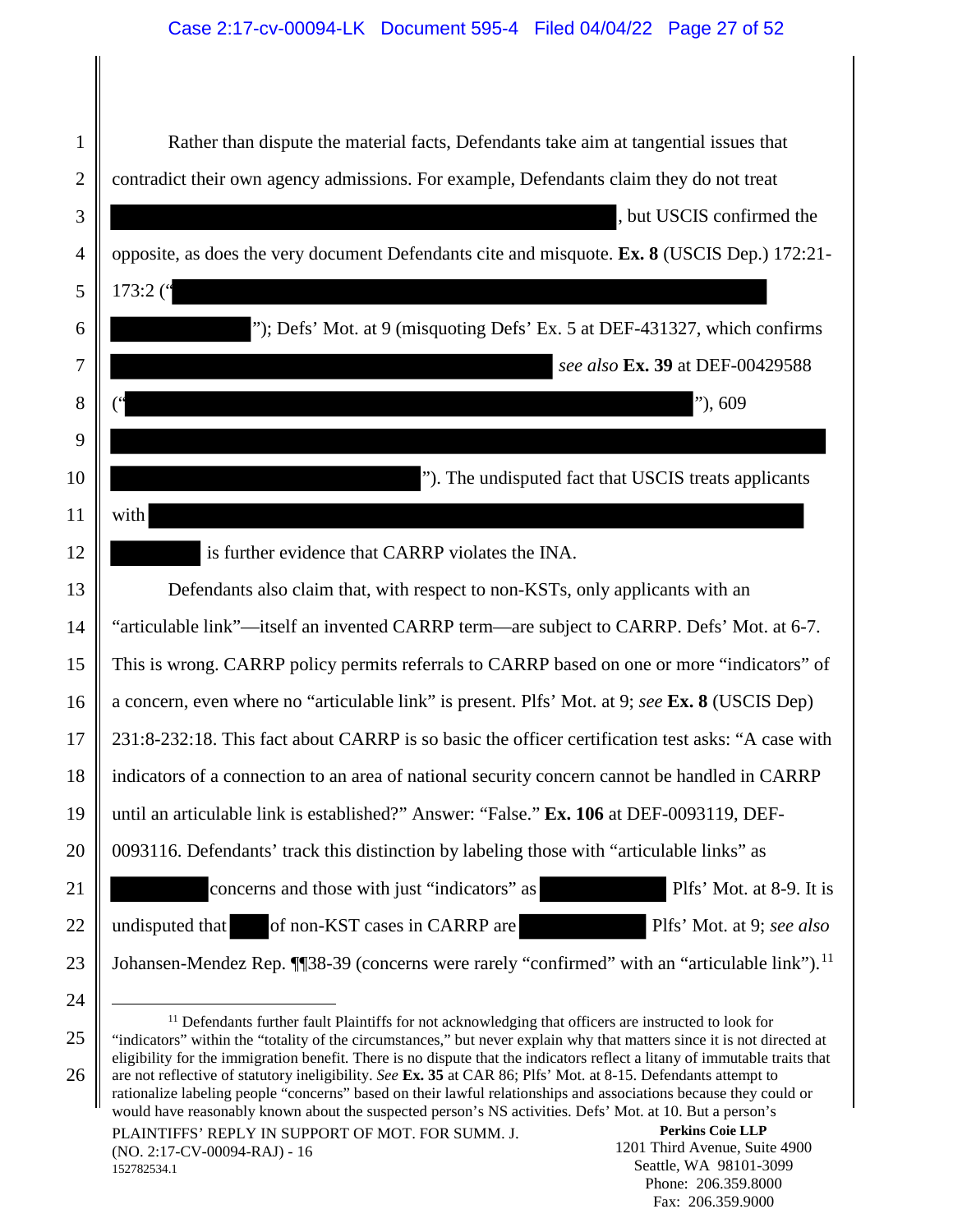#### Case 2:17-cv-00094-LK Document 595-4 Filed 04/04/22 Page 27 of 52

| $\mathbf{1}$   | Rather than dispute the material facts, Defendants take aim at tangential issues that                                                                                                                                                                                                                                                                                                                                                                                         |
|----------------|-------------------------------------------------------------------------------------------------------------------------------------------------------------------------------------------------------------------------------------------------------------------------------------------------------------------------------------------------------------------------------------------------------------------------------------------------------------------------------|
| $\overline{2}$ | contradict their own agency admissions. For example, Defendants claim they do not treat                                                                                                                                                                                                                                                                                                                                                                                       |
| 3              | , but USCIS confirmed the                                                                                                                                                                                                                                                                                                                                                                                                                                                     |
| 4              | opposite, as does the very document Defendants cite and misquote. Ex. 8 (USCIS Dep.) 172:21-                                                                                                                                                                                                                                                                                                                                                                                  |
| 5              | 173:2 ("                                                                                                                                                                                                                                                                                                                                                                                                                                                                      |
| 6              | "); Defs' Mot. at 9 (misquoting Defs' Ex. 5 at DEF-431327, which confirms                                                                                                                                                                                                                                                                                                                                                                                                     |
| 7              | see also Ex. 39 at DEF-00429588                                                                                                                                                                                                                                                                                                                                                                                                                                               |
| 8              | $\cdot$ , 609                                                                                                                                                                                                                                                                                                                                                                                                                                                                 |
| 9              |                                                                                                                                                                                                                                                                                                                                                                                                                                                                               |
| 10             | "). The undisputed fact that USCIS treats applicants                                                                                                                                                                                                                                                                                                                                                                                                                          |
| 11             | with                                                                                                                                                                                                                                                                                                                                                                                                                                                                          |
| 12             | is further evidence that CARRP violates the INA.                                                                                                                                                                                                                                                                                                                                                                                                                              |
| 13             | Defendants also claim that, with respect to non-KSTs, only applicants with an                                                                                                                                                                                                                                                                                                                                                                                                 |
| 14             | "articulable link"—itself an invented CARRP term—are subject to CARRP. Defs' Mot. at 6-7.                                                                                                                                                                                                                                                                                                                                                                                     |
| 15             | This is wrong. CARRP policy permits referrals to CARRP based on one or more "indicators" of                                                                                                                                                                                                                                                                                                                                                                                   |
| 16             | a concern, even where no "articulable link" is present. Plfs' Mot. at 9; see Ex. 8 (USCIS Dep)                                                                                                                                                                                                                                                                                                                                                                                |
| 17             | 231:8-232:18. This fact about CARRP is so basic the officer certification test asks: "A case with                                                                                                                                                                                                                                                                                                                                                                             |
| 18             | indicators of a connection to an area of national security concern cannot be handled in CARRP                                                                                                                                                                                                                                                                                                                                                                                 |
| 19             | until an articulable link is established?" Answer: "False." Ex. 106 at DEF-0093119, DEF-                                                                                                                                                                                                                                                                                                                                                                                      |
| 20             | 0093116. Defendants' track this distinction by labeling those with "articulable links" as                                                                                                                                                                                                                                                                                                                                                                                     |
| 21             | Plfs' Mot. at 8-9. It is<br>concerns and those with just "indicators" as                                                                                                                                                                                                                                                                                                                                                                                                      |
| 22             | undisputed that<br>of non-KST cases in CARRP are<br>Plfs' Mot. at 9; see also                                                                                                                                                                                                                                                                                                                                                                                                 |
| 23             | Johansen-Mendez Rep. 198-39 (concerns were rarely "confirmed" with an "articulable link"). <sup>11</sup>                                                                                                                                                                                                                                                                                                                                                                      |
| 24             |                                                                                                                                                                                                                                                                                                                                                                                                                                                                               |
| 25             | <sup>11</sup> Defendants further fault Plaintiffs for not acknowledging that officers are instructed to look for<br>"indicators" within the "totality of the circumstances," but never explain why that matters since it is not directed at                                                                                                                                                                                                                                   |
| 26             | eligibility for the immigration benefit. There is no dispute that the indicators reflect a litany of immutable traits that<br>are not reflective of statutory ineligibility. See Ex. 35 at CAR 86; Plfs' Mot. at 8-15. Defendants attempt to<br>rationalize labeling people "concerns" based on their lawful relationships and associations because they could or<br>would have reasonably known about the suspected person's NS activities. Defs' Mot. at 10. But a person's |
|                | <b>Perkins Coie LLP</b><br>PLAINTIFFS' REPLY IN SUPPORT OF MOT. FOR SUMM. J.<br>1201 Third Avenue, Suite 4900<br>(NO. 2:17-CV-00094-RAJ) - 16<br>Seattle, WA 98101-3099<br>152782534.1                                                                                                                                                                                                                                                                                        |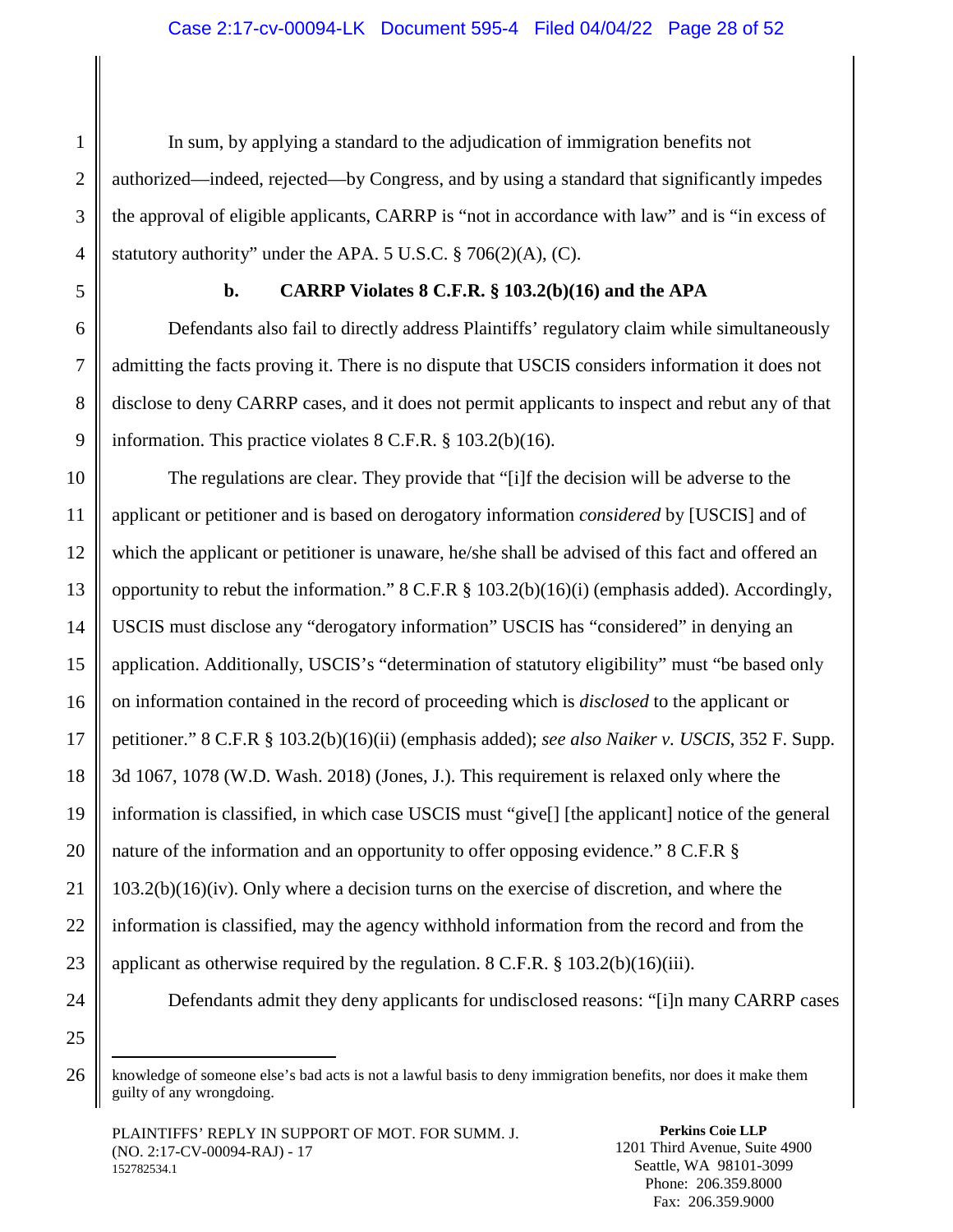In sum, by applying a standard to the adjudication of immigration benefits not authorized—indeed, rejected—by Congress, and by using a standard that significantly impedes the approval of eligible applicants, CARRP is "not in accordance with law" and is "in excess of statutory authority" under the APA. 5 U.S.C. § 706(2)(A), (C).

#### **b. CARRP Violates 8 C.F.R. § 103.2(b)(16) and the APA**

Defendants also fail to directly address Plaintiffs' regulatory claim while simultaneously admitting the facts proving it. There is no dispute that USCIS considers information it does not disclose to deny CARRP cases, and it does not permit applicants to inspect and rebut any of that information. This practice violates 8 C.F.R. § 103.2(b)(16).

The regulations are clear. They provide that "[i]f the decision will be adverse to the applicant or petitioner and is based on derogatory information *considered* by [USCIS] and of which the applicant or petitioner is unaware, he/she shall be advised of this fact and offered an opportunity to rebut the information." 8 C.F.R § 103.2(b)(16)(i) (emphasis added). Accordingly, USCIS must disclose any "derogatory information" USCIS has "considered" in denying an application. Additionally, USCIS's "determination of statutory eligibility" must "be based only on information contained in the record of proceeding which is *disclosed* to the applicant or petitioner." 8 C.F.R § 103.2(b)(16)(ii) (emphasis added); *see also Naiker v. USCIS*, 352 F. Supp. 3d 1067, 1078 (W.D. Wash. 2018) (Jones, J.). This requirement is relaxed only where the information is classified, in which case USCIS must "give[] [the applicant] notice of the general nature of the information and an opportunity to offer opposing evidence." 8 C.F.R § 103.2(b)(16)(iv). Only where a decision turns on the exercise of discretion, and where the information is classified, may the agency withhold information from the record and from the applicant as otherwise required by the regulation. 8 C.F.R. § 103.2(b)(16)(iii).

 $\overline{a}$ 

Defendants admit they deny applicants for undisclosed reasons: "[i]n many CARRP cases

knowledge of someone else's bad acts is not a lawful basis to deny immigration benefits, nor does it make them guilty of any wrongdoing.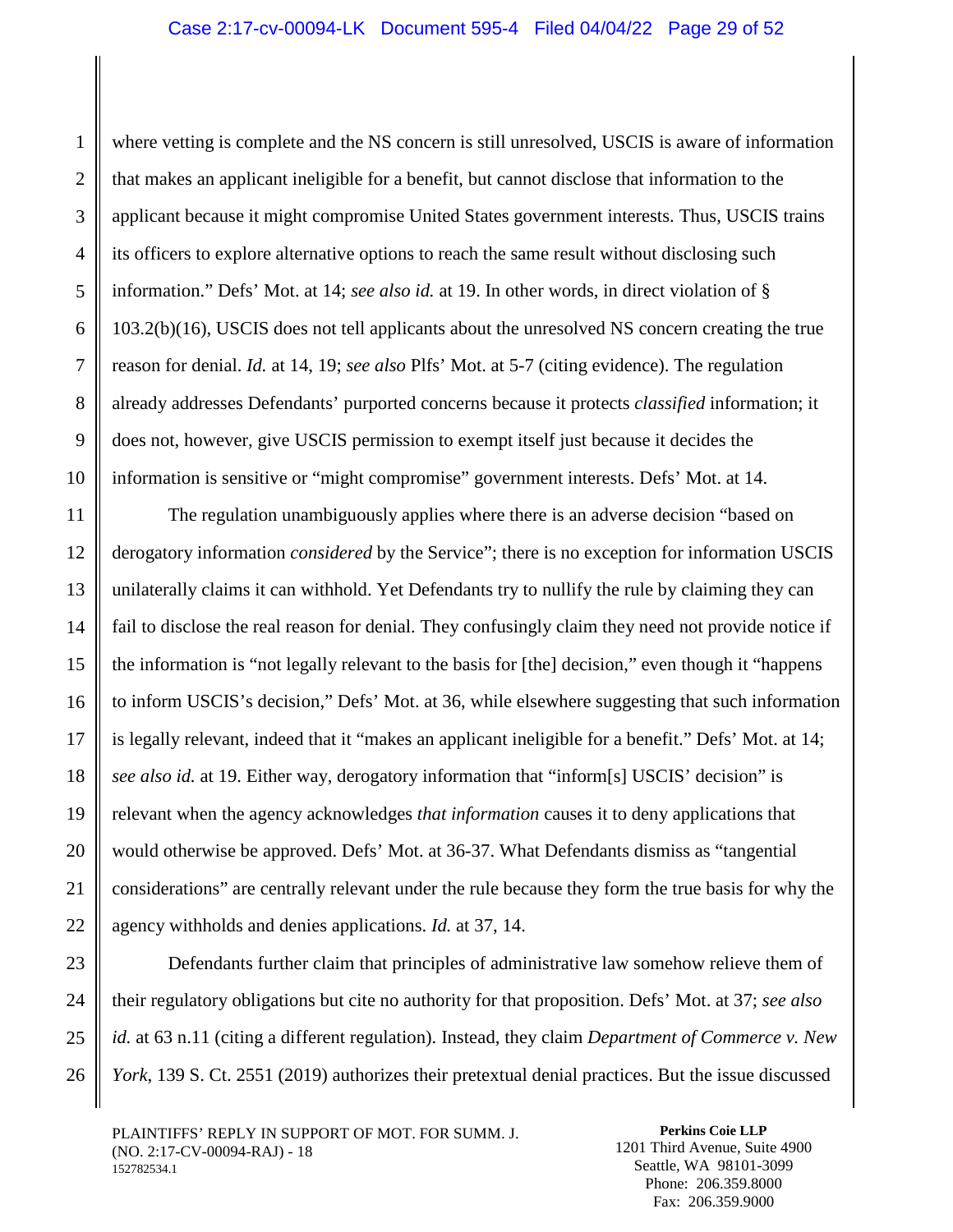where vetting is complete and the NS concern is still unresolved, USCIS is aware of information that makes an applicant ineligible for a benefit, but cannot disclose that information to the applicant because it might compromise United States government interests. Thus, USCIS trains its officers to explore alternative options to reach the same result without disclosing such information." Defs' Mot. at 14; *see also id.* at 19. In other words, in direct violation of § 103.2(b)(16), USCIS does not tell applicants about the unresolved NS concern creating the true reason for denial. *Id.* at 14, 19; *see also* Plfs' Mot. at 5-7 (citing evidence). The regulation already addresses Defendants' purported concerns because it protects *classified* information; it does not, however, give USCIS permission to exempt itself just because it decides the information is sensitive or "might compromise" government interests. Defs' Mot. at 14.

The regulation unambiguously applies where there is an adverse decision "based on derogatory information *considered* by the Service"; there is no exception for information USCIS unilaterally claims it can withhold. Yet Defendants try to nullify the rule by claiming they can fail to disclose the real reason for denial. They confusingly claim they need not provide notice if the information is "not legally relevant to the basis for [the] decision," even though it "happens to inform USCIS's decision," Defs' Mot. at 36, while elsewhere suggesting that such information is legally relevant, indeed that it "makes an applicant ineligible for a benefit." Defs' Mot. at 14; *see also id.* at 19. Either way, derogatory information that "inform[s] USCIS' decision" is relevant when the agency acknowledges *that information* causes it to deny applications that would otherwise be approved. Defs' Mot. at 36-37. What Defendants dismiss as "tangential considerations" are centrally relevant under the rule because they form the true basis for why the agency withholds and denies applications. *Id.* at 37, 14.

Defendants further claim that principles of administrative law somehow relieve them of their regulatory obligations but cite no authority for that proposition. Defs' Mot. at 37; *see also id.* at 63 n.11 (citing a different regulation). Instead, they claim *Department of Commerce v. New York*, 139 S. Ct. 2551 (2019) authorizes their pretextual denial practices. But the issue discussed

PLAINTIFFS' REPLY IN SUPPORT OF MOT. FOR SUMM. J. (NO. 2:17-CV-00094-RAJ) - 18 152782534.1

**Perkins Coie LLP** 1201 Third Avenue, Suite 4900 Seattle, WA 98101-3099 Phone: 206.359.8000 Fax: 206.359.9000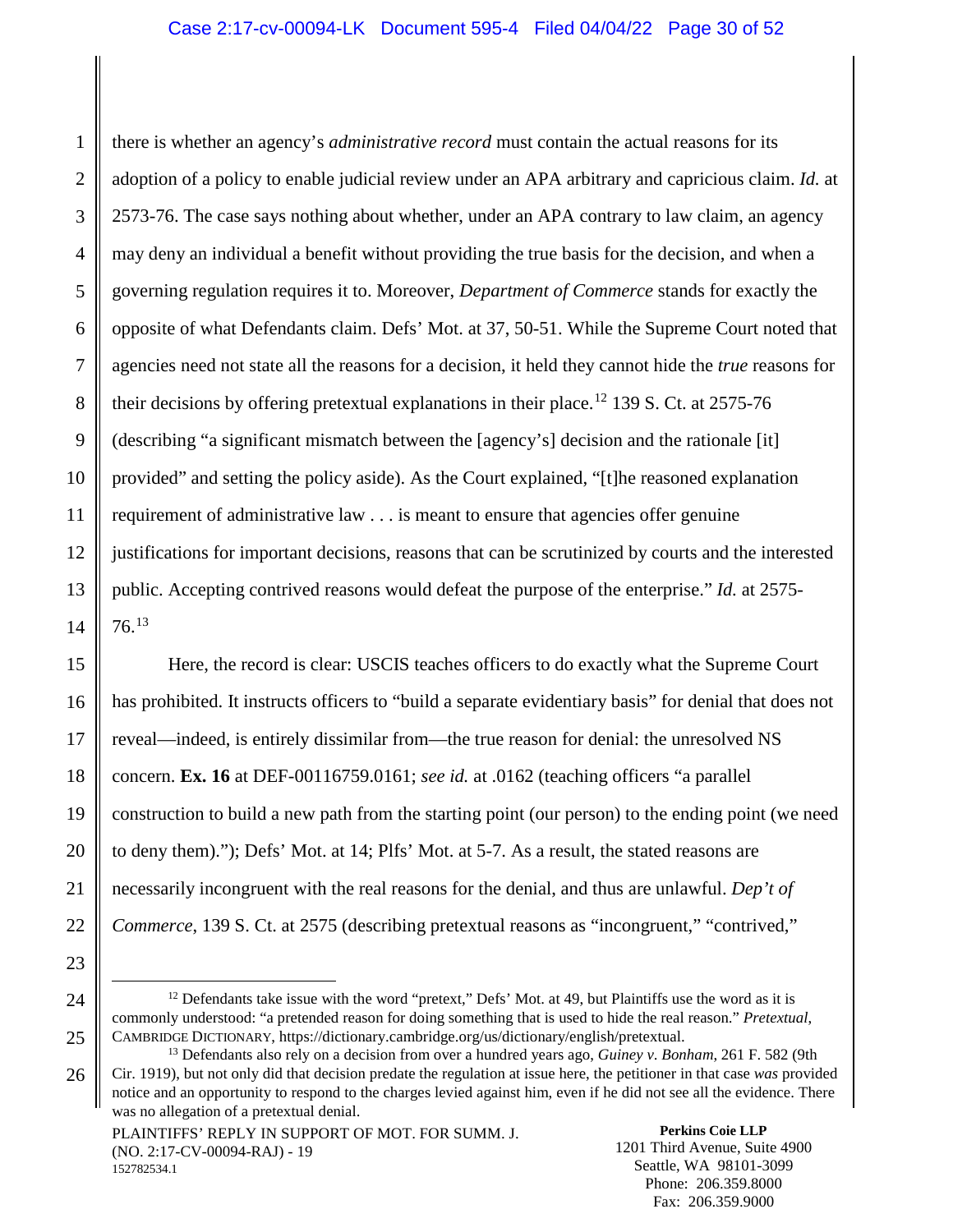1

2

3

4

5

6

7

8

9

10

11

12

13

14

15

16

17

18

19

20

21

22

23

24

25

26

there is whether an agency's *administrative record* must contain the actual reasons for its adoption of a policy to enable judicial review under an APA arbitrary and capricious claim. *Id.* at 2573-76. The case says nothing about whether, under an APA contrary to law claim, an agency may deny an individual a benefit without providing the true basis for the decision, and when a governing regulation requires it to. Moreover, *Department of Commerce* stands for exactly the opposite of what Defendants claim. Defs' Mot. at 37, 50-51. While the Supreme Court noted that agencies need not state all the reasons for a decision, it held they cannot hide the *true* reasons for their decisions by offering pretextual explanations in their place.<sup>12</sup> 139 S. Ct. at  $2575-76$ (describing "a significant mismatch between the [agency's] decision and the rationale [it] provided" and setting the policy aside). As the Court explained, "[t]he reasoned explanation requirement of administrative law . . . is meant to ensure that agencies offer genuine justifications for important decisions, reasons that can be scrutinized by courts and the interested public. Accepting contrived reasons would defeat the purpose of the enterprise." *Id.* at 2575-  $76.13$ 

Here, the record is clear: USCIS teaches officers to do exactly what the Supreme Court has prohibited. It instructs officers to "build a separate evidentiary basis" for denial that does not reveal—indeed, is entirely dissimilar from—the true reason for denial: the unresolved NS concern. **Ex. 16** at DEF-00116759.0161; *see id.* at .0162 (teaching officers "a parallel construction to build a new path from the starting point (our person) to the ending point (we need to deny them)."); Defs' Mot. at 14; Plfs' Mot. at 5-7. As a result, the stated reasons are necessarily incongruent with the real reasons for the denial, and thus are unlawful. *Dep't of Commerce*, 139 S. Ct. at 2575 (describing pretextual reasons as "incongruent," "contrived,"

PLAINTIFFS' REPLY IN SUPPORT OF MOT. FOR SUMM. J. (NO. 2:17-CV-00094-RAJ) - 19 152782534.1

 $12$  Defendants take issue with the word "pretext," Defs' Mot. at 49, but Plaintiffs use the word as it is commonly understood: "a pretended reason for doing something that is used to hide the real reason." *Pretextual*, CAMBRIDGE DICTIONARY, https://dictionary.cambridge.org/us/dictionary/english/pretextual.

<sup>13</sup> Defendants also rely on a decision from over a hundred years ago, *Guiney v*. *Bonham*, 261 F. 582 (9th Cir. 1919), but not only did that decision predate the regulation at issue here, the petitioner in that case *was* provided notice and an opportunity to respond to the charges levied against him, even if he did not see all the evidence. There was no allegation of a pretextual denial.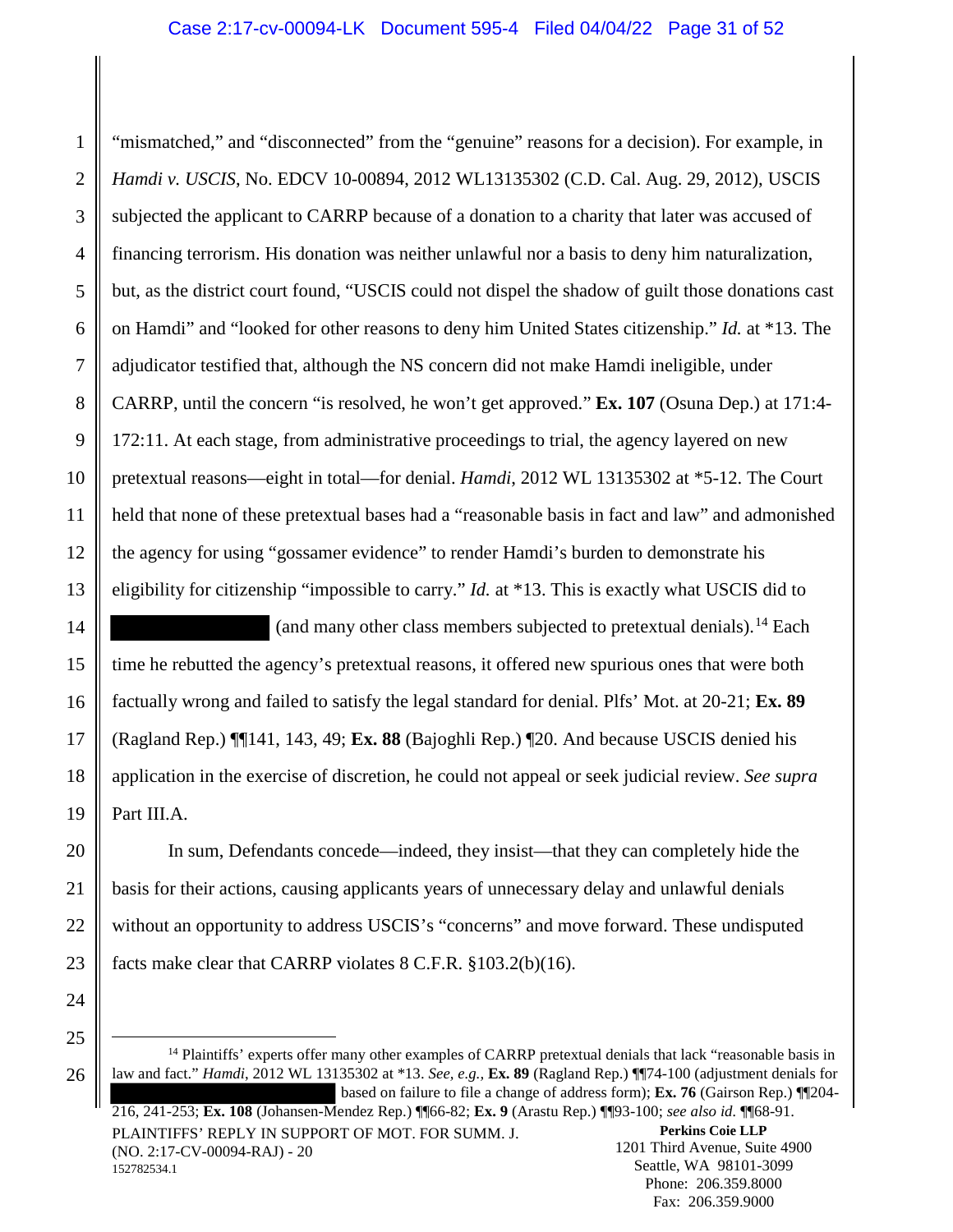"mismatched," and "disconnected" from the "genuine" reasons for a decision). For example, in *Hamdi v. USCIS*, No. EDCV 10-00894, 2012 WL13135302 (C.D. Cal. Aug. 29, 2012), USCIS subjected the applicant to CARRP because of a donation to a charity that later was accused of financing terrorism. His donation was neither unlawful nor a basis to deny him naturalization, but, as the district court found, "USCIS could not dispel the shadow of guilt those donations cast on Hamdi" and "looked for other reasons to deny him United States citizenship." *Id.* at \*13. The adjudicator testified that, although the NS concern did not make Hamdi ineligible, under CARRP, until the concern "is resolved, he won't get approved." **Ex. 107** (Osuna Dep.) at 171:4- 172:11. At each stage, from administrative proceedings to trial, the agency layered on new pretextual reasons—eight in total—for denial. *Hamdi*, 2012 WL 13135302 at \*5-12. The Court held that none of these pretextual bases had a "reasonable basis in fact and law" and admonished the agency for using "gossamer evidence" to render Hamdi's burden to demonstrate his eligibility for citizenship "impossible to carry." *Id.* at \*13. This is exactly what USCIS did to

(and many other class members subjected to pretextual denials).<sup>14</sup> Each time he rebutted the agency's pretextual reasons, it offered new spurious ones that were both factually wrong and failed to satisfy the legal standard for denial. Plfs' Mot. at 20-21; **Ex. 89** (Ragland Rep.) ¶¶141, 143, 49; **Ex. 88** (Bajoghli Rep.) ¶20. And because USCIS denied his application in the exercise of discretion, he could not appeal or seek judicial review. *See supra*  Part III.A.

In sum, Defendants concede—indeed, they insist—that they can completely hide the basis for their actions, causing applicants years of unnecessary delay and unlawful denials without an opportunity to address USCIS's "concerns" and move forward. These undisputed facts make clear that CARRP violates 8 C.F.R. §103.2(b)(16).

25

26

1

2

3

4

5

6

7

8

9

10

11

12

13

14

15

16

17

18

19

20

21

22

23

24

<sup>14</sup> Plaintiffs' experts offer many other examples of CARRP pretextual denials that lack "reasonable basis in law and fact." *Hamdi*, 2012 WL 13135302 at \*13. *See, e.g.,* **Ex. 89** (Ragland Rep.) ¶¶74-100 (adjustment denials for based on failure to file a change of address form); **Ex. 76** (Gairson Rep.) ¶¶204-

**Perkins Coie LLP** 1201 Third Avenue, Suite 4900 Seattle, WA 98101-3099 PLAINTIFFS' REPLY IN SUPPORT OF MOT. FOR SUMM. J. (NO. 2:17-CV-00094-RAJ) - 20 152782534.1 216, 241-253; **Ex. 108** (Johansen-Mendez Rep.) ¶¶66-82; **Ex. 9** (Arastu Rep.) ¶¶93-100; *see also id.* ¶¶68-91.

Phone: 206.359.8000 Fax: 206.359.9000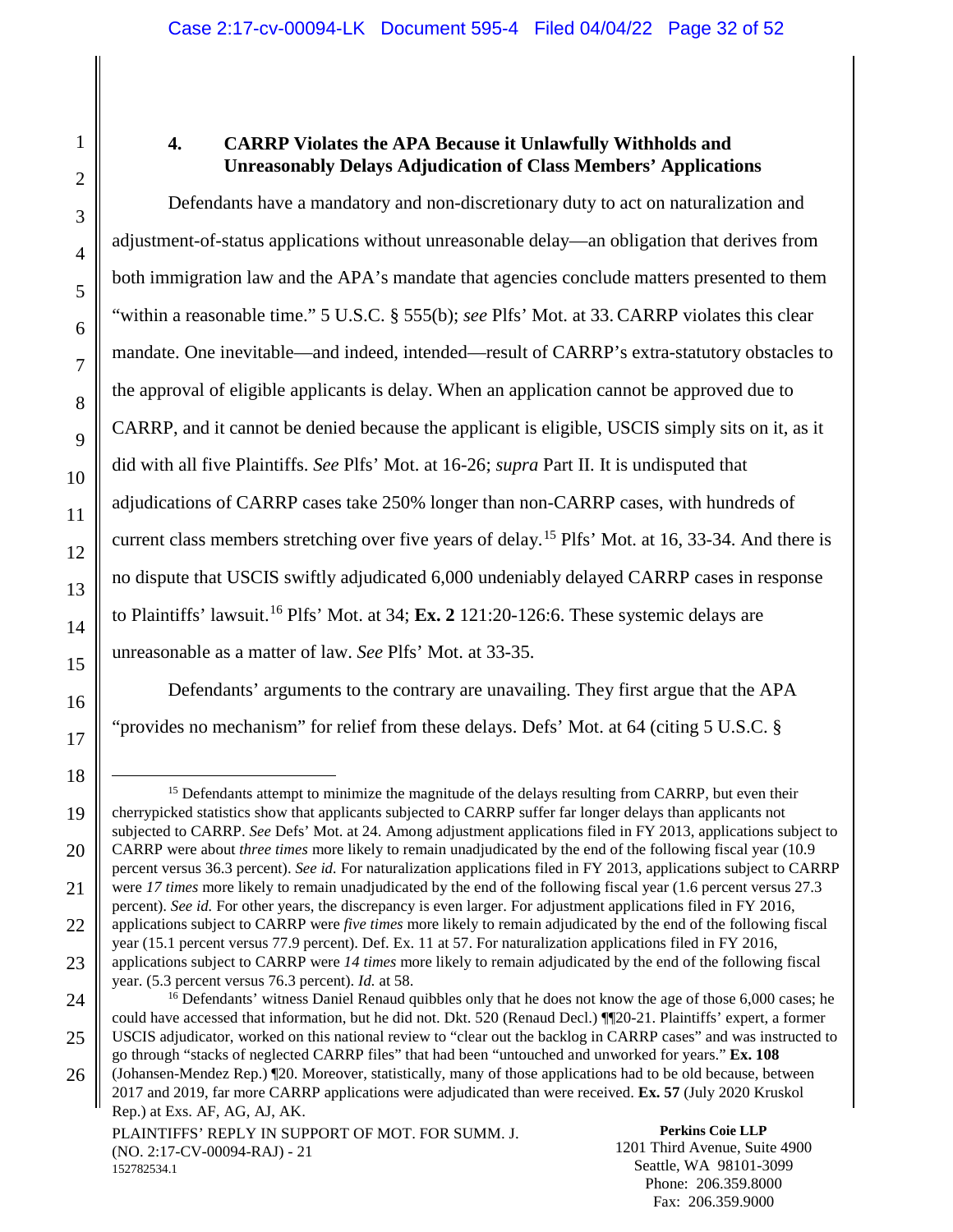#### **4. CARRP Violates the APA Because it Unlawfully Withholds and Unreasonably Delays Adjudication of Class Members' Applications**

Defendants have a mandatory and non-discretionary duty to act on naturalization and adjustment-of-status applications without unreasonable delay—an obligation that derives from both immigration law and the APA's mandate that agencies conclude matters presented to them "within a reasonable time." 5 U.S.C. § 555(b); *see* Plfs' Mot. at 33. CARRP violates this clear mandate. One inevitable—and indeed, intended—result of CARRP's extra-statutory obstacles to the approval of eligible applicants is delay. When an application cannot be approved due to CARRP, and it cannot be denied because the applicant is eligible, USCIS simply sits on it, as it did with all five Plaintiffs. *See* Plfs' Mot. at 16-26; *supra* Part II. It is undisputed that adjudications of CARRP cases take 250% longer than non-CARRP cases, with hundreds of current class members stretching over five years of delay.<sup>15</sup> Plfs' Mot. at 16, 33-34. And there is no dispute that USCIS swiftly adjudicated 6,000 undeniably delayed CARRP cases in response to Plaintiffs' lawsuit.<sup>16</sup> Plfs' Mot. at 34; **Ex. 2** 121:20-126:6. These systemic delays are unreasonable as a matter of law. *See* Plfs' Mot. at 33-35.

Defendants' arguments to the contrary are unavailing. They first argue that the APA "provides no mechanism" for relief from these delays. Defs' Mot. at 64 (citing 5 U.S.C. §

PLAINTIFFS' REPLY IN SUPPORT OF MOT. FOR SUMM. J. (NO. 2:17-CV-00094-RAJ) - 21 152782534.1

<sup>&</sup>lt;sup>15</sup> Defendants attempt to minimize the magnitude of the delays resulting from CARRP, but even their cherrypicked statistics show that applicants subjected to CARRP suffer far longer delays than applicants not subjected to CARRP. *See* Defs' Mot. at 24. Among adjustment applications filed in FY 2013, applications subject to CARRP were about *three times* more likely to remain unadjudicated by the end of the following fiscal year (10.9 percent versus 36.3 percent). *See id.* For naturalization applications filed in FY 2013, applications subject to CARRP were *17 times* more likely to remain unadjudicated by the end of the following fiscal year (1.6 percent versus 27.3 percent). *See id.* For other years, the discrepancy is even larger. For adjustment applications filed in FY 2016, applications subject to CARRP were *five times* more likely to remain adjudicated by the end of the following fiscal year (15.1 percent versus 77.9 percent). Def. Ex. 11 at 57. For naturalization applications filed in FY 2016, applications subject to CARRP were *14 times* more likely to remain adjudicated by the end of the following fiscal

year. (5.3 percent versus 76.3 percent). *Id.* at 58.<br><sup>16</sup> Defendants' witness Daniel Renaud quibbles only that he does not know the age of those 6,000 cases; he could have accessed that information, but he did not. Dkt. 520 (Renaud Decl.) ¶¶20-21. Plaintiffs' expert, a former USCIS adjudicator, worked on this national review to "clear out the backlog in CARRP cases" and was instructed to go through "stacks of neglected CARRP files" that had been "untouched and unworked for years." **Ex. 108**

<sup>26</sup>  (Johansen-Mendez Rep.) ¶20. Moreover, statistically, many of those applications had to be old because, between 2017 and 2019, far more CARRP applications were adjudicated than were received. **Ex. 57** (July 2020 Kruskol Rep.) at Exs. AF, AG, AJ, AK.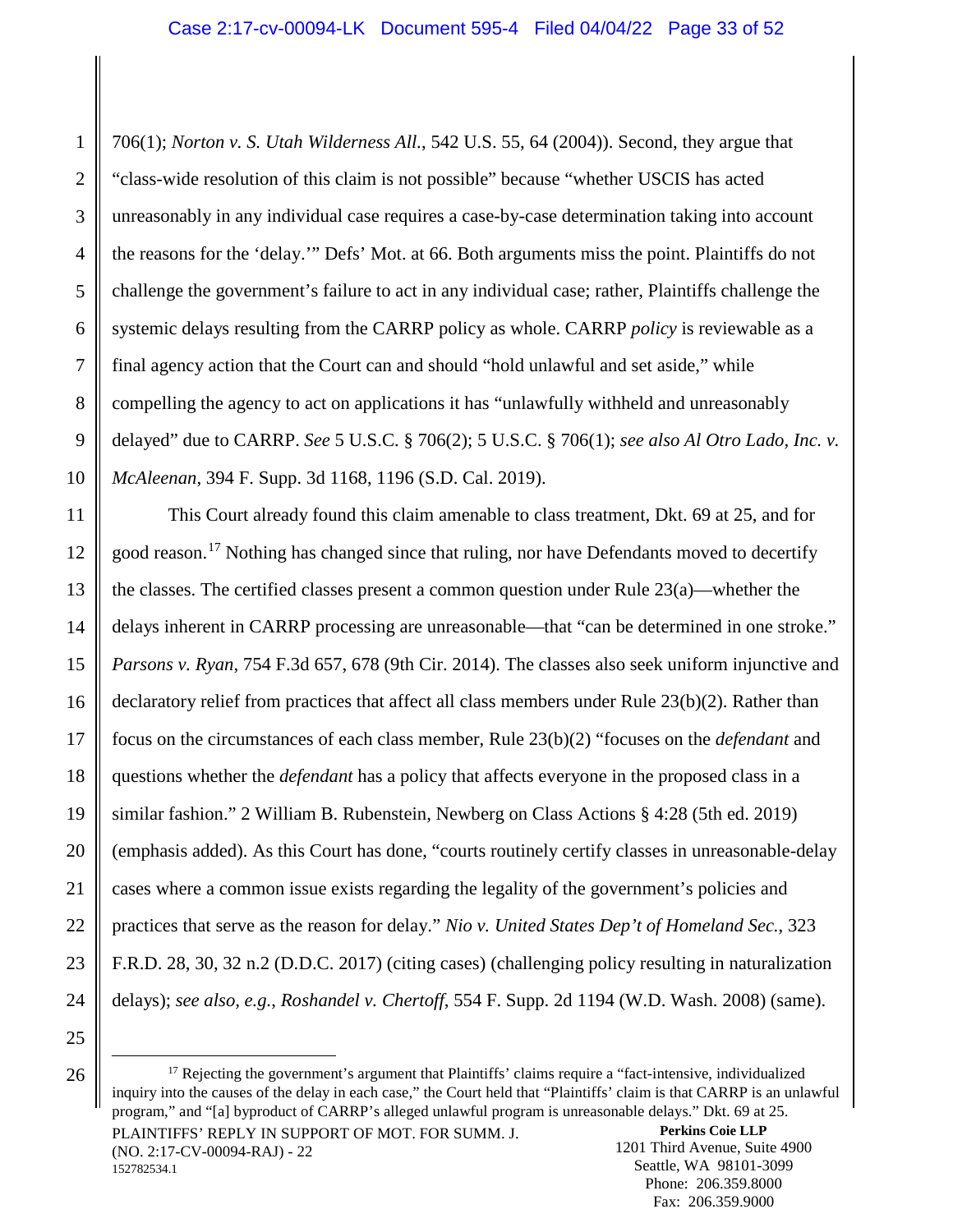706(1); *Norton v. S. Utah Wilderness All.*, 542 U.S. 55, 64 (2004)). Second, they argue that "class-wide resolution of this claim is not possible" because "whether USCIS has acted unreasonably in any individual case requires a case-by-case determination taking into account the reasons for the 'delay.'" Defs' Mot. at 66. Both arguments miss the point. Plaintiffs do not challenge the government's failure to act in any individual case; rather, Plaintiffs challenge the systemic delays resulting from the CARRP policy as whole. CARRP *policy* is reviewable as a final agency action that the Court can and should "hold unlawful and set aside," while compelling the agency to act on applications it has "unlawfully withheld and unreasonably delayed" due to CARRP. *See* 5 U.S.C. § 706(2); 5 U.S.C. § 706(1); *see also Al Otro Lado, Inc. v. McAleenan*, 394 F. Supp. 3d 1168, 1196 (S.D. Cal. 2019).

This Court already found this claim amenable to class treatment, Dkt. 69 at 25, and for good reason.<sup>17</sup> Nothing has changed since that ruling, nor have Defendants moved to decertify the classes. The certified classes present a common question under Rule 23(a)—whether the delays inherent in CARRP processing are unreasonable—that "can be determined in one stroke." *Parsons v. Ryan*, 754 F.3d 657, 678 (9th Cir. 2014). The classes also seek uniform injunctive and declaratory relief from practices that affect all class members under Rule 23(b)(2). Rather than focus on the circumstances of each class member, Rule 23(b)(2) "focuses on the *defendant* and questions whether the *defendant* has a policy that affects everyone in the proposed class in a similar fashion." 2 William B. Rubenstein, Newberg on Class Actions § 4:28 (5th ed. 2019) (emphasis added). As this Court has done, "courts routinely certify classes in unreasonable-delay cases where a common issue exists regarding the legality of the government's policies and practices that serve as the reason for delay." *Nio v. United States Dep't of Homeland Sec.*, 323 F.R.D. 28, 30, 32 n.2 (D.D.C. 2017) (citing cases) (challenging policy resulting in naturalization delays); *see also, e.g.*, *Roshandel v. Chertoff*, 554 F. Supp. 2d 1194 (W.D. Wash. 2008) (same).

25

**Perkins Coie LLP** 1201 Third Avenue, Suite 4900 Seattle, WA 98101-3099 Phone: 206.359.8000 PLAINTIFFS' REPLY IN SUPPORT OF MOT. FOR SUMM. J. (NO. 2:17-CV-00094-RAJ) - 22 152782534.1  $17$  Rejecting the government's argument that Plaintiffs' claims require a "fact-intensive, individualized inquiry into the causes of the delay in each case," the Court held that "Plaintiffs' claim is that CARRP is an unlawful program," and "[a] byproduct of CARRP's alleged unlawful program is unreasonable delays." Dkt. 69 at 25.

Fax: 206.359.9000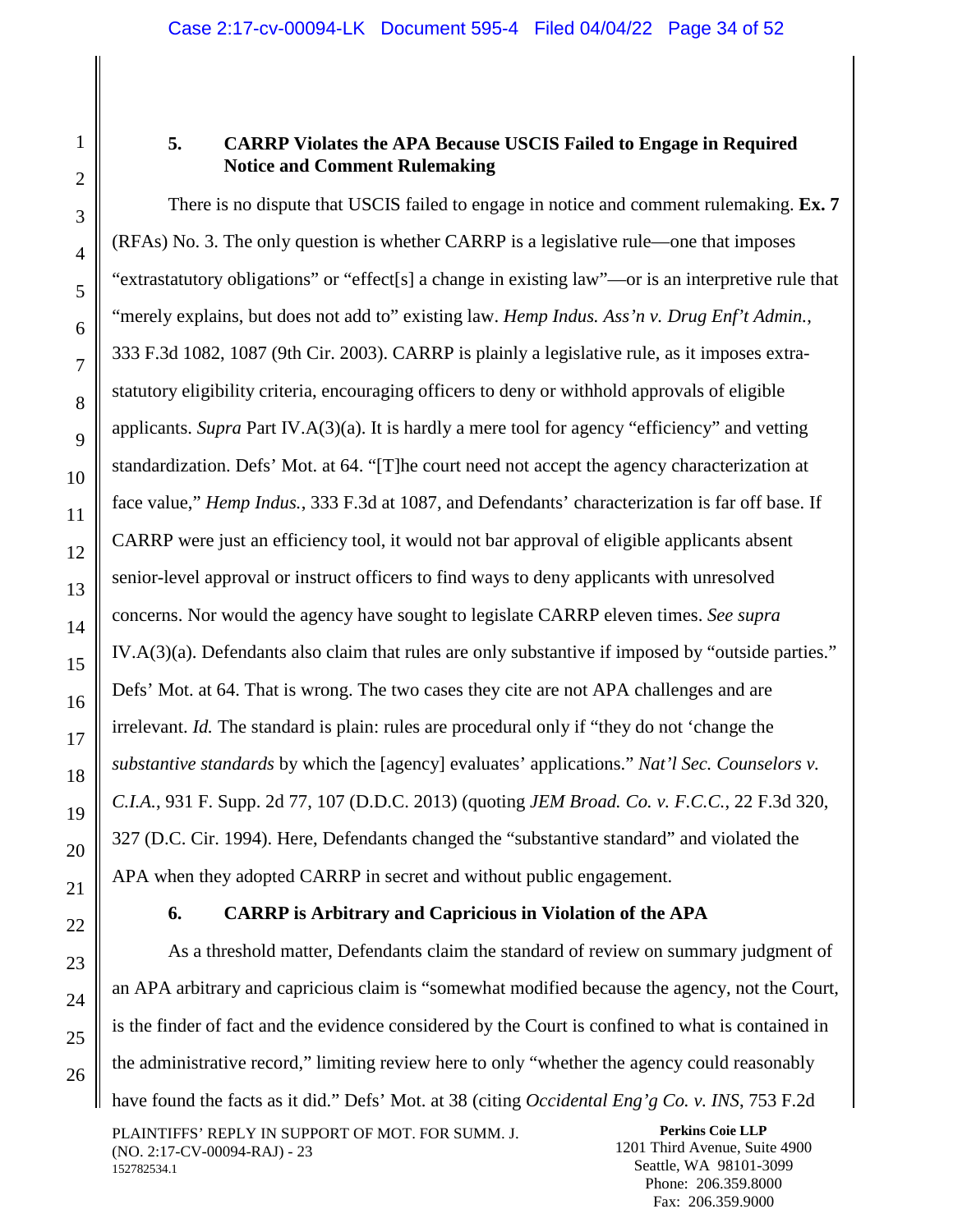#### **5. CARRP Violates the APA Because USCIS Failed to Engage in Required Notice and Comment Rulemaking**

There is no dispute that USCIS failed to engage in notice and comment rulemaking. **Ex. 7** (RFAs) No. 3. The only question is whether CARRP is a legislative rule—one that imposes "extrastatutory obligations" or "effect[s] a change in existing law"—or is an interpretive rule that "merely explains, but does not add to" existing law. *Hemp Indus. Ass'n v. Drug Enf't Admin.*, 333 F.3d 1082, 1087 (9th Cir. 2003). CARRP is plainly a legislative rule, as it imposes extrastatutory eligibility criteria, encouraging officers to deny or withhold approvals of eligible applicants. *Supra* Part IV.A(3)(a). It is hardly a mere tool for agency "efficiency" and vetting standardization. Defs' Mot. at 64. "[T]he court need not accept the agency characterization at face value," *Hemp Indus.*, 333 F.3d at 1087, and Defendants' characterization is far off base. If CARRP were just an efficiency tool, it would not bar approval of eligible applicants absent senior-level approval or instruct officers to find ways to deny applicants with unresolved concerns. Nor would the agency have sought to legislate CARRP eleven times. *See supra*  IV.A(3)(a). Defendants also claim that rules are only substantive if imposed by "outside parties." Defs' Mot. at 64. That is wrong. The two cases they cite are not APA challenges and are irrelevant. *Id.* The standard is plain: rules are procedural only if "they do not 'change the *substantive standards* by which the [agency] evaluates' applications." *Nat'l Sec. Counselors v. C.I.A.*, 931 F. Supp. 2d 77, 107 (D.D.C. 2013) (quoting *JEM Broad. Co. v. F.C.C.*, 22 F.3d 320, 327 (D.C. Cir. 1994). Here, Defendants changed the "substantive standard" and violated the APA when they adopted CARRP in secret and without public engagement.

#### **6. CARRP is Arbitrary and Capricious in Violation of the APA**

As a threshold matter, Defendants claim the standard of review on summary judgment of an APA arbitrary and capricious claim is "somewhat modified because the agency, not the Court, is the finder of fact and the evidence considered by the Court is confined to what is contained in the administrative record," limiting review here to only "whether the agency could reasonably have found the facts as it did." Defs' Mot. at 38 (citing *Occidental Eng'g Co. v. INS*, 753 F.2d

PLAINTIFFS' REPLY IN SUPPORT OF MOT. FOR SUMM. J. (NO. 2:17-CV-00094-RAJ) - 23 152782534.1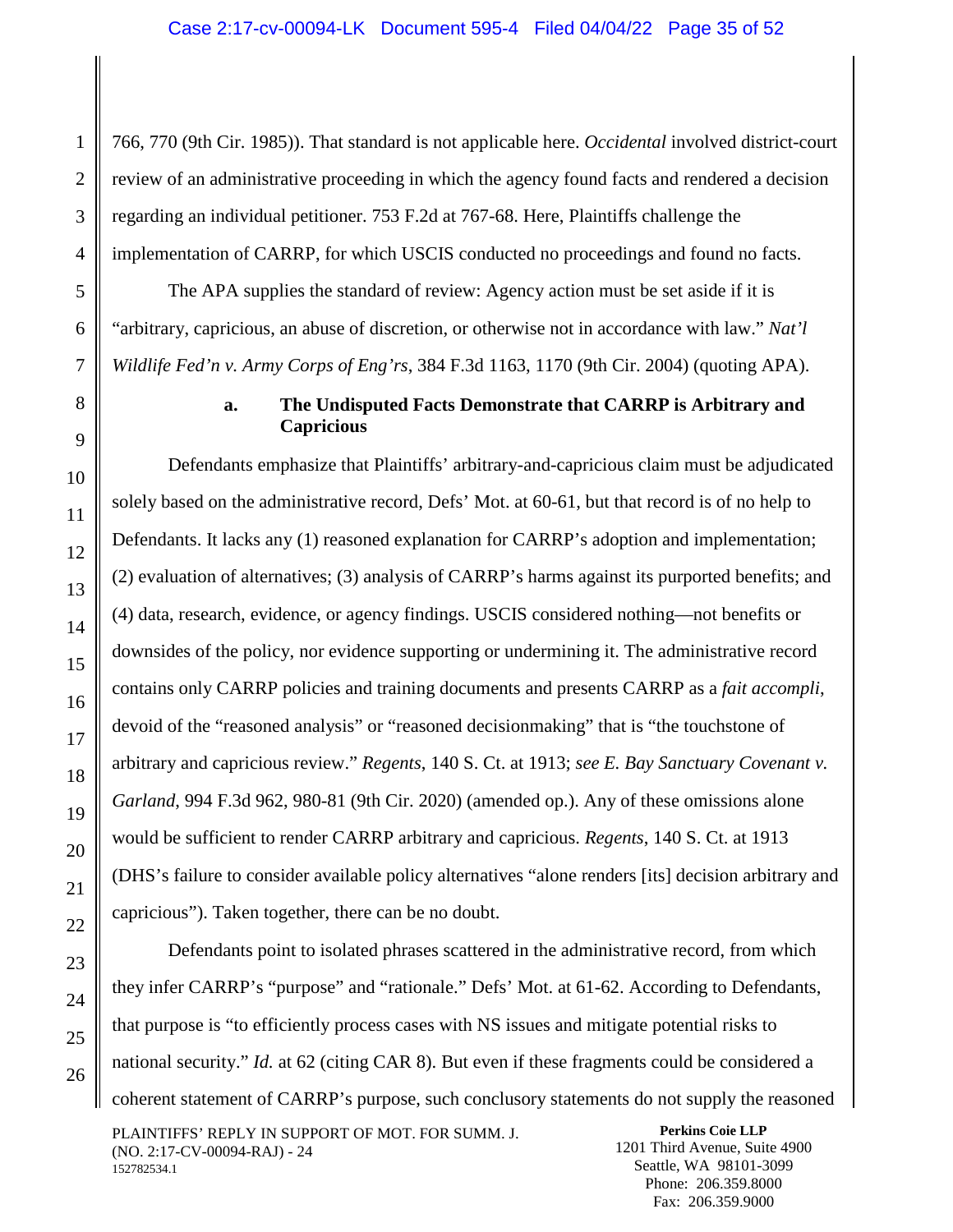766, 770 (9th Cir. 1985)). That standard is not applicable here. *Occidental* involved district-court review of an administrative proceeding in which the agency found facts and rendered a decision regarding an individual petitioner. 753 F.2d at 767-68. Here, Plaintiffs challenge the implementation of CARRP, for which USCIS conducted no proceedings and found no facts.

The APA supplies the standard of review: Agency action must be set aside if it is "arbitrary, capricious, an abuse of discretion, or otherwise not in accordance with law." *Nat'l Wildlife Fed'n v. Army Corps of Eng'rs*, 384 F.3d 1163, 1170 (9th Cir. 2004) (quoting APA).

#### **a. The Undisputed Facts Demonstrate that CARRP is Arbitrary and Capricious**

Defendants emphasize that Plaintiffs' arbitrary-and-capricious claim must be adjudicated solely based on the administrative record, Defs' Mot. at 60-61, but that record is of no help to Defendants. It lacks any (1) reasoned explanation for CARRP's adoption and implementation; (2) evaluation of alternatives; (3) analysis of CARRP's harms against its purported benefits; and (4) data, research, evidence, or agency findings. USCIS considered nothing—not benefits or downsides of the policy, nor evidence supporting or undermining it. The administrative record contains only CARRP policies and training documents and presents CARRP as a *fait accompli*, devoid of the "reasoned analysis" or "reasoned decisionmaking" that is "the touchstone of arbitrary and capricious review." *Regents*, 140 S. Ct. at 1913; *see E. Bay Sanctuary Covenant v. Garland*, 994 F.3d 962, 980-81 (9th Cir. 2020) (amended op.). Any of these omissions alone would be sufficient to render CARRP arbitrary and capricious. *Regents*, 140 S. Ct. at 1913 (DHS's failure to consider available policy alternatives "alone renders [its] decision arbitrary and capricious"). Taken together, there can be no doubt.

Defendants point to isolated phrases scattered in the administrative record, from which they infer CARRP's "purpose" and "rationale." Defs' Mot. at 61-62. According to Defendants, that purpose is "to efficiently process cases with NS issues and mitigate potential risks to national security." *Id.* at 62 (citing CAR 8). But even if these fragments could be considered a coherent statement of CARRP's purpose, such conclusory statements do not supply the reasoned

PLAINTIFFS' REPLY IN SUPPORT OF MOT. FOR SUMM. J. (NO. 2:17-CV-00094-RAJ) - 24 152782534.1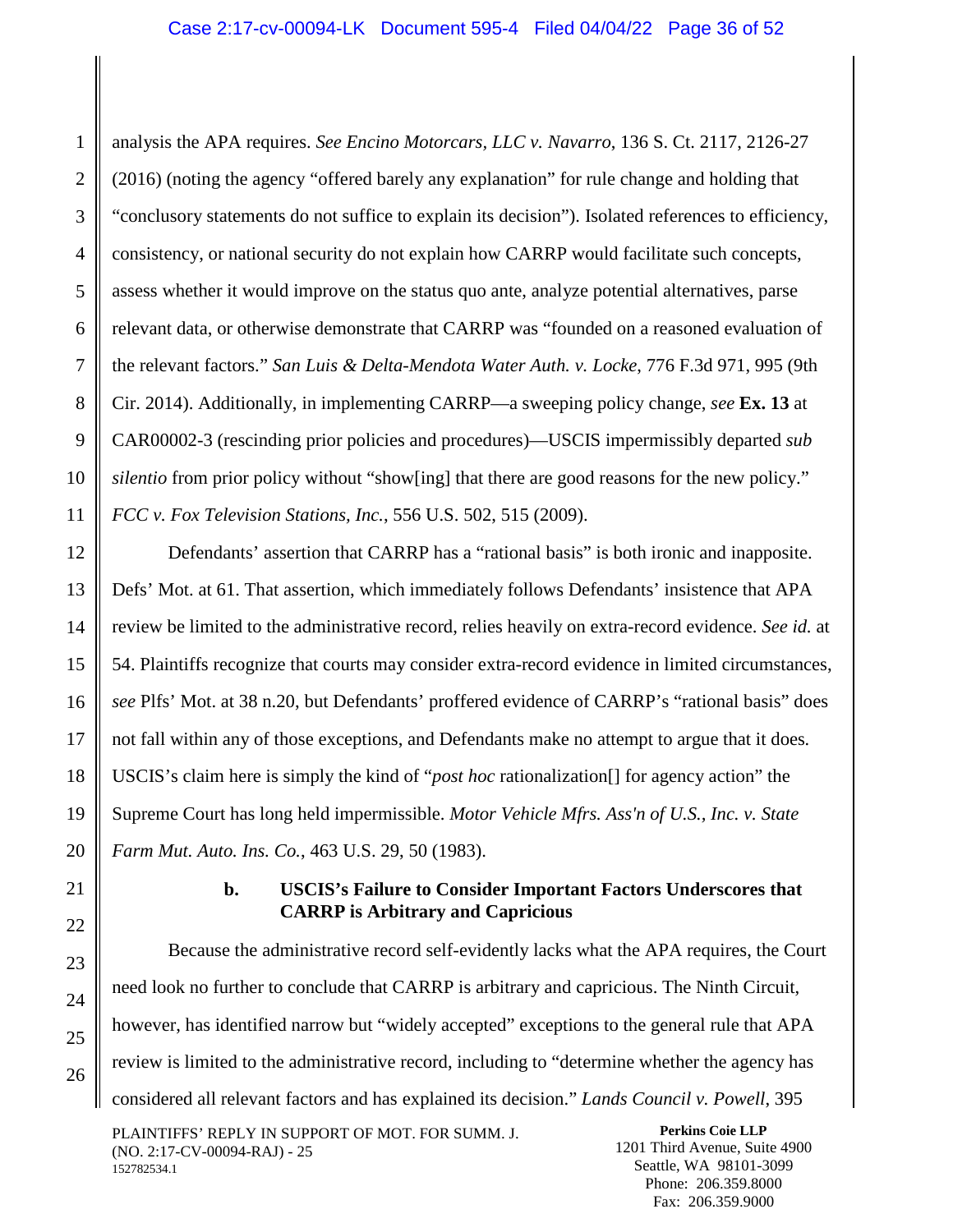analysis the APA requires. *See Encino Motorcars, LLC v. Navarro*, 136 S. Ct. 2117, 2126-27 (2016) (noting the agency "offered barely any explanation" for rule change and holding that "conclusory statements do not suffice to explain its decision"). Isolated references to efficiency, consistency, or national security do not explain how CARRP would facilitate such concepts, assess whether it would improve on the status quo ante, analyze potential alternatives, parse relevant data, or otherwise demonstrate that CARRP was "founded on a reasoned evaluation of the relevant factors." *San Luis & Delta-Mendota Water Auth. v. Locke*, 776 F.3d 971, 995 (9th Cir. 2014). Additionally, in implementing CARRP—a sweeping policy change, *see* **Ex. 13** at CAR00002-3 (rescinding prior policies and procedures)—USCIS impermissibly departed *sub silentio* from prior policy without "show[ing] that there are good reasons for the new policy." *FCC v. Fox Television Stations, Inc.*, 556 U.S. 502, 515 (2009).

Defendants' assertion that CARRP has a "rational basis" is both ironic and inapposite. Defs' Mot. at 61. That assertion, which immediately follows Defendants' insistence that APA review be limited to the administrative record, relies heavily on extra-record evidence. *See id.* at 54. Plaintiffs recognize that courts may consider extra-record evidence in limited circumstances, *see* Plfs' Mot. at 38 n.20, but Defendants' proffered evidence of CARRP's "rational basis" does not fall within any of those exceptions, and Defendants make no attempt to argue that it does*.* USCIS's claim here is simply the kind of "*post hoc* rationalization[] for agency action" the Supreme Court has long held impermissible. *Motor Vehicle Mfrs. Ass'n of U.S., Inc. v. State Farm Mut. Auto. Ins. Co.*, 463 U.S. 29, 50 (1983).

#### **b. USCIS's Failure to Consider Important Factors Underscores that CARRP is Arbitrary and Capricious**

Because the administrative record self-evidently lacks what the APA requires, the Court need look no further to conclude that CARRP is arbitrary and capricious. The Ninth Circuit, however, has identified narrow but "widely accepted" exceptions to the general rule that APA review is limited to the administrative record, including to "determine whether the agency has considered all relevant factors and has explained its decision." *Lands Council v. Powell*, 395

PLAINTIFFS' REPLY IN SUPPORT OF MOT. FOR SUMM. J. (NO. 2:17-CV-00094-RAJ) - 25 152782534.1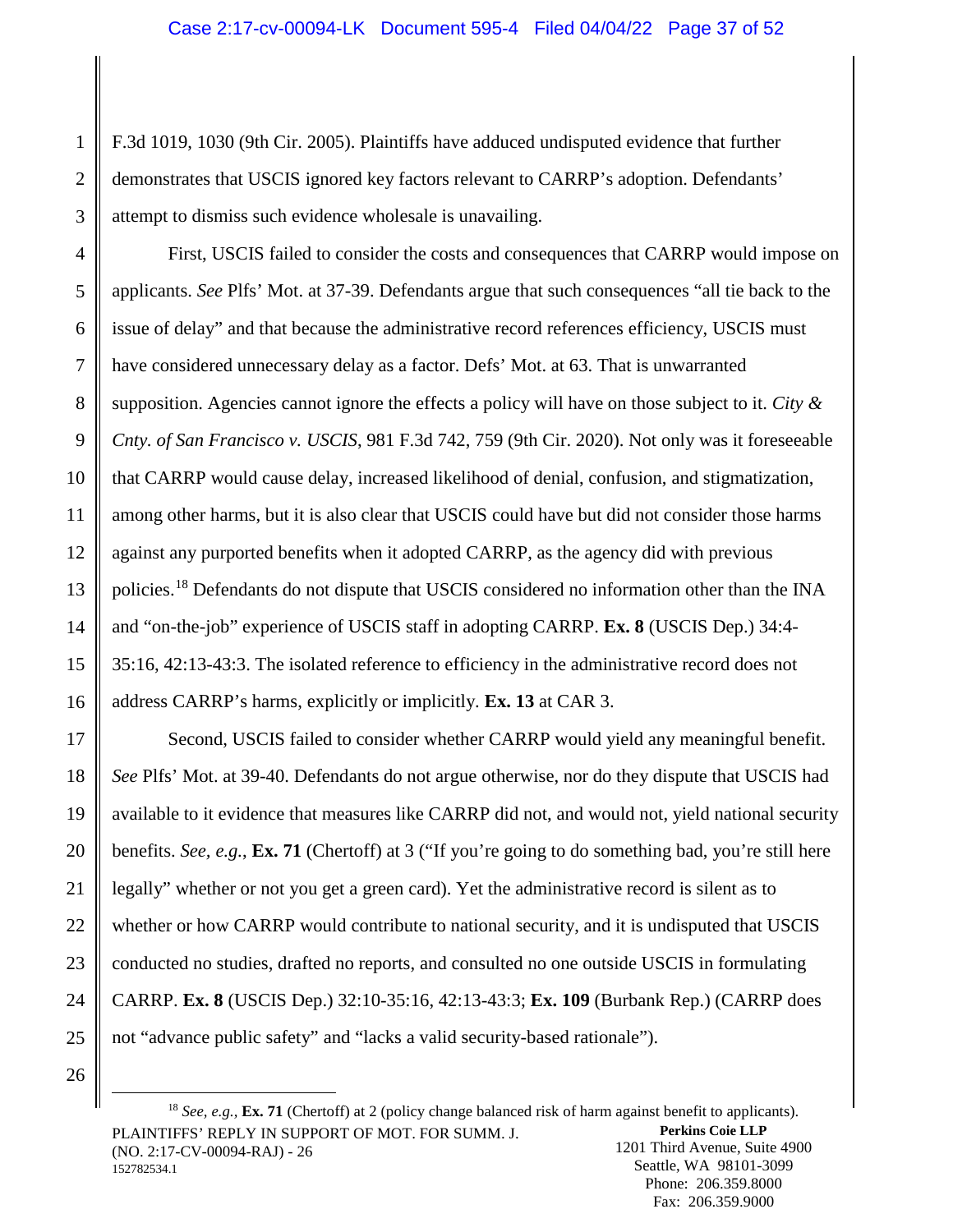F.3d 1019, 1030 (9th Cir. 2005). Plaintiffs have adduced undisputed evidence that further demonstrates that USCIS ignored key factors relevant to CARRP's adoption. Defendants' attempt to dismiss such evidence wholesale is unavailing.

First, USCIS failed to consider the costs and consequences that CARRP would impose on applicants. *See* Plfs' Mot. at 37-39. Defendants argue that such consequences "all tie back to the issue of delay" and that because the administrative record references efficiency, USCIS must have considered unnecessary delay as a factor. Defs' Mot. at 63. That is unwarranted supposition. Agencies cannot ignore the effects a policy will have on those subject to it. *City & Cnty. of San Francisco v. USCIS*, 981 F.3d 742, 759 (9th Cir. 2020). Not only was it foreseeable that CARRP would cause delay, increased likelihood of denial, confusion, and stigmatization, among other harms, but it is also clear that USCIS could have but did not consider those harms against any purported benefits when it adopted CARRP, as the agency did with previous policies.<sup>18</sup> Defendants do not dispute that USCIS considered no information other than the INA and "on-the-job" experience of USCIS staff in adopting CARRP. **Ex. 8** (USCIS Dep.) 34:4- 35:16, 42:13-43:3. The isolated reference to efficiency in the administrative record does not address CARRP's harms, explicitly or implicitly. **Ex. 13** at CAR 3.

Second, USCIS failed to consider whether CARRP would yield any meaningful benefit. *See* Plfs' Mot. at 39-40. Defendants do not argue otherwise, nor do they dispute that USCIS had available to it evidence that measures like CARRP did not, and would not, yield national security benefits. *See, e.g.*, **Ex. 71** (Chertoff) at 3 ("If you're going to do something bad, you're still here legally" whether or not you get a green card). Yet the administrative record is silent as to whether or how CARRP would contribute to national security, and it is undisputed that USCIS conducted no studies, drafted no reports, and consulted no one outside USCIS in formulating CARRP. **Ex. 8** (USCIS Dep.) 32:10-35:16, 42:13-43:3; **Ex. 109** (Burbank Rep.) (CARRP does not "advance public safety" and "lacks a valid security-based rationale").

26

Fax: 206.359.9000

**Perkins Coie LLP** 1201 Third Avenue, Suite 4900 Seattle, WA 98101-3099 Phone: 206.359.8000 PLAINTIFFS' REPLY IN SUPPORT OF MOT. FOR SUMM. J. (NO. 2:17-CV-00094-RAJ) - 26 152782534.1 18 *See, e.g.,* **Ex. 71** (Chertoff) at 2 (policy change balanced risk of harm against benefit to applicants).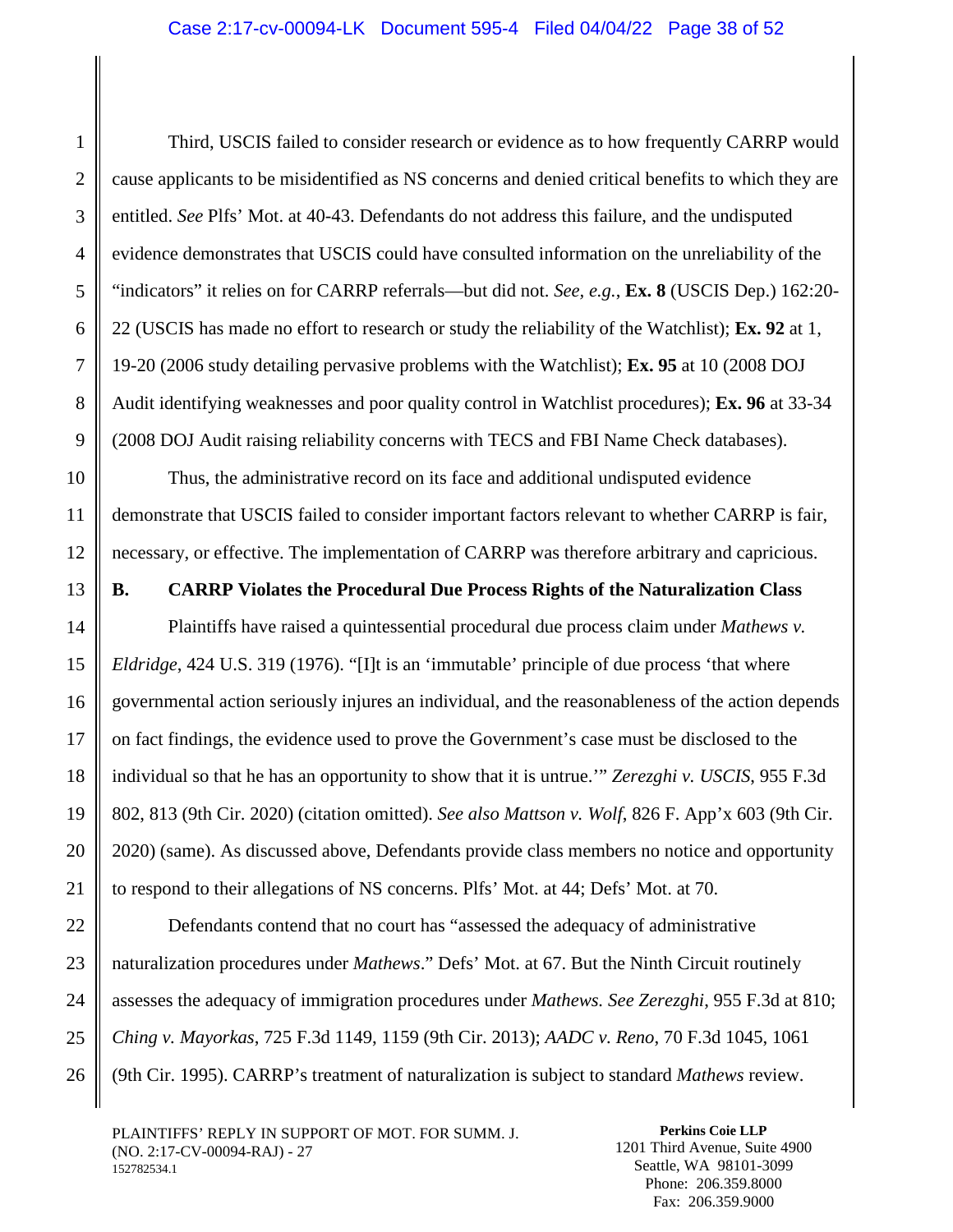Third, USCIS failed to consider research or evidence as to how frequently CARRP would cause applicants to be misidentified as NS concerns and denied critical benefits to which they are entitled. *See* Plfs' Mot. at 40-43. Defendants do not address this failure, and the undisputed evidence demonstrates that USCIS could have consulted information on the unreliability of the "indicators" it relies on for CARRP referrals—but did not. *See, e.g.*, **Ex. 8** (USCIS Dep.) 162:20- 22 (USCIS has made no effort to research or study the reliability of the Watchlist); **Ex. 92** at 1, 19-20 (2006 study detailing pervasive problems with the Watchlist); **Ex. 95** at 10 (2008 DOJ Audit identifying weaknesses and poor quality control in Watchlist procedures); **Ex. 96** at 33-34 (2008 DOJ Audit raising reliability concerns with TECS and FBI Name Check databases).

Thus, the administrative record on its face and additional undisputed evidence demonstrate that USCIS failed to consider important factors relevant to whether CARRP is fair, necessary, or effective. The implementation of CARRP was therefore arbitrary and capricious.

#### **B. CARRP Violates the Procedural Due Process Rights of the Naturalization Class**

Plaintiffs have raised a quintessential procedural due process claim under *Mathews v. Eldridge*, 424 U.S. 319 (1976). "[I]t is an 'immutable' principle of due process 'that where governmental action seriously injures an individual, and the reasonableness of the action depends on fact findings, the evidence used to prove the Government's case must be disclosed to the individual so that he has an opportunity to show that it is untrue.'" *Zerezghi v. USCIS*, 955 F.3d 802, 813 (9th Cir. 2020) (citation omitted). *See also Mattson v. Wolf*, 826 F. App'x 603 (9th Cir. 2020) (same). As discussed above, Defendants provide class members no notice and opportunity to respond to their allegations of NS concerns. Plfs' Mot. at 44; Defs' Mot. at 70.

Defendants contend that no court has "assessed the adequacy of administrative naturalization procedures under *Mathews*." Defs' Mot. at 67. But the Ninth Circuit routinely assesses the adequacy of immigration procedures under *Mathews. See Zerezghi*, 955 F.3d at 810; *Ching v. Mayorkas*, 725 F.3d 1149, 1159 (9th Cir. 2013); *AADC v. Reno*, 70 F.3d 1045, 1061 (9th Cir. 1995). CARRP's treatment of naturalization is subject to standard *Mathews* review.

PLAINTIFFS' REPLY IN SUPPORT OF MOT. FOR SUMM. J. (NO. 2:17-CV-00094-RAJ) - 27 152782534.1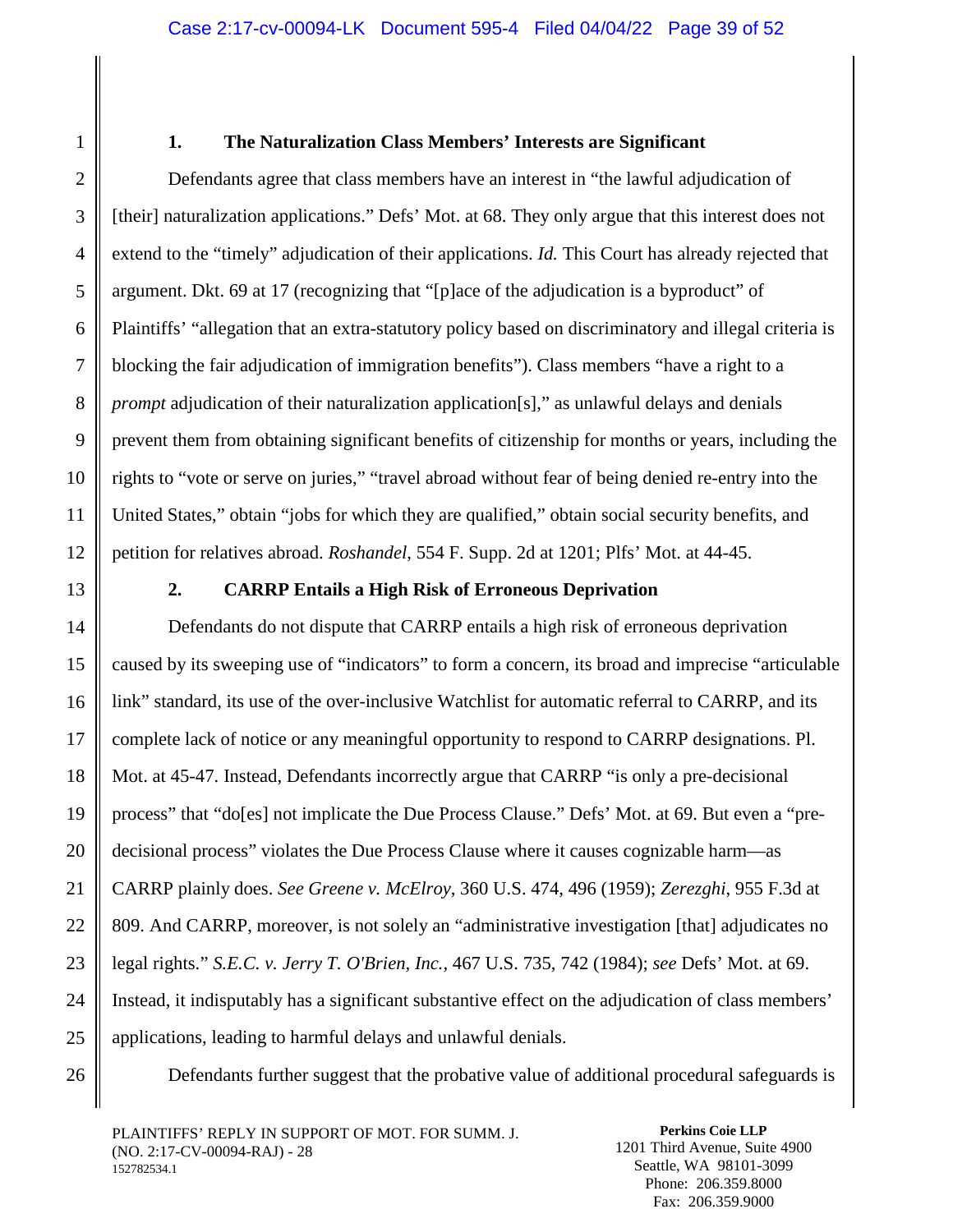#### **1. The Naturalization Class Members' Interests are Significant**

Defendants agree that class members have an interest in "the lawful adjudication of [their] naturalization applications." Defs' Mot. at 68. They only argue that this interest does not extend to the "timely" adjudication of their applications. *Id.* This Court has already rejected that argument. Dkt. 69 at 17 (recognizing that "[p]ace of the adjudication is a byproduct" of Plaintiffs' "allegation that an extra-statutory policy based on discriminatory and illegal criteria is blocking the fair adjudication of immigration benefits"). Class members "have a right to a *prompt* adjudication of their naturalization application[s]," as unlawful delays and denials prevent them from obtaining significant benefits of citizenship for months or years, including the rights to "vote or serve on juries," "travel abroad without fear of being denied re-entry into the United States," obtain "jobs for which they are qualified," obtain social security benefits, and petition for relatives abroad. *Roshandel*, 554 F. Supp. 2d at 1201; Plfs' Mot. at 44-45.

#### **2. CARRP Entails a High Risk of Erroneous Deprivation**

Defendants do not dispute that CARRP entails a high risk of erroneous deprivation caused by its sweeping use of "indicators" to form a concern, its broad and imprecise "articulable link" standard, its use of the over-inclusive Watchlist for automatic referral to CARRP, and its complete lack of notice or any meaningful opportunity to respond to CARRP designations. Pl. Mot. at 45-47. Instead, Defendants incorrectly argue that CARRP "is only a pre-decisional process" that "do[es] not implicate the Due Process Clause." Defs' Mot. at 69. But even a "predecisional process" violates the Due Process Clause where it causes cognizable harm—as CARRP plainly does. *See Greene v. McElroy*, 360 U.S. 474, 496 (1959); *Zerezghi*, 955 F.3d at 809. And CARRP, moreover, is not solely an "administrative investigation [that] adjudicates no legal rights." *S.E.C. v. Jerry T. O'Brien, Inc.*, 467 U.S. 735, 742 (1984); *see* Defs' Mot. at 69. Instead, it indisputably has a significant substantive effect on the adjudication of class members' applications, leading to harmful delays and unlawful denials.

26

Defendants further suggest that the probative value of additional procedural safeguards is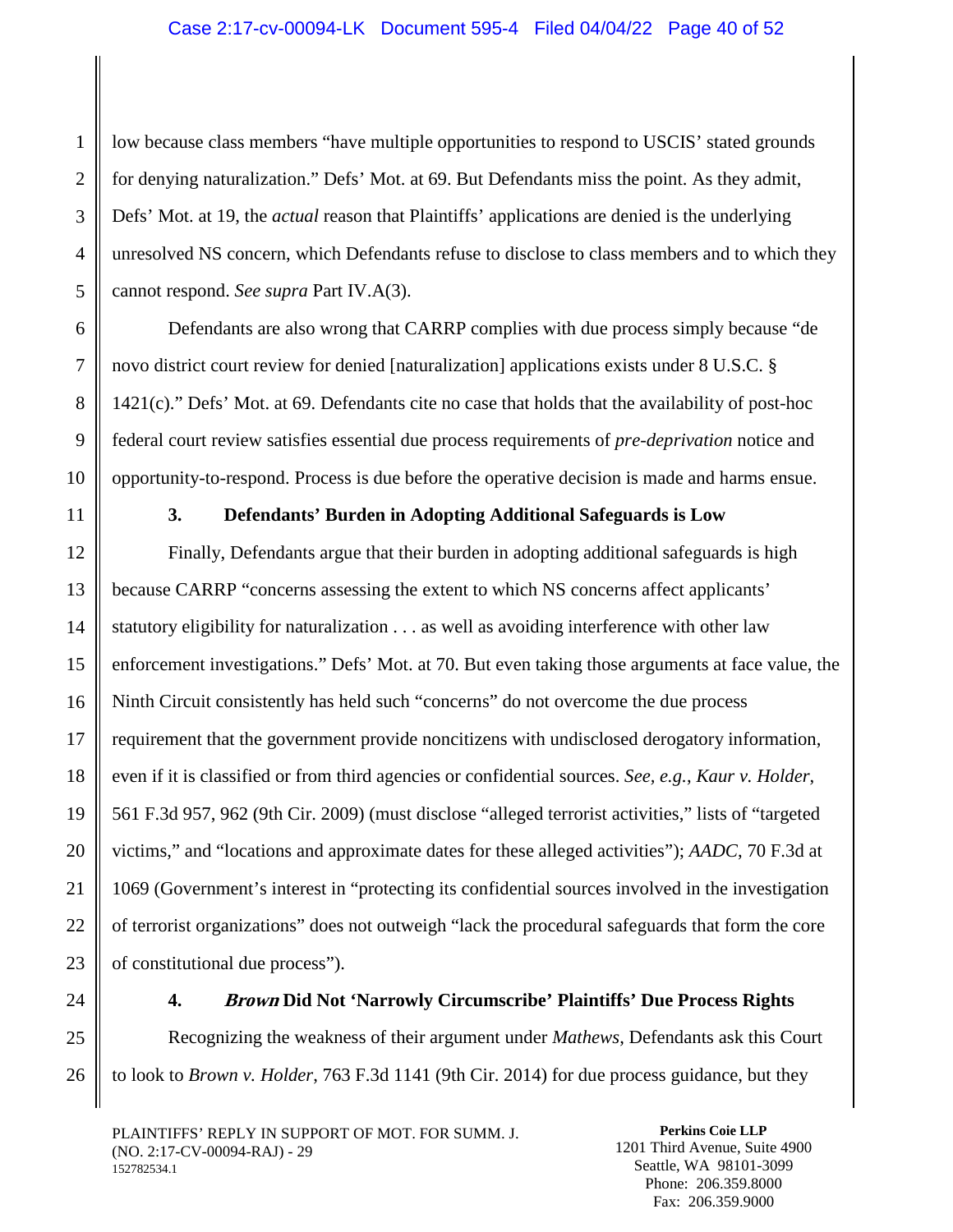#### Case 2:17-cv-00094-LK Document 595-4 Filed 04/04/22 Page 40 of 52

low because class members "have multiple opportunities to respond to USCIS' stated grounds for denying naturalization." Defs' Mot. at 69. But Defendants miss the point. As they admit, Defs' Mot. at 19, the *actual* reason that Plaintiffs' applications are denied is the underlying unresolved NS concern, which Defendants refuse to disclose to class members and to which they cannot respond. *See supra* Part IV.A(3).

Defendants are also wrong that CARRP complies with due process simply because "de novo district court review for denied [naturalization] applications exists under 8 U.S.C. § 1421(c)." Defs' Mot. at 69. Defendants cite no case that holds that the availability of post-hoc federal court review satisfies essential due process requirements of *pre-deprivation* notice and opportunity-to-respond. Process is due before the operative decision is made and harms ensue.

1

2

3

4

5

6

7

8

9

10

11

12

13

14

15

16

17

18

19

20

21

#### **3. Defendants' Burden in Adopting Additional Safeguards is Low**

Finally, Defendants argue that their burden in adopting additional safeguards is high because CARRP "concerns assessing the extent to which NS concerns affect applicants' statutory eligibility for naturalization . . . as well as avoiding interference with other law enforcement investigations." Defs' Mot. at 70. But even taking those arguments at face value, the Ninth Circuit consistently has held such "concerns" do not overcome the due process requirement that the government provide noncitizens with undisclosed derogatory information, even if it is classified or from third agencies or confidential sources. *See, e.g.*, *Kaur v. Holder*, 561 F.3d 957, 962 (9th Cir. 2009) (must disclose "alleged terrorist activities," lists of "targeted victims," and "locations and approximate dates for these alleged activities"); *AADC*, 70 F.3d at 1069 (Government's interest in "protecting its confidential sources involved in the investigation of terrorist organizations" does not outweigh "lack the procedural safeguards that form the core of constitutional due process").

**4. Brown Did Not 'Narrowly Circumscribe' Plaintiffs' Due Process Rights**

Recognizing the weakness of their argument under *Mathews*, Defendants ask this Court to look to *Brown v. Holder*, 763 F.3d 1141 (9th Cir. 2014) for due process guidance, but they

PLAINTIFFS' REPLY IN SUPPORT OF MOT. FOR SUMM. J. (NO. 2:17-CV-00094-RAJ) - 29 152782534.1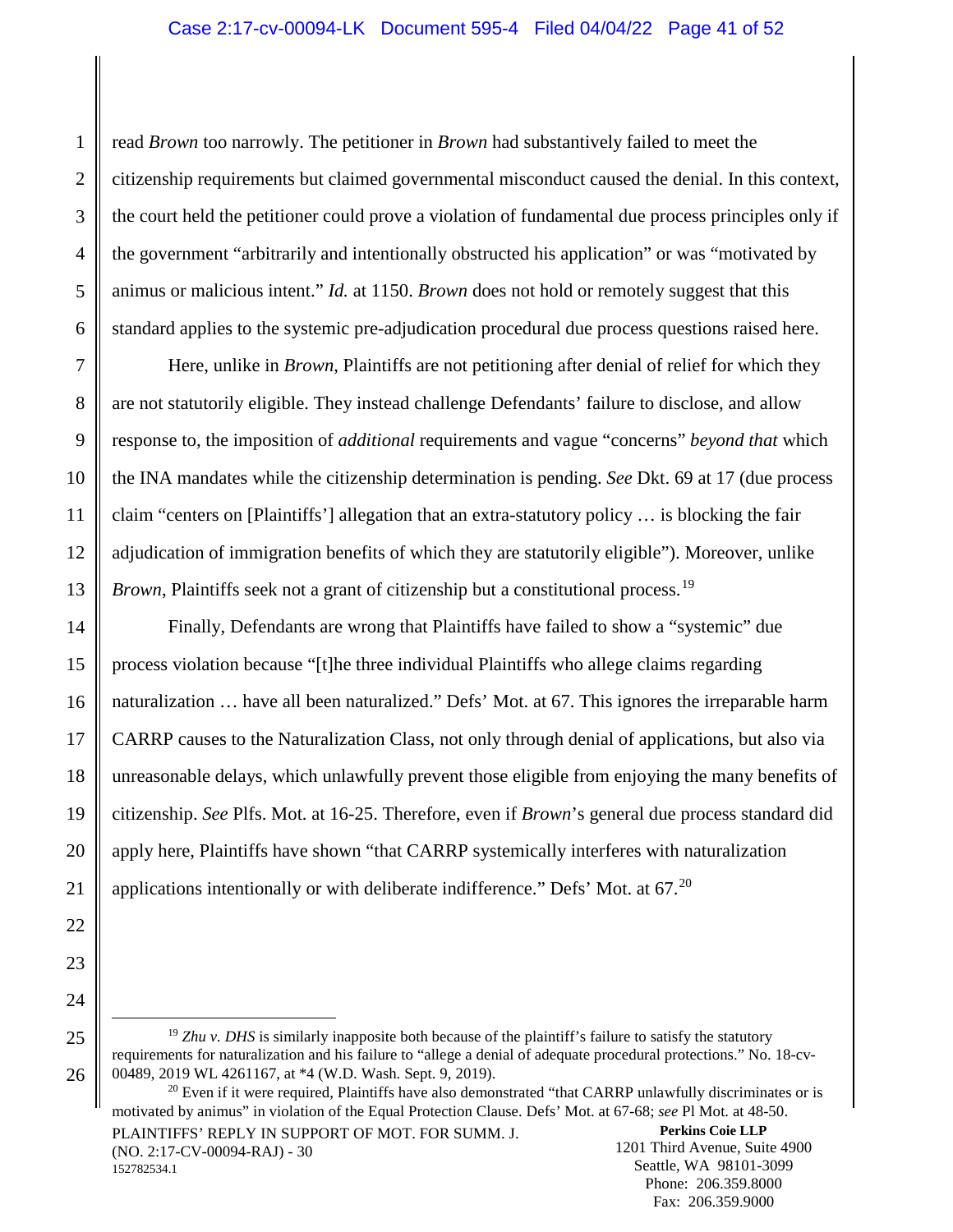#### Case 2:17-cv-00094-LK Document 595-4 Filed 04/04/22 Page 41 of 52

read *Brown* too narrowly. The petitioner in *Brown* had substantively failed to meet the citizenship requirements but claimed governmental misconduct caused the denial. In this context, the court held the petitioner could prove a violation of fundamental due process principles only if the government "arbitrarily and intentionally obstructed his application" or was "motivated by animus or malicious intent." *Id.* at 1150. *Brown* does not hold or remotely suggest that this standard applies to the systemic pre-adjudication procedural due process questions raised here.

Here, unlike in *Brown*, Plaintiffs are not petitioning after denial of relief for which they are not statutorily eligible. They instead challenge Defendants' failure to disclose, and allow response to, the imposition of *additional* requirements and vague "concerns" *beyond that* which the INA mandates while the citizenship determination is pending. *See* Dkt. 69 at 17 (due process claim "centers on [Plaintiffs'] allegation that an extra-statutory policy … is blocking the fair adjudication of immigration benefits of which they are statutorily eligible"). Moreover, unlike *Brown*, Plaintiffs seek not a grant of citizenship but a constitutional process.<sup>19</sup>

Finally, Defendants are wrong that Plaintiffs have failed to show a "systemic" due process violation because "[t]he three individual Plaintiffs who allege claims regarding naturalization … have all been naturalized." Defs' Mot. at 67. This ignores the irreparable harm CARRP causes to the Naturalization Class, not only through denial of applications, but also via unreasonable delays, which unlawfully prevent those eligible from enjoying the many benefits of citizenship. *See* Plfs. Mot. at 16-25. Therefore, even if *Brown*'s general due process standard did apply here, Plaintiffs have shown "that CARRP systemically interferes with naturalization applications intentionally or with deliberate indifference." Defs' Mot. at  $67.^{20}$ 

<sup>&</sup>lt;sup>19</sup> *Zhu v. DHS* is similarly inapposite both because of the plaintiff's failure to satisfy the statutory requirements for naturalization and his failure to "allege a denial of adequate procedural protections." No. 18-cv-00489, 2019 WL 4261167, at \*4 (W.D. Wash. Sept. 9, 2019).

**Perkins Coie LLP** 1201 Third Avenue, Suite 4900 Seattle, WA 98101-3099 PLAINTIFFS' REPLY IN SUPPORT OF MOT. FOR SUMM. J. (NO. 2:17-CV-00094-RAJ) - 30 152782534.1  $20$  Even if it were required, Plaintiffs have also demonstrated "that CARRP unlawfully discriminates or is motivated by animus" in violation of the Equal Protection Clause. Defs' Mot. at 67-68; *see* Pl Mot. at 48-50.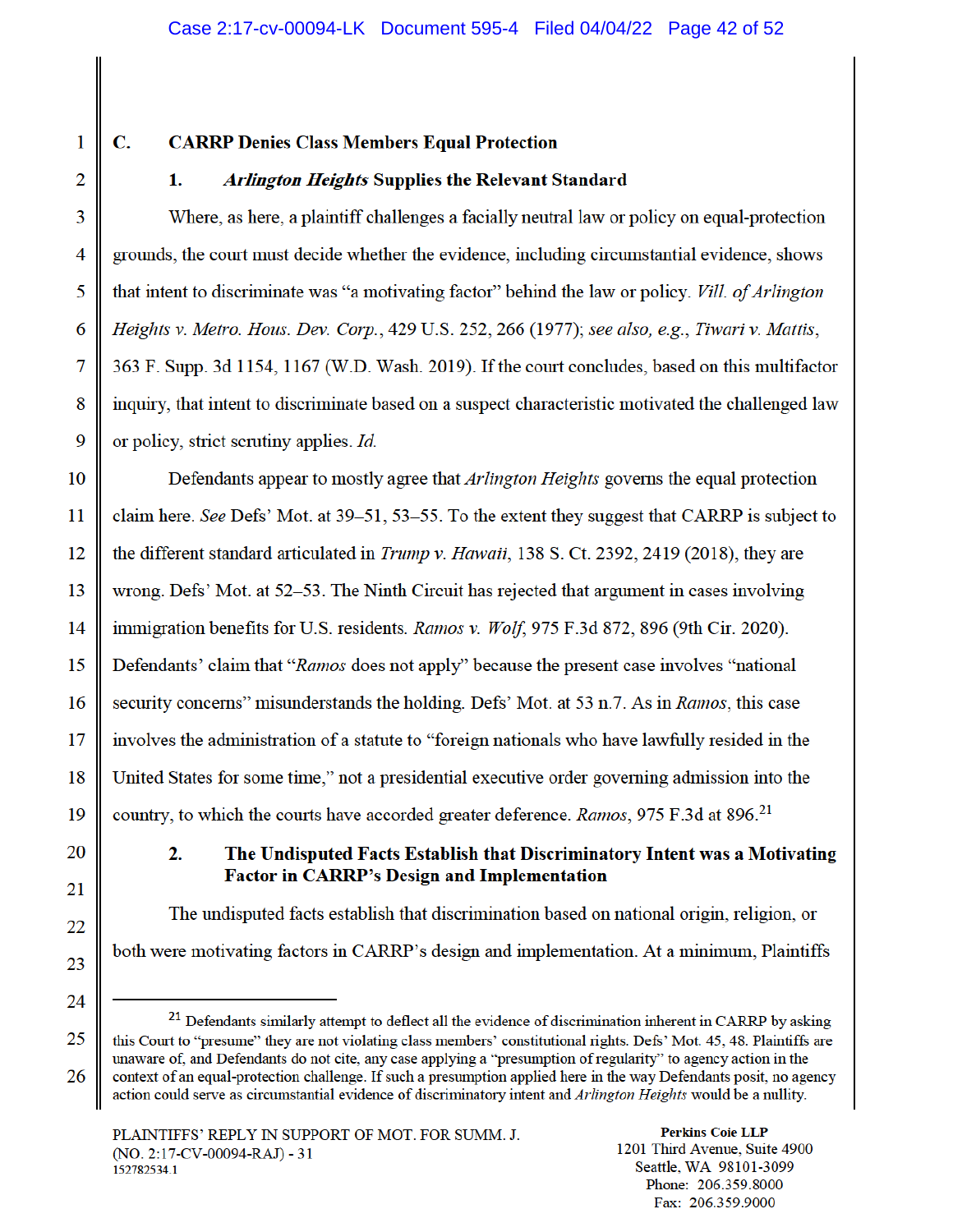#### C. **CARRP Denies Class Members Equal Protection**

1.

#### **Arlington Heights Supplies the Relevant Standard**

Where, as here, a plaintiff challenges a facially neutral law or policy on equal-protection grounds, the court must decide whether the evidence, including circumstantial evidence, shows that intent to discriminate was "a motivating factor" behind the law or policy. Vill. of Arlington Heights v. Metro. Hous. Dev. Corp., 429 U.S. 252, 266 (1977); see also, e.g., Tiwari v. Mattis, 363 F. Supp. 3d 1154, 1167 (W.D. Wash. 2019). If the court concludes, based on this multifactor inquiry, that intent to discriminate based on a suspect characteristic motivated the challenged law or policy, strict scrutiny applies. Id.

Defendants appear to mostly agree that *Arlington Heights* governs the equal protection claim here. See Defs' Mot. at 39–51, 53–55. To the extent they suggest that CARRP is subject to the different standard articulated in *Trump v. Hawaii*, 138 S. Ct. 2392, 2419 (2018), they are wrong. Defs' Mot. at 52–53. The Ninth Circuit has rejected that argument in cases involving immigration benefits for U.S. residents. Ramos v. Wolf, 975 F.3d 872, 896 (9th Cir. 2020). Defendants' claim that "Ramos does not apply" because the present case involves "national security concerns" misunderstands the holding. Defs' Mot. at 53 n.7. As in Ramos, this case involves the administration of a statute to "foreign nationals who have lawfully resided in the United States for some time," not a presidential executive order governing admission into the country, to which the courts have accorded greater deference. Ramos, 975 F.3d at 896.<sup>21</sup>

26

 $2.$ 

#### The Undisputed Facts Establish that Discriminatory Intent was a Motivating **Factor in CARRP's Design and Implementation**

The undisputed facts establish that discrimination based on national origin, religion, or both were motivating factors in CARRP's design and implementation. At a minimum, Plaintiffs

<sup>&</sup>lt;sup>21</sup> Defendants similarly attempt to deflect all the evidence of discrimination inherent in CARRP by asking this Court to "presume" they are not violating class members' constitutional rights. Defs' Mot. 45, 48. Plaintiffs are unaware of, and Defendants do not cite, any case applying a "presumption of regularity" to agency action in the context of an equal-protection challenge. If such a presumption applied here in the way Defendants posit, no agency action could serve as circumstantial evidence of discriminatory intent and Arlington Heights would be a nullity.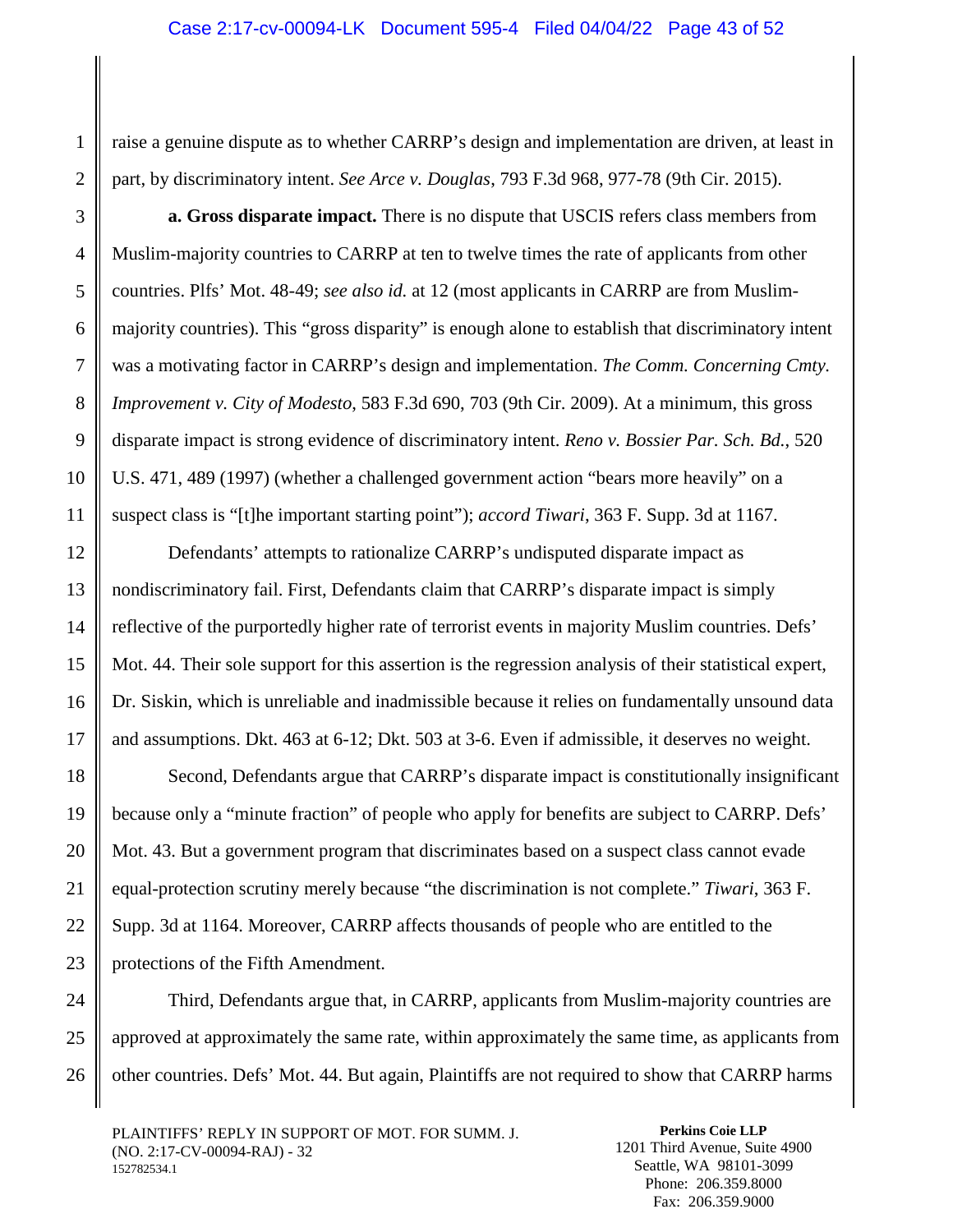raise a genuine dispute as to whether CARRP's design and implementation are driven, at least in part, by discriminatory intent. *See Arce v. Douglas*, 793 F.3d 968, 977-78 (9th Cir. 2015).

**a. Gross disparate impact.** There is no dispute that USCIS refers class members from Muslim-majority countries to CARRP at ten to twelve times the rate of applicants from other countries. Plfs' Mot. 48-49; *see also id.* at 12 (most applicants in CARRP are from Muslimmajority countries). This "gross disparity" is enough alone to establish that discriminatory intent was a motivating factor in CARRP's design and implementation. *The Comm. Concerning Cmty. Improvement v. City of Modesto*, 583 F.3d 690, 703 (9th Cir. 2009). At a minimum, this gross disparate impact is strong evidence of discriminatory intent. *Reno v. Bossier Par. Sch. Bd.*, 520 U.S. 471, 489 (1997) (whether a challenged government action "bears more heavily" on a suspect class is "[t]he important starting point"); *accord Tiwari*, 363 F. Supp. 3d at 1167.

Defendants' attempts to rationalize CARRP's undisputed disparate impact as nondiscriminatory fail. First, Defendants claim that CARRP's disparate impact is simply reflective of the purportedly higher rate of terrorist events in majority Muslim countries. Defs' Mot. 44. Their sole support for this assertion is the regression analysis of their statistical expert, Dr. Siskin, which is unreliable and inadmissible because it relies on fundamentally unsound data and assumptions. Dkt. 463 at 6-12; Dkt. 503 at 3-6. Even if admissible, it deserves no weight.

Second, Defendants argue that CARRP's disparate impact is constitutionally insignificant because only a "minute fraction" of people who apply for benefits are subject to CARRP. Defs' Mot. 43. But a government program that discriminates based on a suspect class cannot evade equal-protection scrutiny merely because "the discrimination is not complete." *Tiwari*, 363 F. Supp. 3d at 1164. Moreover, CARRP affects thousands of people who are entitled to the protections of the Fifth Amendment.

Third, Defendants argue that, in CARRP, applicants from Muslim-majority countries are approved at approximately the same rate, within approximately the same time, as applicants from other countries. Defs' Mot. 44. But again, Plaintiffs are not required to show that CARRP harms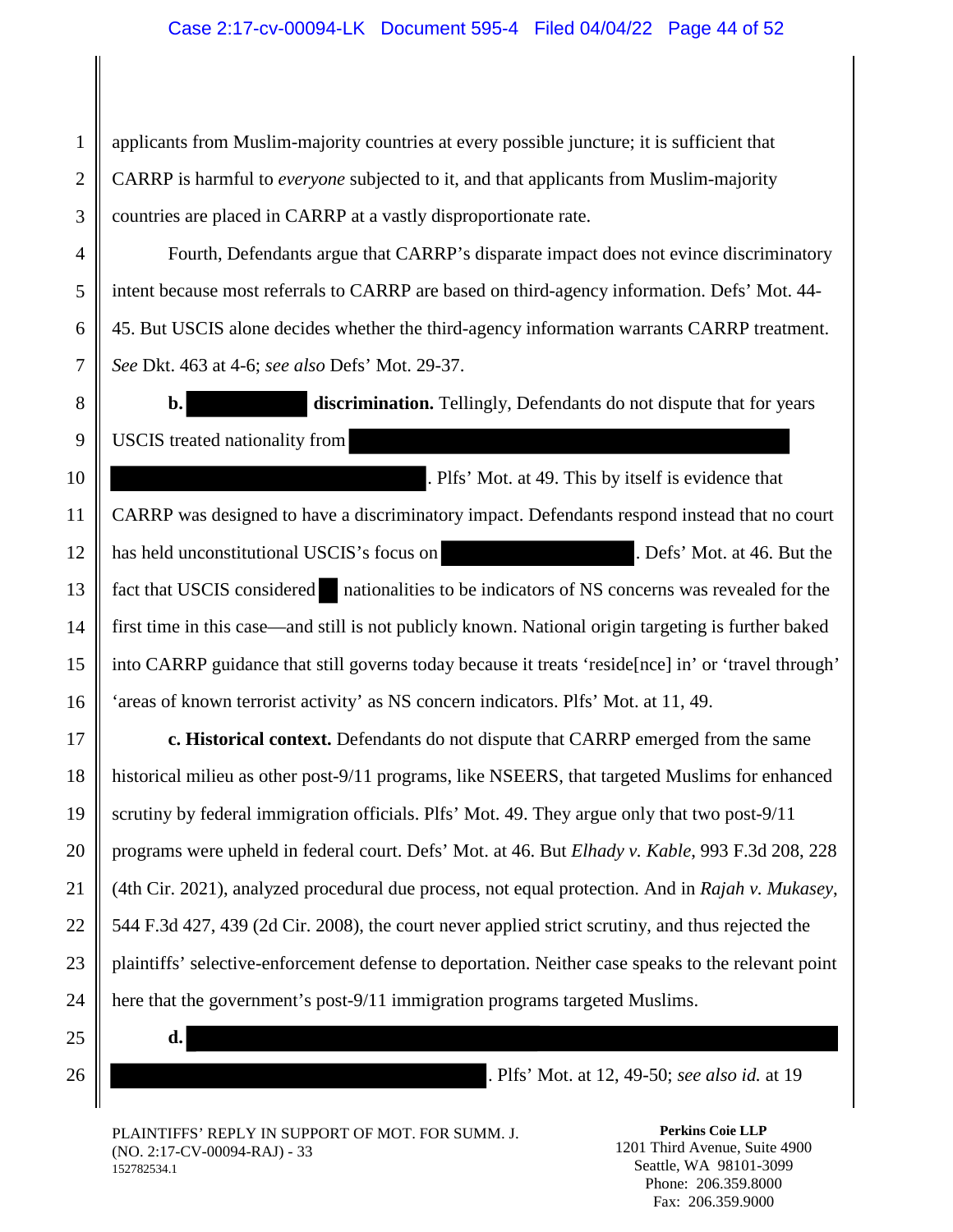applicants from Muslim-majority countries at every possible juncture; it is sufficient that CARRP is harmful to *everyone* subjected to it, and that applicants from Muslim-majority countries are placed in CARRP at a vastly disproportionate rate.

Fourth, Defendants argue that CARRP's disparate impact does not evince discriminatory intent because most referrals to CARRP are based on third-agency information. Defs' Mot. 44- 45. But USCIS alone decides whether the third-agency information warrants CARRP treatment. *See* Dkt. 463 at 4-6; *see also* Defs' Mot. 29-37.

**b.** discrimination. Tellingly, Defendants do not dispute that for years USCIS treated nationality from

. Plfs' Mot. at 49. This by itself is evidence that CARRP was designed to have a discriminatory impact. Defendants respond instead that no court has held unconstitutional USCIS's focus on . Defs' Mot. at 46. But the fact that USCIS considered nationalities to be indicators of NS concerns was revealed for the first time in this case—and still is not publicly known. National origin targeting is further baked into CARRP guidance that still governs today because it treats 'reside[nce] in' or 'travel through' 'areas of known terrorist activity' as NS concern indicators. Plfs' Mot. at 11, 49.

**c. Historical context.** Defendants do not dispute that CARRP emerged from the same historical milieu as other post-9/11 programs, like NSEERS, that targeted Muslims for enhanced scrutiny by federal immigration officials. Plfs' Mot. 49. They argue only that two post-9/11 programs were upheld in federal court. Defs' Mot. at 46. But *Elhady v. Kable*, 993 F.3d 208, 228 (4th Cir. 2021), analyzed procedural due process, not equal protection. And in *Rajah v. Mukasey*, 544 F.3d 427, 439 (2d Cir. 2008), the court never applied strict scrutiny, and thus rejected the plaintiffs' selective-enforcement defense to deportation. Neither case speaks to the relevant point here that the government's post-9/11 immigration programs targeted Muslims.

. Plfs' Mot. at 12, 49-50; *see also id.* at 19

PLAINTIFFS' REPLY IN SUPPORT OF MOT. FOR SUMM. J. (NO. 2:17-CV-00094-RAJ) - 33 152782534.1

**d.**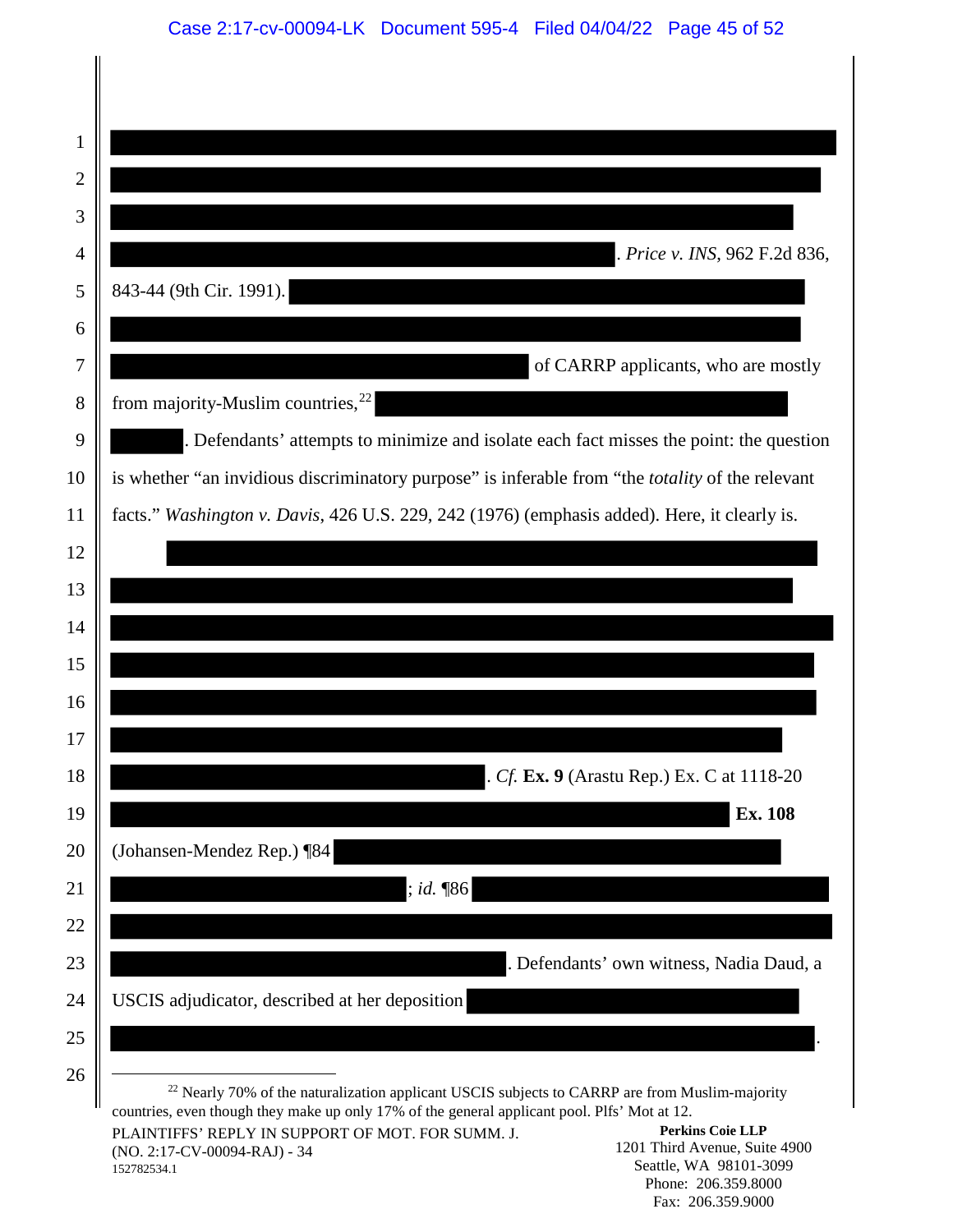#### Case 2:17-cv-00094-LK Document 595-4 Filed 04/04/22 Page 45 of 52

| . Price v. INS, 962 F.2d 836,                                                                                                                                                                             |
|-----------------------------------------------------------------------------------------------------------------------------------------------------------------------------------------------------------|
| 843-44 (9th Cir. 1991).                                                                                                                                                                                   |
|                                                                                                                                                                                                           |
| of CARRP applicants, who are mostly                                                                                                                                                                       |
| from majority-Muslim countries, $22$                                                                                                                                                                      |
| . Defendants' attempts to minimize and isolate each fact misses the point: the question                                                                                                                   |
| is whether "an invidious discriminatory purpose" is inferable from "the totality of the relevant                                                                                                          |
| facts." Washington v. Davis, 426 U.S. 229, 242 (1976) (emphasis added). Here, it clearly is.                                                                                                              |
|                                                                                                                                                                                                           |
|                                                                                                                                                                                                           |
|                                                                                                                                                                                                           |
|                                                                                                                                                                                                           |
|                                                                                                                                                                                                           |
|                                                                                                                                                                                                           |
| . Cf. Ex. 9 (Arastu Rep.) Ex. C at 1118-20                                                                                                                                                                |
| Ex. 108                                                                                                                                                                                                   |
| (Johansen-Mendez Rep.) [84]                                                                                                                                                                               |
| $; id. \P86$                                                                                                                                                                                              |
|                                                                                                                                                                                                           |
| . Defendants' own witness, Nadia Daud, a                                                                                                                                                                  |
| USCIS adjudicator, described at her deposition                                                                                                                                                            |
|                                                                                                                                                                                                           |
| <sup>22</sup> Nearly 70% of the naturalization applicant USCIS subjects to CARRP are from Muslim-majority<br>countries, even though they make up only 17% of the general applicant pool. Plfs' Mot at 12. |
| <b>Perkins Coie LLP</b><br>PLAINTIFFS' REPLY IN SUPPORT OF MOT. FOR SUMM. J.<br>1201 Third Avenue, Suite 4900<br>(NO. 2:17-CV-00094-RAJ) - 34<br>Seattle, WA 98101-3099<br>152782534.1                    |

Seattle, WA 98101-3099 Phone: 206.359.8000 Fax: 206.359.9000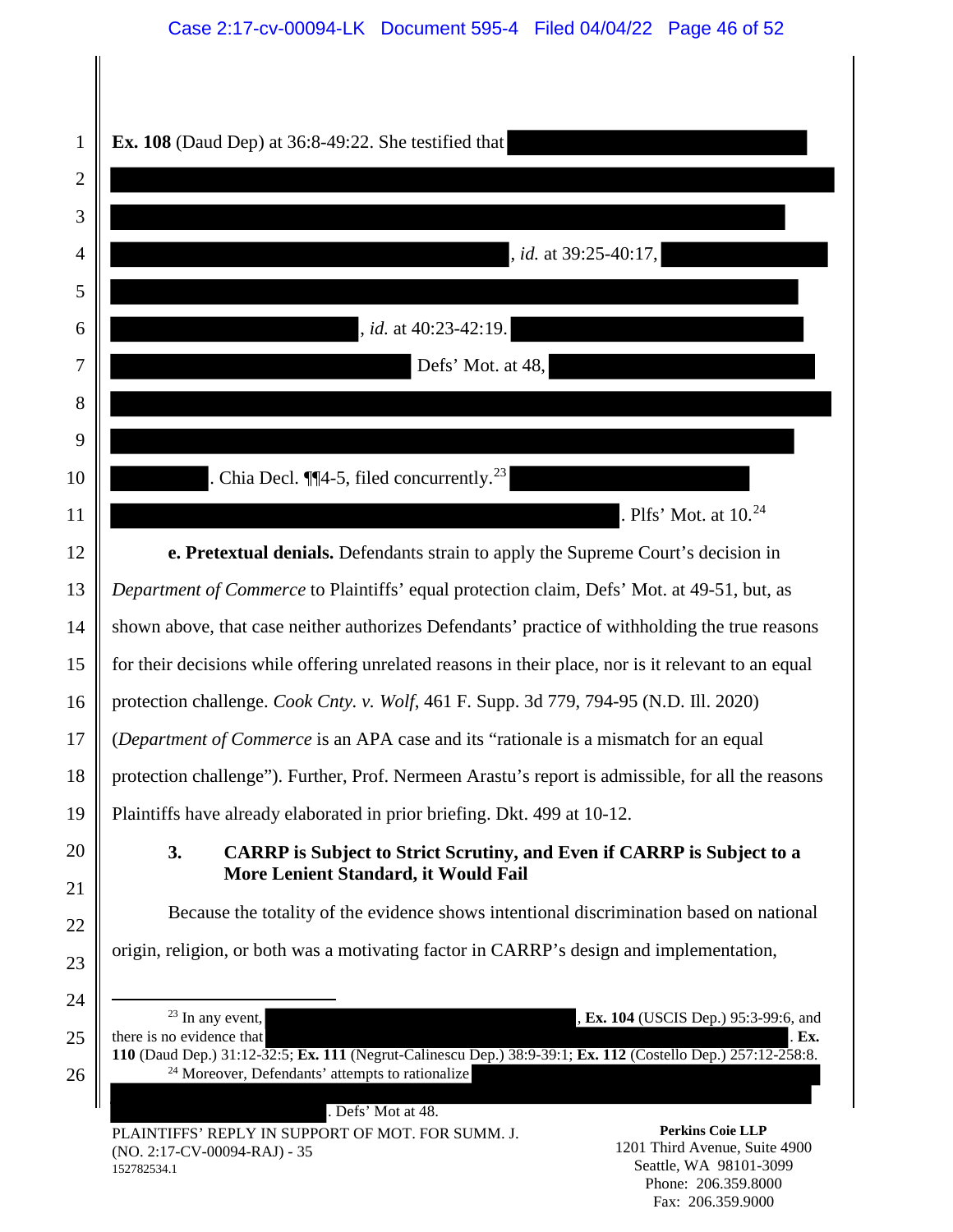#### Case 2:17-cv-00094-LK Document 595-4 Filed 04/04/22 Page 46 of 52



152782534.1

Seattle, WA 98101-3099 Phone: 206.359.8000 Fax: 206.359.9000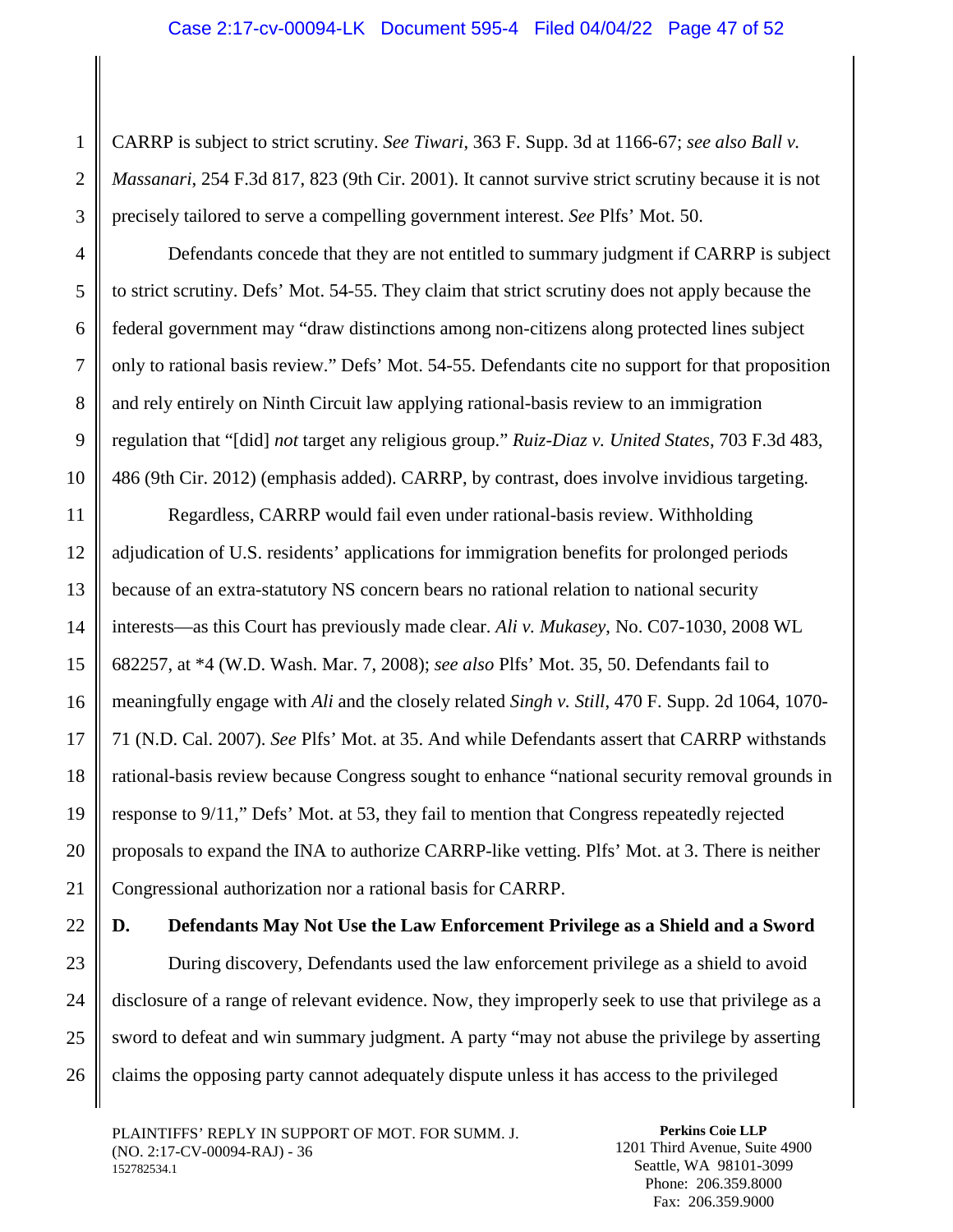CARRP is subject to strict scrutiny. *See Tiwari*, 363 F. Supp. 3d at 1166-67; *see also Ball v. Massanari*, 254 F.3d 817, 823 (9th Cir. 2001). It cannot survive strict scrutiny because it is not precisely tailored to serve a compelling government interest. *See* Plfs' Mot. 50.

Defendants concede that they are not entitled to summary judgment if CARRP is subject to strict scrutiny. Defs' Mot. 54-55. They claim that strict scrutiny does not apply because the federal government may "draw distinctions among non-citizens along protected lines subject only to rational basis review." Defs' Mot. 54-55. Defendants cite no support for that proposition and rely entirely on Ninth Circuit law applying rational-basis review to an immigration regulation that "[did] *not* target any religious group." *Ruiz-Diaz v. United States*, 703 F.3d 483, 486 (9th Cir. 2012) (emphasis added). CARRP, by contrast, does involve invidious targeting.

Regardless, CARRP would fail even under rational-basis review. Withholding adjudication of U.S. residents' applications for immigration benefits for prolonged periods because of an extra-statutory NS concern bears no rational relation to national security interests—as this Court has previously made clear. *Ali v. Mukasey*, No. C07-1030, 2008 WL 682257, at \*4 (W.D. Wash. Mar. 7, 2008); *see also* Plfs' Mot. 35, 50. Defendants fail to meaningfully engage with *Ali* and the closely related *Singh v. Still*, 470 F. Supp. 2d 1064, 1070- 71 (N.D. Cal. 2007). *See* Plfs' Mot. at 35. And while Defendants assert that CARRP withstands rational-basis review because Congress sought to enhance "national security removal grounds in response to 9/11," Defs' Mot. at 53, they fail to mention that Congress repeatedly rejected proposals to expand the INA to authorize CARRP-like vetting. Plfs' Mot. at 3. There is neither Congressional authorization nor a rational basis for CARRP.

#### **D. Defendants May Not Use the Law Enforcement Privilege as a Shield and a Sword**

During discovery, Defendants used the law enforcement privilege as a shield to avoid disclosure of a range of relevant evidence. Now, they improperly seek to use that privilege as a sword to defeat and win summary judgment. A party "may not abuse the privilege by asserting claims the opposing party cannot adequately dispute unless it has access to the privileged

**Perkins Coie LLP** 1201 Third Avenue, Suite 4900 Seattle, WA 98101-3099 Phone: 206.359.8000 Fax: 206.359.9000

1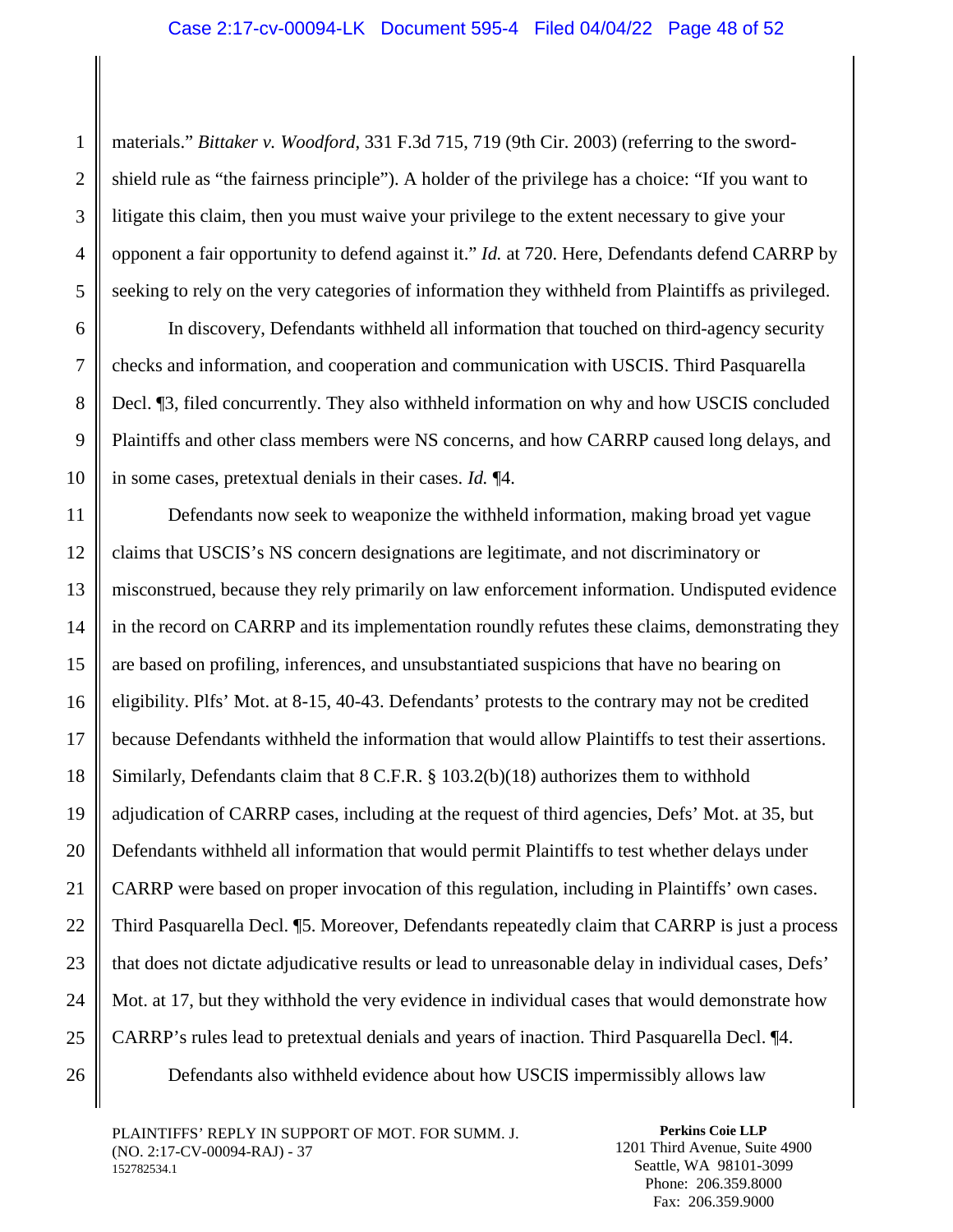materials." *Bittaker v. Woodford*, 331 F.3d 715, 719 (9th Cir. 2003) (referring to the swordshield rule as "the fairness principle"). A holder of the privilege has a choice: "If you want to litigate this claim, then you must waive your privilege to the extent necessary to give your opponent a fair opportunity to defend against it." *Id.* at 720. Here, Defendants defend CARRP by seeking to rely on the very categories of information they withheld from Plaintiffs as privileged.

In discovery, Defendants withheld all information that touched on third-agency security checks and information, and cooperation and communication with USCIS. Third Pasquarella Decl. ¶3, filed concurrently. They also withheld information on why and how USCIS concluded Plaintiffs and other class members were NS concerns, and how CARRP caused long delays, and in some cases, pretextual denials in their cases. *Id.* ¶4.

Defendants now seek to weaponize the withheld information, making broad yet vague claims that USCIS's NS concern designations are legitimate, and not discriminatory or misconstrued, because they rely primarily on law enforcement information. Undisputed evidence in the record on CARRP and its implementation roundly refutes these claims, demonstrating they are based on profiling, inferences, and unsubstantiated suspicions that have no bearing on eligibility. Plfs' Mot. at 8-15, 40-43. Defendants' protests to the contrary may not be credited because Defendants withheld the information that would allow Plaintiffs to test their assertions. Similarly, Defendants claim that 8 C.F.R. § 103.2(b)(18) authorizes them to withhold adjudication of CARRP cases, including at the request of third agencies, Defs' Mot. at 35, but Defendants withheld all information that would permit Plaintiffs to test whether delays under CARRP were based on proper invocation of this regulation, including in Plaintiffs' own cases. Third Pasquarella Decl. ¶5. Moreover, Defendants repeatedly claim that CARRP is just a process that does not dictate adjudicative results or lead to unreasonable delay in individual cases, Defs' Mot. at 17, but they withhold the very evidence in individual cases that would demonstrate how CARRP's rules lead to pretextual denials and years of inaction. Third Pasquarella Decl. ¶4. Defendants also withheld evidence about how USCIS impermissibly allows law

PLAINTIFFS' REPLY IN SUPPORT OF MOT. FOR SUMM. J. (NO. 2:17-CV-00094-RAJ) - 37 152782534.1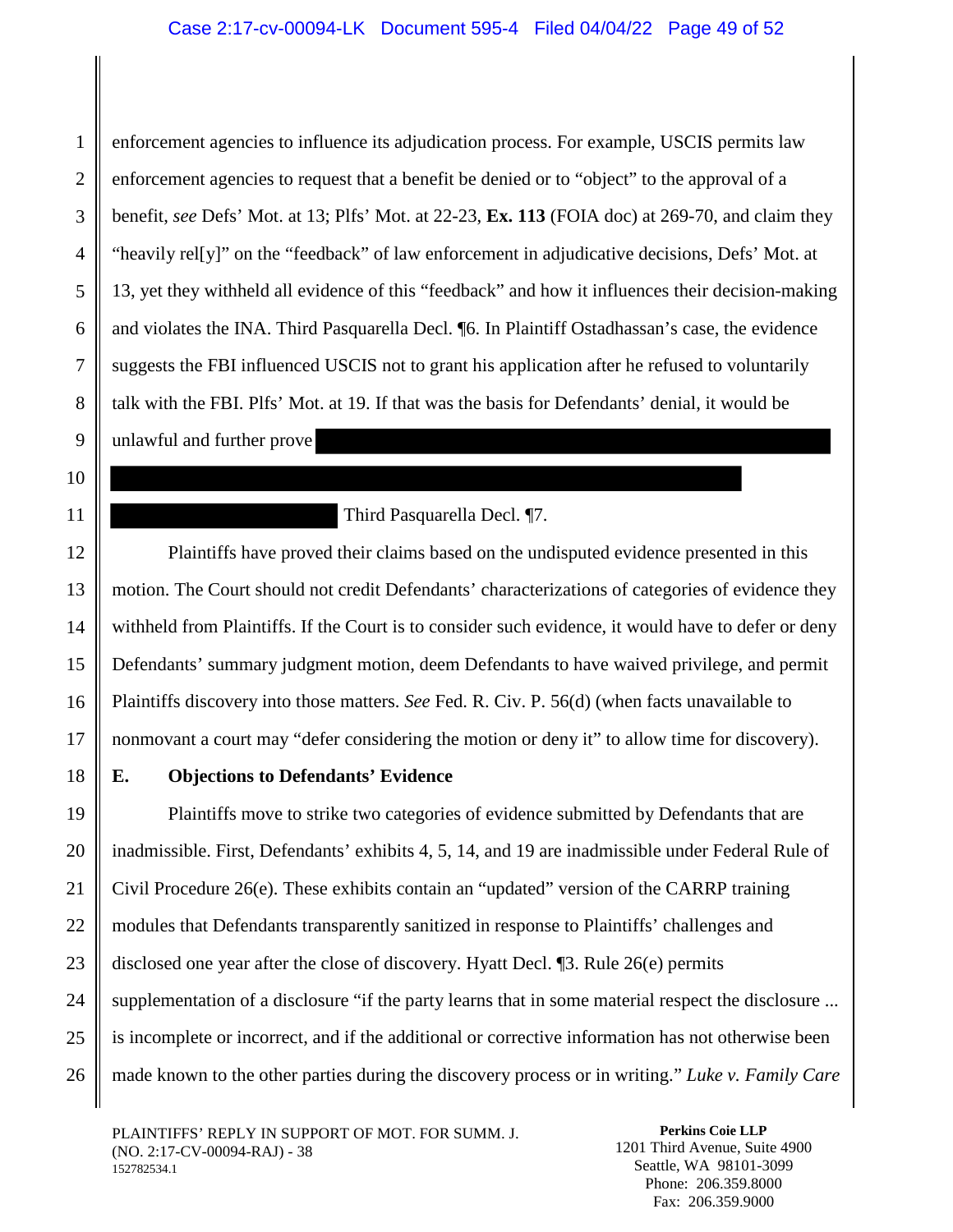enforcement agencies to influence its adjudication process. For example, USCIS permits law enforcement agencies to request that a benefit be denied or to "object" to the approval of a benefit, *see* Defs' Mot. at 13; Plfs' Mot. at 22-23, **Ex. 113** (FOIA doc) at 269-70, and claim they "heavily rel[y]" on the "feedback" of law enforcement in adjudicative decisions, Defs' Mot. at 13, yet they withheld all evidence of this "feedback" and how it influences their decision-making and violates the INA. Third Pasquarella Decl. ¶6. In Plaintiff Ostadhassan's case, the evidence suggests the FBI influenced USCIS not to grant his application after he refused to voluntarily talk with the FBI. Plfs' Mot. at 19. If that was the basis for Defendants' denial, it would be unlawful and further prove

#### Third Pasquarella Decl. ¶7.

Plaintiffs have proved their claims based on the undisputed evidence presented in this motion. The Court should not credit Defendants' characterizations of categories of evidence they withheld from Plaintiffs. If the Court is to consider such evidence, it would have to defer or deny Defendants' summary judgment motion, deem Defendants to have waived privilege, and permit Plaintiffs discovery into those matters. *See* Fed. R. Civ. P. 56(d) (when facts unavailable to nonmovant a court may "defer considering the motion or deny it" to allow time for discovery).

#### **E. Objections to Defendants' Evidence**

Plaintiffs move to strike two categories of evidence submitted by Defendants that are inadmissible. First, Defendants' exhibits 4, 5, 14, and 19 are inadmissible under Federal Rule of Civil Procedure 26(e). These exhibits contain an "updated" version of the CARRP training modules that Defendants transparently sanitized in response to Plaintiffs' challenges and disclosed one year after the close of discovery. Hyatt Decl. ¶3. Rule 26(e) permits supplementation of a disclosure "if the party learns that in some material respect the disclosure ... is incomplete or incorrect, and if the additional or corrective information has not otherwise been made known to the other parties during the discovery process or in writing." *Luke v. Family Care* 

**Perkins Coie LLP** 1201 Third Avenue, Suite 4900 Seattle, WA 98101-3099 Phone: 206.359.8000 Fax: 206.359.9000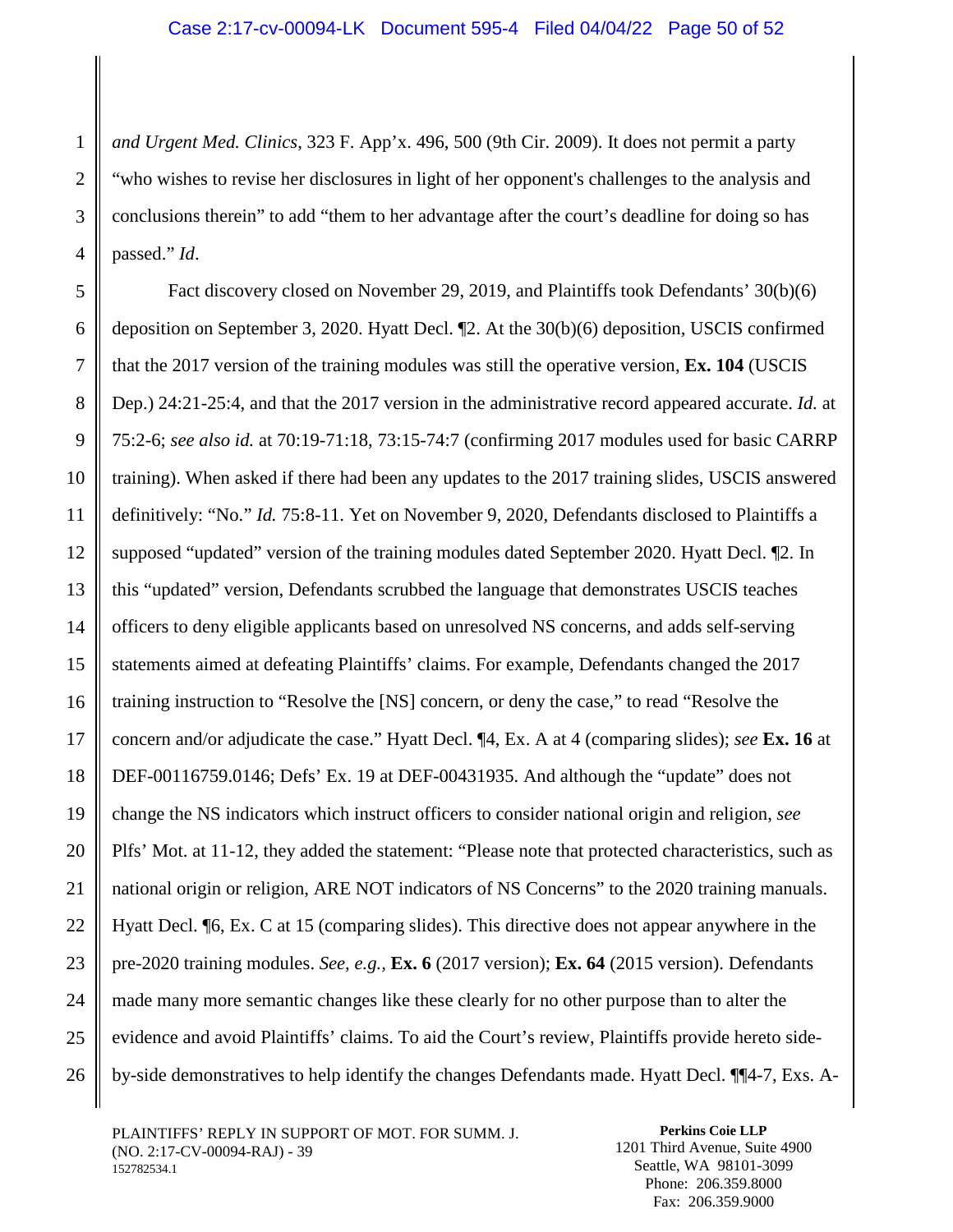*and Urgent Med. Clinics*, 323 F. App'x. 496, 500 (9th Cir. 2009). It does not permit a party "who wishes to revise her disclosures in light of her opponent's challenges to the analysis and conclusions therein" to add "them to her advantage after the court's deadline for doing so has passed." *Id*.

Fact discovery closed on November 29, 2019, and Plaintiffs took Defendants' 30(b)(6) deposition on September 3, 2020. Hyatt Decl. ¶2. At the 30(b)(6) deposition, USCIS confirmed that the 2017 version of the training modules was still the operative version, **Ex. 104** (USCIS Dep.) 24:21-25:4, and that the 2017 version in the administrative record appeared accurate. *Id.* at 75:2-6; *see also id.* at 70:19-71:18, 73:15-74:7 (confirming 2017 modules used for basic CARRP training). When asked if there had been any updates to the 2017 training slides, USCIS answered definitively: "No." *Id.* 75:8-11. Yet on November 9, 2020, Defendants disclosed to Plaintiffs a supposed "updated" version of the training modules dated September 2020. Hyatt Decl. ¶2. In this "updated" version, Defendants scrubbed the language that demonstrates USCIS teaches officers to deny eligible applicants based on unresolved NS concerns, and adds self-serving statements aimed at defeating Plaintiffs' claims. For example, Defendants changed the 2017 training instruction to "Resolve the [NS] concern, or deny the case," to read "Resolve the concern and/or adjudicate the case." Hyatt Decl. ¶4, Ex. A at 4 (comparing slides); *see* **Ex. 16** at DEF-00116759.0146; Defs' Ex. 19 at DEF-00431935. And although the "update" does not change the NS indicators which instruct officers to consider national origin and religion, *see*  Plfs' Mot. at 11-12, they added the statement: "Please note that protected characteristics, such as national origin or religion, ARE NOT indicators of NS Concerns" to the 2020 training manuals. Hyatt Decl. ¶6, Ex. C at 15 (comparing slides). This directive does not appear anywhere in the pre-2020 training modules. *See, e.g.,* **Ex. 6** (2017 version); **Ex. 64** (2015 version). Defendants made many more semantic changes like these clearly for no other purpose than to alter the evidence and avoid Plaintiffs' claims. To aid the Court's review, Plaintiffs provide hereto sideby-side demonstratives to help identify the changes Defendants made. Hyatt Decl. ¶¶4-7, Exs. A-

PLAINTIFFS' REPLY IN SUPPORT OF MOT. FOR SUMM. J. (NO. 2:17-CV-00094-RAJ) - 39 152782534.1

**Perkins Coie LLP** 1201 Third Avenue, Suite 4900 Seattle, WA 98101-3099 Phone: 206.359.8000 Fax: 206.359.9000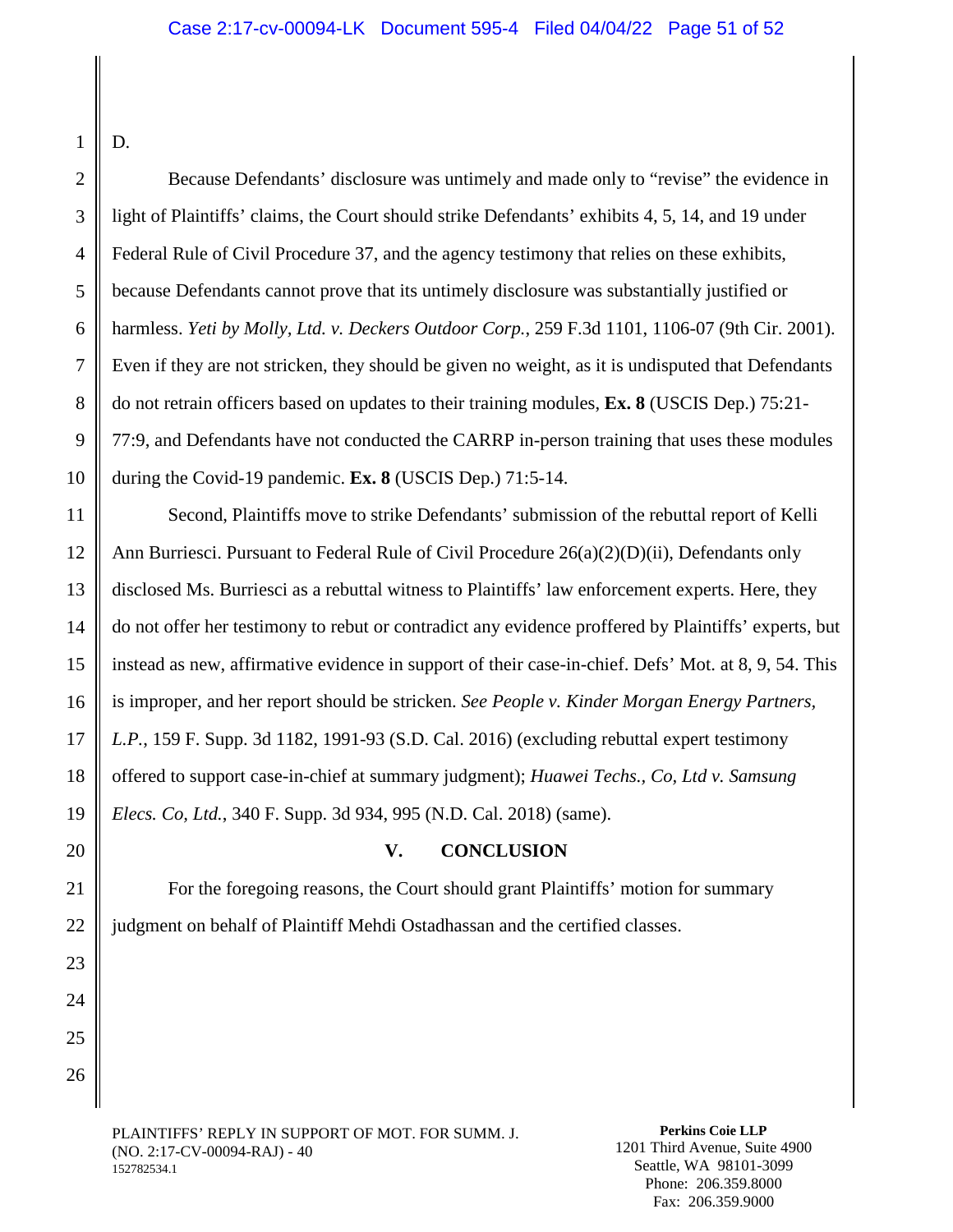1 D.

2

3

4

5

6

7

8

9

10

11

12

13

14

15

16

17

18

19

20

21

22

Because Defendants' disclosure was untimely and made only to "revise" the evidence in light of Plaintiffs' claims, the Court should strike Defendants' exhibits 4, 5, 14, and 19 under Federal Rule of Civil Procedure 37, and the agency testimony that relies on these exhibits, because Defendants cannot prove that its untimely disclosure was substantially justified or harmless. *Yeti by Molly, Ltd. v. Deckers Outdoor Corp.*, 259 F.3d 1101, 1106-07 (9th Cir. 2001). Even if they are not stricken, they should be given no weight, as it is undisputed that Defendants do not retrain officers based on updates to their training modules, **Ex. 8** (USCIS Dep.) 75:21- 77:9, and Defendants have not conducted the CARRP in-person training that uses these modules during the Covid-19 pandemic. **Ex. 8** (USCIS Dep.) 71:5-14.

Second, Plaintiffs move to strike Defendants' submission of the rebuttal report of Kelli Ann Burriesci. Pursuant to Federal Rule of Civil Procedure 26(a)(2)(D)(ii), Defendants only disclosed Ms. Burriesci as a rebuttal witness to Plaintiffs' law enforcement experts. Here, they do not offer her testimony to rebut or contradict any evidence proffered by Plaintiffs' experts, but instead as new, affirmative evidence in support of their case-in-chief. Defs' Mot. at 8, 9, 54. This is improper, and her report should be stricken. *See People v. Kinder Morgan Energy Partners, L.P.*, 159 F. Supp. 3d 1182, 1991-93 (S.D. Cal. 2016) (excluding rebuttal expert testimony offered to support case-in-chief at summary judgment); *Huawei Techs., Co, Ltd v. Samsung Elecs. Co, Ltd.*, 340 F. Supp. 3d 934, 995 (N.D. Cal. 2018) (same).

#### **V. CONCLUSION**

For the foregoing reasons, the Court should grant Plaintiffs' motion for summary judgment on behalf of Plaintiff Mehdi Ostadhassan and the certified classes.